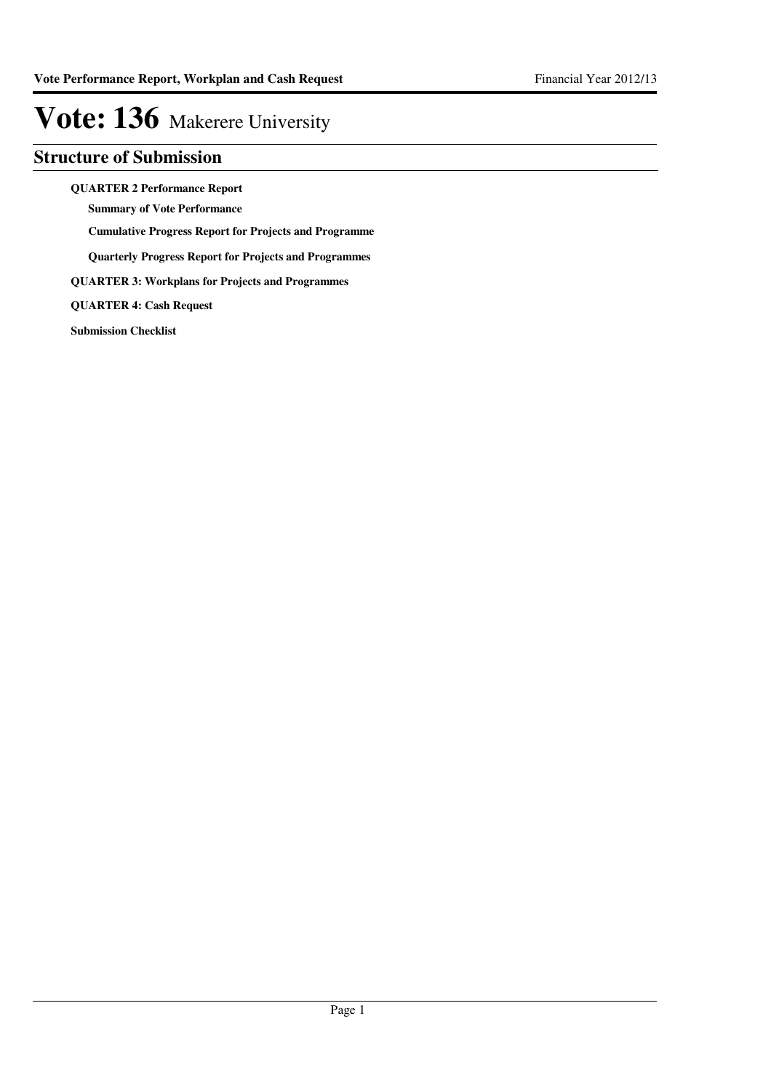### **Structure of Submission**

**QUARTER 2 Performance Report**

**Summary of Vote Performance**

**Cumulative Progress Report for Projects and Programme**

**Quarterly Progress Report for Projects and Programmes**

**QUARTER 3: Workplans for Projects and Programmes**

**QUARTER 4: Cash Request**

**Submission Checklist**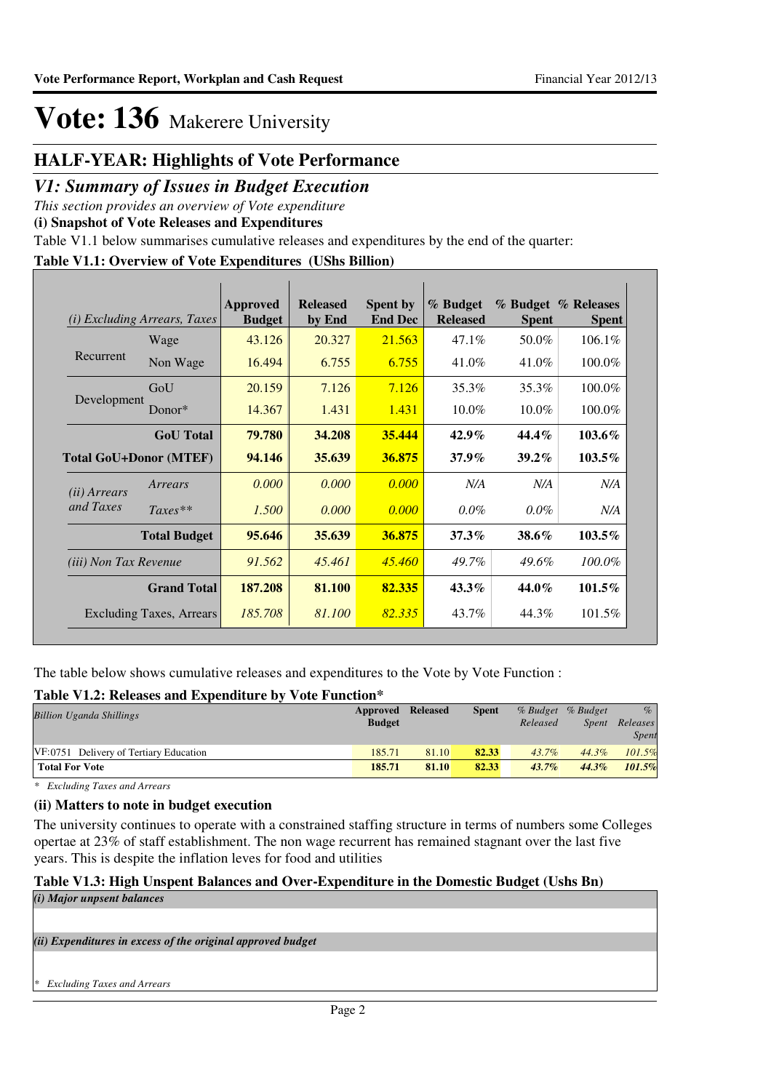### **HALF-YEAR: Highlights of Vote Performance**

### *V1: Summary of Issues in Budget Execution*

*This section provides an overview of Vote expenditure* 

**(i) Snapshot of Vote Releases and Expenditures**

Table V1.1 below summarises cumulative releases and expenditures by the end of the quarter:

### **Table V1.1: Overview of Vote Expenditures (UShs Billion)**

|                       | <i>(i)</i> Excluding Arrears, Taxes | <b>Approved</b><br><b>Budget</b> | <b>Released</b><br>by End | <b>Spent by</b><br><b>End Dec</b> | % Budget<br><b>Released</b> | <b>Spent</b> | % Budget % Releases<br><b>Spent</b> |
|-----------------------|-------------------------------------|----------------------------------|---------------------------|-----------------------------------|-----------------------------|--------------|-------------------------------------|
|                       | Wage                                | 43.126                           | 20.327                    | 21.563                            | $47.1\%$                    | 50.0%        | 106.1%                              |
| Recurrent             | Non Wage                            | 16.494                           | 6.755                     | 6.755                             | 41.0%                       | 41.0%        | 100.0%                              |
|                       | GoU                                 | 20.159                           | 7.126                     | 7.126                             | 35.3%                       | 35.3%        | 100.0%                              |
| Development           | Donor*                              | 14.367                           | 1.431                     | 1.431                             | $10.0\%$                    | $10.0\%$     | 100.0%                              |
|                       | <b>GoU</b> Total                    | 79.780                           | 34.208                    | 35,444                            | $42.9\%$                    | $44.4\%$     | $103.6\%$                           |
|                       | <b>Total GoU+Donor (MTEF)</b>       | 94.146                           | 35.639                    | 36.875                            | $37.9\%$                    | $39.2\%$     | $103.5\%$                           |
| (ii) Arrears          | Arrears                             | 0.000                            | 0.000                     | 0.000                             | N/A                         | N/A          | N/A                                 |
| and Taxes             | $Taxes**$                           | 1.500                            | 0.000                     | 0.000                             | $0.0\%$                     | $0.0\%$      | N/A                                 |
|                       | <b>Total Budget</b>                 | 95.646                           | 35.639                    | 36.875                            | $37.3\%$                    | $38.6\%$     | $103.5\%$                           |
| (iii) Non Tax Revenue |                                     | 91.562                           | 45.461                    | 45.460                            | 49.7%                       | $49.6\%$     | 100.0%                              |
|                       | <b>Grand Total</b>                  | 187.208                          | 81.100                    | 82.335                            | $43.3\%$                    | 44.0%        | 101.5%                              |
|                       | <b>Excluding Taxes, Arrears</b>     | 185.708                          | 81.100                    | 82.335                            | 43.7%                       | 44.3%        | 101.5%                              |

The table below shows cumulative releases and expenditures to the Vote by Vote Function :

### **Table V1.2: Releases and Expenditure by Vote Function\***

| Approved      |       | <b>Spent</b>    |          |              | $\%$              |
|---------------|-------|-----------------|----------|--------------|-------------------|
| <b>Budget</b> |       |                 | Released | <i>Spent</i> | Releases          |
|               |       |                 |          |              | <b>Spent</b>      |
| 185.71        | 81.10 | 82.33           | 43.7%    | $44.3\%$     | 101.5%            |
| 185.71        | 81.10 | 82.33           | $43.7\%$ | $44.3\%$     | 101.5%            |
|               |       | <b>Released</b> |          |              | % Budget % Budget |

*\* Excluding Taxes and Arrears*

### **(ii) Matters to note in budget execution**

The university continues to operate with a constrained staffing structure in terms of numbers some Colleges opertae at 23% of staff establishment. The non wage recurrent has remained stagnant over the last five years. This is despite the inflation leves for food and utilities

#### **Table V1.3: High Unspent Balances and Over-Expenditure in the Domestic Budget (Ushs Bn)** *(i) Major unpsent balances*

*(ii) Expenditures in excess of the original approved budget*

*\* Excluding Taxes and Arrears*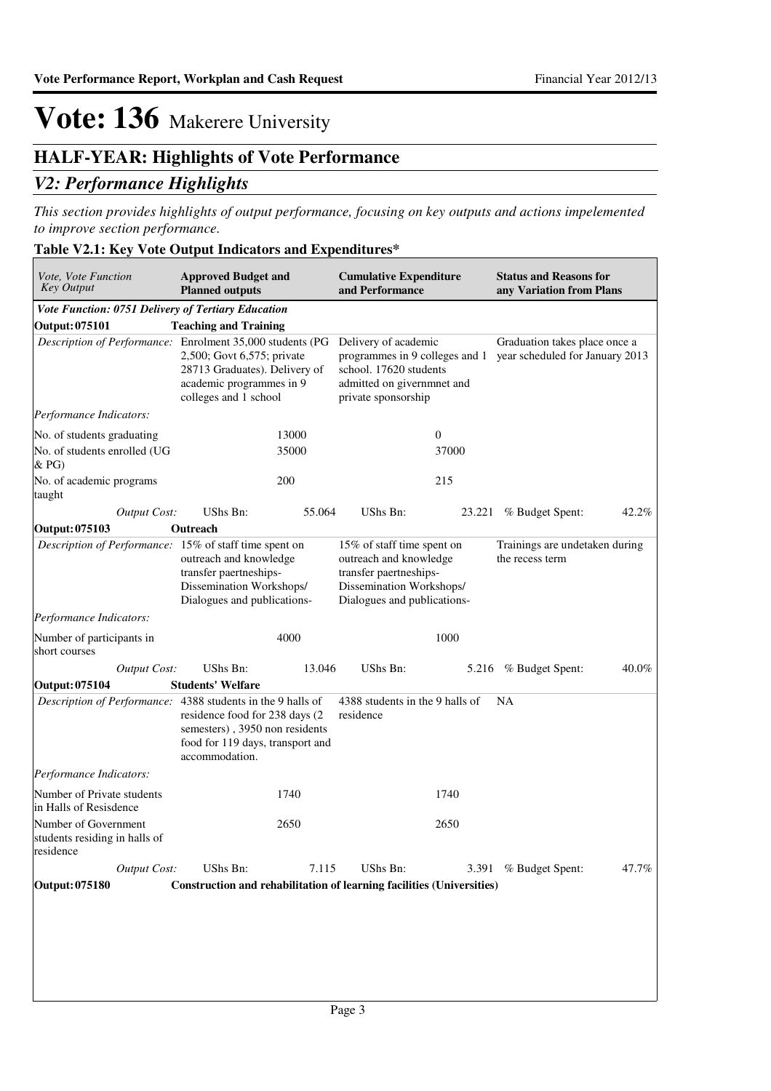$\overline{\phantom{a}}$ 

## **Vote: 136** Makerere University

### **HALF-YEAR: Highlights of Vote Performance**

### *V2: Performance Highlights*

*This section provides highlights of output performance, focusing on key outputs and actions impelemented to improve section performance.*

### **Table V2.1: Key Vote Output Indicators and Expenditures\***

| Vote, Vote Function<br><b>Key Output</b>                           | <b>Approved Budget and</b><br><b>Planned outputs</b>                                                                                                                                   | <b>Cumulative Expenditure</b><br>and Performance                                                                                          | <b>Status and Reasons for</b><br>any Variation from Plans                                       |  |
|--------------------------------------------------------------------|----------------------------------------------------------------------------------------------------------------------------------------------------------------------------------------|-------------------------------------------------------------------------------------------------------------------------------------------|-------------------------------------------------------------------------------------------------|--|
| Vote Function: 0751 Delivery of Tertiary Education                 |                                                                                                                                                                                        |                                                                                                                                           |                                                                                                 |  |
| <b>Output: 075101</b>                                              | <b>Teaching and Training</b>                                                                                                                                                           |                                                                                                                                           |                                                                                                 |  |
|                                                                    | Description of Performance: Enrolment 35,000 students (PG<br>2,500; Govt 6,575; private<br>28713 Graduates). Delivery of<br>academic programmes in 9<br>colleges and 1 school          | Delivery of academic<br>school. 17620 students<br>admitted on givernmnet and<br>private sponsorship                                       | Graduation takes place once a<br>programmes in 9 colleges and 1 year scheduled for January 2013 |  |
| Performance Indicators:                                            |                                                                                                                                                                                        |                                                                                                                                           |                                                                                                 |  |
| No. of students graduating                                         | 13000                                                                                                                                                                                  | $\boldsymbol{0}$                                                                                                                          |                                                                                                 |  |
| No. of students enrolled (UG<br>& P <sub>G</sub>                   | 35000                                                                                                                                                                                  | 37000                                                                                                                                     |                                                                                                 |  |
| No. of academic programs<br>taught                                 | 200                                                                                                                                                                                    | 215                                                                                                                                       |                                                                                                 |  |
| <b>Output Cost:</b>                                                | UShs Bn:<br>55.064                                                                                                                                                                     | UShs Bn:<br>23.221                                                                                                                        | % Budget Spent:<br>42.2%                                                                        |  |
| Output: 075103                                                     | Outreach                                                                                                                                                                               |                                                                                                                                           |                                                                                                 |  |
| Description of Performance: 15% of staff time spent on             | outreach and knowledge<br>transfer paertneships-<br>Dissemination Workshops/<br>Dialogues and publications-                                                                            | 15% of staff time spent on<br>outreach and knowledge<br>transfer paertneships-<br>Dissemination Workshops/<br>Dialogues and publications- | Trainings are undetaken during<br>the recess term                                               |  |
| <i>Performance Indicators:</i>                                     |                                                                                                                                                                                        |                                                                                                                                           |                                                                                                 |  |
| Number of participants in<br>short courses                         | 4000                                                                                                                                                                                   | 1000                                                                                                                                      |                                                                                                 |  |
| Output Cost:                                                       | UShs Bn:<br>13.046                                                                                                                                                                     | UShs Bn:<br>5.216                                                                                                                         | % Budget Spent:<br>40.0%                                                                        |  |
| <b>Output: 075104</b>                                              | <b>Students' Welfare</b>                                                                                                                                                               |                                                                                                                                           |                                                                                                 |  |
|                                                                    | Description of Performance: 4388 students in the 9 halls of<br>residence food for 238 days (2)<br>semesters), 3950 non residents<br>food for 119 days, transport and<br>accommodation. | 4388 students in the 9 halls of<br>residence                                                                                              | NA                                                                                              |  |
| Performance Indicators:                                            |                                                                                                                                                                                        |                                                                                                                                           |                                                                                                 |  |
| Number of Private students<br>in Halls of Resisdence               | 1740                                                                                                                                                                                   | 1740                                                                                                                                      |                                                                                                 |  |
| Number of Government<br>students residing in halls of<br>residence | 2650                                                                                                                                                                                   | 2650                                                                                                                                      |                                                                                                 |  |
| <b>Output Cost:</b>                                                | UShs Bn:<br>7.115                                                                                                                                                                      | UShs Bn:<br>3.391                                                                                                                         | % Budget Spent:<br>47.7%                                                                        |  |
| Output: 075180                                                     |                                                                                                                                                                                        | Construction and rehabilitation of learning facilities (Universities)                                                                     |                                                                                                 |  |
|                                                                    |                                                                                                                                                                                        |                                                                                                                                           |                                                                                                 |  |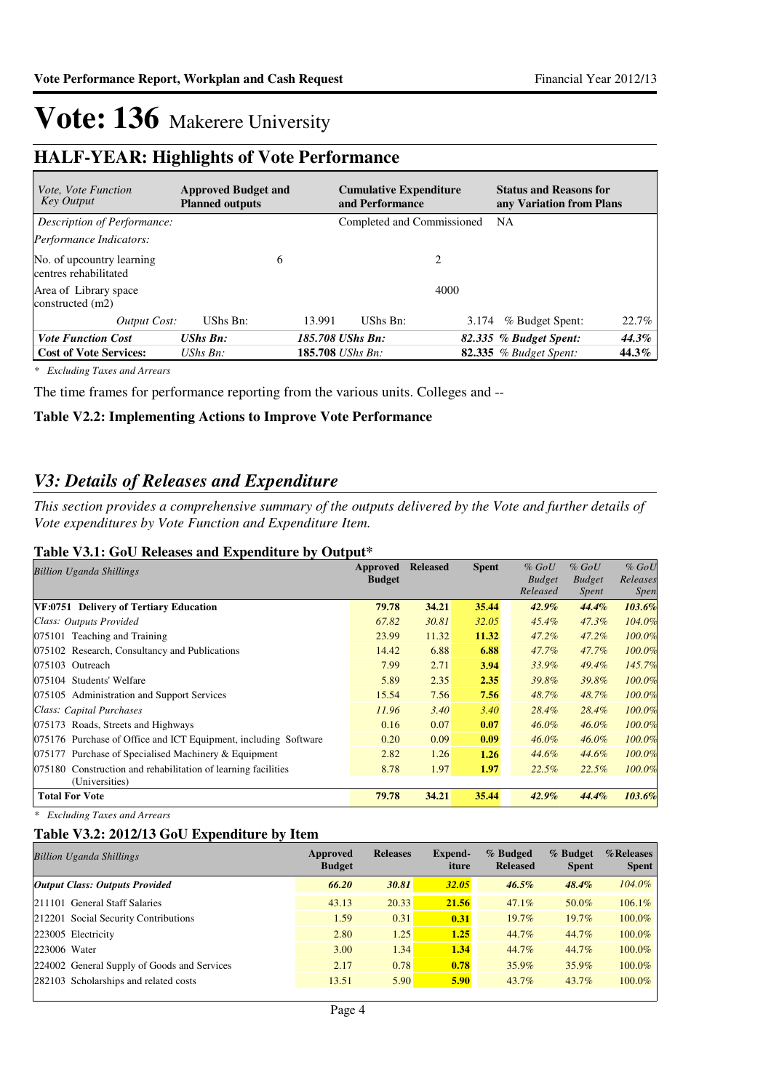### **HALF-YEAR: Highlights of Vote Performance**

| <i>Vote, Vote Function</i><br><b>Key Output</b>    | <b>Approved Budget and</b><br><b>Planned outputs</b> |   |                          | <b>Cumulative Expenditure</b><br>and Performance |       | <b>Status and Reasons for</b><br>any Variation from Plans |       |  |
|----------------------------------------------------|------------------------------------------------------|---|--------------------------|--------------------------------------------------|-------|-----------------------------------------------------------|-------|--|
| Description of Performance:                        |                                                      |   |                          | Completed and Commissioned                       |       | <b>NA</b>                                                 |       |  |
| Performance Indicators:                            |                                                      |   |                          |                                                  |       |                                                           |       |  |
| No. of upcountry learning<br>centres rehabilitated |                                                      | 6 |                          |                                                  | 2     |                                                           |       |  |
| Area of Library space<br>constructed $(m2)$        |                                                      |   |                          |                                                  | 4000  |                                                           |       |  |
| Output Cost:                                       | UShs Bn:                                             |   | 13.991                   | UShs Bn:                                         | 3.174 | % Budget Spent:                                           | 22.7% |  |
| <b>Vote Function Cost</b>                          | <b>UShs Bn:</b>                                      |   |                          | 185.708 UShs Bn:                                 |       | 82.335 % Budget Spent:                                    | 44.3% |  |
| <b>Cost of Vote Services:</b>                      | UShs $B_n$ :                                         |   | 185.708 <i>UShs Bn</i> : |                                                  |       | <b>82.335</b> % Budget Spent:                             | 44.3% |  |

*\* Excluding Taxes and Arrears*

The time frames for performance reporting from the various units. Colleges and --

#### **Table V2.2: Implementing Actions to Improve Vote Performance**

### *V3: Details of Releases and Expenditure*

*This section provides a comprehensive summary of the outputs delivered by the Vote and further details of Vote expenditures by Vote Function and Expenditure Item.*

#### **Table V3.1: GoU Releases and Expenditure by Output\***

| <b>Billion Uganda Shillings</b>                                 | Approved      | <b>Released</b> | <b>Spent</b> | $%$ GoU       | $%$ GoU       | $%$ GoU     |
|-----------------------------------------------------------------|---------------|-----------------|--------------|---------------|---------------|-------------|
|                                                                 | <b>Budget</b> |                 |              | <b>Budget</b> | <b>Budget</b> | Releases    |
|                                                                 |               |                 |              | Released      | Spent         | <i>Spen</i> |
| VF:0751 Delivery of Tertiary Education                          | 79.78         | 34.21           | 35.44        | $42.9\%$      | 44.4%         | 103.6%      |
| Class: Outputs Provided                                         | 67.82         | 30.81           | 32.05        | $45.4\%$      | $47.3\%$      | 104.0%      |
| 075101 Teaching and Training                                    | 23.99         | 11.32           | 11.32        | 47.2%         | 47.2%         | 100.0%      |
| 075102 Research, Consultancy and Publications                   | 14.42         | 6.88            | 6.88         | 47.7%         | 47.7%         | 100.0%      |
| 075103 Outreach                                                 | 7.99          | 2.71            | 3.94         | 33.9%         | 49.4%         | 145.7%      |
| 075104 Students' Welfare                                        | 5.89          | 2.35            | 2.35         | 39.8%         | 39.8%         | 100.0%      |
| 075105 Administration and Support Services                      | 15.54         | 7.56            | 7.56         | 48.7%         | 48.7%         | 100.0%      |
| Class: Capital Purchases                                        | 11.96         | 3.40            | 3.40         | 28.4%         | 28.4%         | 100.0%      |
| 075173 Roads, Streets and Highways                              | 0.16          | 0.07            | 0.07         | $46.0\%$      | $46.0\%$      | 100.0%      |
| 075176 Purchase of Office and ICT Equipment, including Software | 0.20          | 0.09            | 0.09         | $46.0\%$      | $46.0\%$      | 100.0%      |
| 075177 Purchase of Specialised Machinery & Equipment            | 2.82          | 1.26            | 1.26         | 44.6%         | 44.6%         | 100.0%      |
| 075180 Construction and rehabilitation of learning facilities   | 8.78          | 1.97            | 1.97         | 22.5%         | 22.5%         | 100.0%      |
| (Universities)                                                  |               |                 |              |               |               |             |
| <b>Total For Vote</b>                                           | 79.78         | 34.21           | 35.44        | $42.9\%$      | $44.4\%$      | 103.6%      |

*\* Excluding Taxes and Arrears*

#### **Table V3.2: 2012/13 GoU Expenditure by Item**

| <b>Billion Uganda Shillings</b>             | Approved<br><b>Budget</b> | <b>Releases</b> | Expend-<br>iture | % Budged<br><b>Released</b> | % Budget<br><b>Spent</b> | %Releases<br><b>Spent</b> |
|---------------------------------------------|---------------------------|-----------------|------------------|-----------------------------|--------------------------|---------------------------|
| <b>Output Class: Outputs Provided</b>       | 66.20                     | 30.81           | <b>32.05</b>     | $46.5\%$                    | $48.4\%$                 | 104.0%                    |
| 211101 General Staff Salaries               | 43.13                     | 20.33           | 21.56            | 47.1%                       | 50.0%                    | 106.1%                    |
| 212201 Social Security Contributions        | 1.59                      | 0.31            | 0.31             | $19.7\%$                    | $19.7\%$                 | 100.0%                    |
| 223005 Electricity                          | 2.80                      | 1.25            | 1.25             | 44.7%                       | 44.7%                    | 100.0%                    |
| 223006 Water                                | 3.00                      | 1.34            | 1.34             | 44.7%                       | 44.7%                    | 100.0%                    |
| 224002 General Supply of Goods and Services | 2.17                      | 0.78            | 0.78             | 35.9%                       | 35.9%                    | 100.0%                    |
| 282103 Scholarships and related costs       | 13.51                     | 5.90            | 5.90             | 43.7%                       | $43.7\%$                 | 100.0%                    |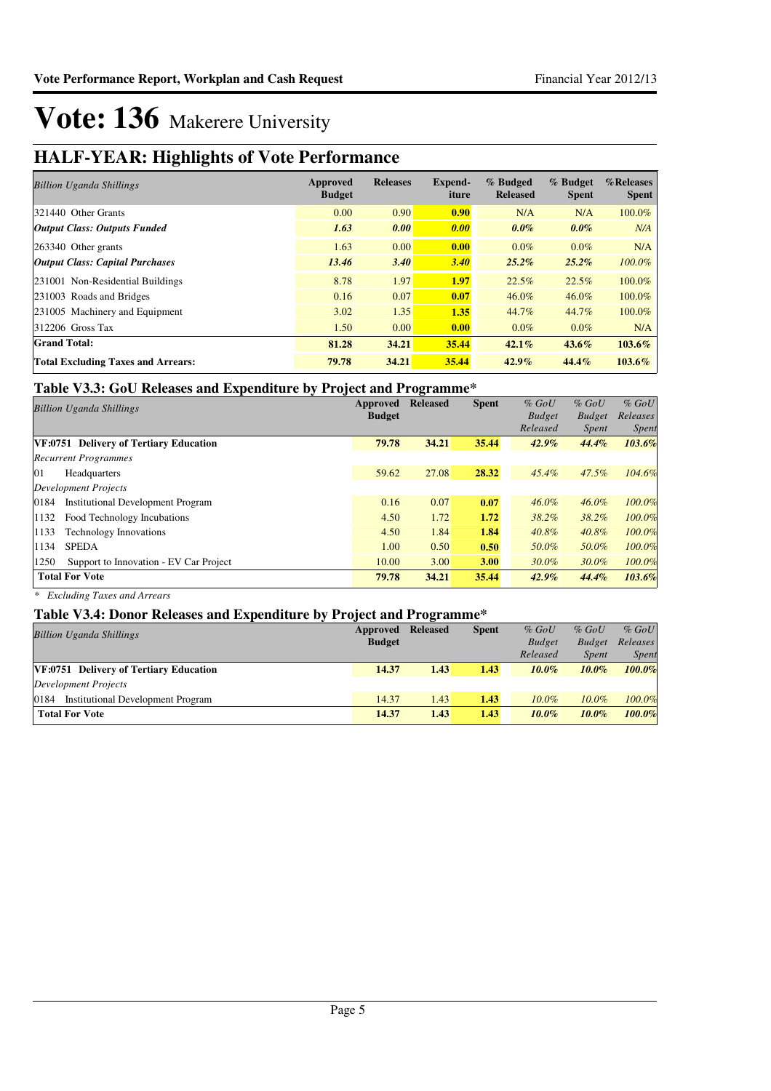### **HALF-YEAR: Highlights of Vote Performance**

| <b>Billion Uganda Shillings</b>           | Approved<br><b>Budget</b> | <b>Releases</b> | <b>Expend-</b><br>iture | % Budged<br><b>Released</b> | % Budget<br><b>Spent</b> | %Releases<br><b>Spent</b> |
|-------------------------------------------|---------------------------|-----------------|-------------------------|-----------------------------|--------------------------|---------------------------|
| 321440 Other Grants                       | 0.00                      | 0.90            | 0.90                    | N/A                         | N/A                      | 100.0%                    |
| <b>Output Class: Outputs Funded</b>       | 1.63                      | 0.00            | 0.00                    | $0.0\%$                     | $0.0\%$                  | N/A                       |
| $ 263340$ Other grants                    | 1.63                      | 0.00            | 0.00                    | $0.0\%$                     | $0.0\%$                  | N/A                       |
| <b>Output Class: Capital Purchases</b>    | 13.46                     | 3.40            | 3.40                    | $25.2\%$                    | $25.2\%$                 | 100.0%                    |
| 231001 Non-Residential Buildings          | 8.78                      | 1.97            | 1.97                    | 22.5%                       | 22.5%                    | 100.0%                    |
| 231003 Roads and Bridges                  | 0.16                      | 0.07            | 0.07                    | 46.0%                       | $46.0\%$                 | 100.0%                    |
| 231005 Machinery and Equipment            | 3.02                      | 1.35            | 1.35                    | 44.7%                       | 44.7%                    | 100.0%                    |
| $312206$ Gross Tax                        | 1.50                      | 0.00            | 0.00                    | $0.0\%$                     | $0.0\%$                  | N/A                       |
| <b>Grand Total:</b>                       | 81.28                     | 34.21           | 35.44                   | 42.1%                       | $43.6\%$                 | 103.6%                    |
| <b>Total Excluding Taxes and Arrears:</b> | 79.78                     | 34.21           | 35.44                   | $42.9\%$                    | 44.4%                    | 103.6%                    |

### **Table V3.3: GoU Releases and Expenditure by Project and Programme\***

|                                                | Approved      | <b>Released</b> | <b>Spent</b> | $%$ GoU       | $%$ GoU       | $%$ GoU      |
|------------------------------------------------|---------------|-----------------|--------------|---------------|---------------|--------------|
| <b>Billion Uganda Shillings</b>                | <b>Budget</b> |                 |              | <b>Budget</b> | <b>Budget</b> | Releases     |
|                                                |               |                 |              | Released      | <i>Spent</i>  | <i>Spent</i> |
| VF:0751 Delivery of Tertiary Education         | 79.78         | 34.21           | 35.44        | $42.9\%$      | 44.4%         | 103.6%       |
| <b>Recurrent Programmes</b>                    |               |                 |              |               |               |              |
| 01<br>Headquarters                             | 59.62         | 27.08           | 28.32        | $45.4\%$      | $47.5\%$      | 104.6%       |
| Development Projects                           |               |                 |              |               |               |              |
| 0184<br>Institutional Development Program      | 0.16          | 0.07            | 0.07         | $46.0\%$      | $46.0\%$      | 100.0%       |
| 1132<br>Food Technology Incubations            | 4.50          | 1.72            | 1.72         | 38.2%         | 38.2%         | 100.0%       |
| 1133<br><b>Technology Innovations</b>          | 4.50          | 1.84            | 1.84         | $40.8\%$      | 40.8%         | 100.0%       |
| <b>SPEDA</b><br>1134                           | 1.00          | 0.50            | 0.50         | 50.0%         | 50.0%         | 100.0%       |
| 1250<br>Support to Innovation - EV Car Project | 10.00         | 3.00            | <b>3.00</b>  | $30.0\%$      | $30.0\%$      | 100.0%       |
| <b>Total For Vote</b>                          | 79.78         | 34.21           | 35.44        | $42.9\%$      | 44.4%         | 103.6%       |

*\* Excluding Taxes and Arrears*

#### **Table V3.4: Donor Releases and Expenditure by Project and Programme\***

| THEIR POINT INTEREST BULGARY OF THE CICC BUG THE BULGARY OF THE RESIDENCE IN A LOCAL MILLION OF THE RESIDENCE OF THE UPPER CONTROL OF THE UPPER CONTROL OF THE UPPER CONTROL OF THE UPPER CONTROL OF THE UPPER CONTROL OF THE |               |                 |              |               |               |              |
|-------------------------------------------------------------------------------------------------------------------------------------------------------------------------------------------------------------------------------|---------------|-----------------|--------------|---------------|---------------|--------------|
| <b>Billion Uganda Shillings</b>                                                                                                                                                                                               | Approved      | <b>Released</b> | <b>Spent</b> | $%$ GoU       | $%$ GoU       | $%$ GoU      |
|                                                                                                                                                                                                                               | <b>Budget</b> |                 |              | <b>Budget</b> | <b>Budget</b> | Releases     |
|                                                                                                                                                                                                                               |               |                 |              | Released      | <b>Spent</b>  | <b>Spent</b> |
| VF:0751 Delivery of Tertiary Education                                                                                                                                                                                        | 14.37         | 1.43            | 1.43         | $10.0\%$      | $10.0\%$      | 100.0%       |
| Development Projects                                                                                                                                                                                                          |               |                 |              |               |               |              |
| 0184<br><b>Institutional Development Program</b>                                                                                                                                                                              | 14.37         | 1.43            | 1.43         | $10.0\%$      | $10.0\%$      | 100.0%       |
| <b>Total For Vote</b>                                                                                                                                                                                                         | 14.37         | 1.43            | 1.43         | $10.0\%$      | $10.0\%$      | 100.0%       |
|                                                                                                                                                                                                                               |               |                 |              |               |               |              |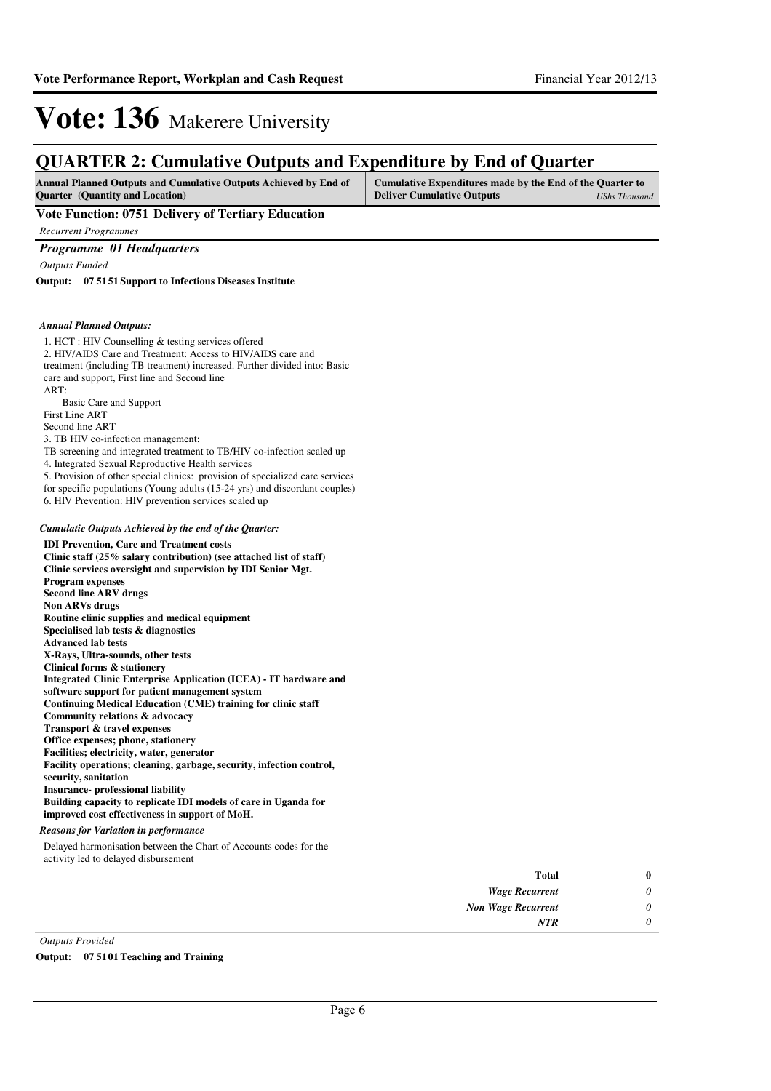### **QUARTER 2: Cumulative Outputs and Expenditure by End of Quarter**

| <b>Ouarter</b> (Quantity and Location)<br><b>Deliver Cumulative Outputs</b><br>UShs Thousand |  |
|----------------------------------------------------------------------------------------------|--|

**Vote Function: 0751 Delivery of Tertiary Education**

*Recurrent Programmes*

#### *Programme 01 Headquarters*

*Outputs Funded*

**07 5151 Support to Infectious Diseases Institute Output:**

#### *Annual Planned Outputs:*

| 1. HCT: HIV Counselling & testing services offered<br>2. HIV/AIDS Care and Treatment: Access to HIV/AIDS care and<br>treatment (including TB treatment) increased. Further divided into: Basic<br>care and support, First line and Second line<br>ART: |
|--------------------------------------------------------------------------------------------------------------------------------------------------------------------------------------------------------------------------------------------------------|
| Basic Care and Support                                                                                                                                                                                                                                 |
| First Line ART                                                                                                                                                                                                                                         |
| Second line ART                                                                                                                                                                                                                                        |
| 3. TB HIV co-infection management:                                                                                                                                                                                                                     |
| TB screening and integrated treatment to TB/HIV co-infection scaled up                                                                                                                                                                                 |
| 4. Integrated Sexual Reproductive Health services                                                                                                                                                                                                      |
| 5. Provision of other special clinics: provision of specialized care services                                                                                                                                                                          |
| for specific populations (Young adults (15-24 yrs) and discordant couples)                                                                                                                                                                             |
| 6. HIV Prevention: HIV prevention services scaled up                                                                                                                                                                                                   |
| Cumulatie Outputs Achieved by the end of the Quarter:                                                                                                                                                                                                  |
| <b>IDI Prevention, Care and Treatment costs</b>                                                                                                                                                                                                        |
| Clinic staff (25% salary contribution) (see attached list of staff)                                                                                                                                                                                    |
| Clinic services oversight and supervision by IDI Senior Mgt.                                                                                                                                                                                           |
|                                                                                                                                                                                                                                                        |
| <b>Program expenses</b>                                                                                                                                                                                                                                |
| <b>Second line ARV drugs</b>                                                                                                                                                                                                                           |
| <b>Non ARVs drugs</b>                                                                                                                                                                                                                                  |
| Routine clinic supplies and medical equipment                                                                                                                                                                                                          |
| Specialised lab tests & diagnostics                                                                                                                                                                                                                    |
| <b>Advanced lab tests</b>                                                                                                                                                                                                                              |
| X-Rays, Ultra-sounds, other tests                                                                                                                                                                                                                      |
| Clinical forms & stationery                                                                                                                                                                                                                            |
| <b>Integrated Clinic Enterprise Application (ICEA) - IT hardware and</b>                                                                                                                                                                               |
| software support for patient management system                                                                                                                                                                                                         |
| <b>Continuing Medical Education (CME) training for clinic staff</b>                                                                                                                                                                                    |
| Community relations & advocacy                                                                                                                                                                                                                         |
| Transport & travel expenses                                                                                                                                                                                                                            |
| Office expenses; phone, stationery                                                                                                                                                                                                                     |
| Facilities; electricity, water, generator                                                                                                                                                                                                              |
| Facility operations; cleaning, garbage, security, infection control,                                                                                                                                                                                   |
| security, sanitation<br><b>Insurance-</b> professional liability                                                                                                                                                                                       |
| Building capacity to replicate IDI models of care in Uganda for                                                                                                                                                                                        |

#### *Reasons for Variation in performance*

Delayed harmonisation between the Chart of Accounts codes for the activity led to delayed disbursement

|                         | <b>Total</b>              | $\bf{0}$ |
|-------------------------|---------------------------|----------|
|                         | <b>Wage Recurrent</b>     | $\theta$ |
|                         | <b>Non Wage Recurrent</b> | $\theta$ |
|                         | <b>NTR</b>                | $\theta$ |
| <b>Outputs Provided</b> |                           |          |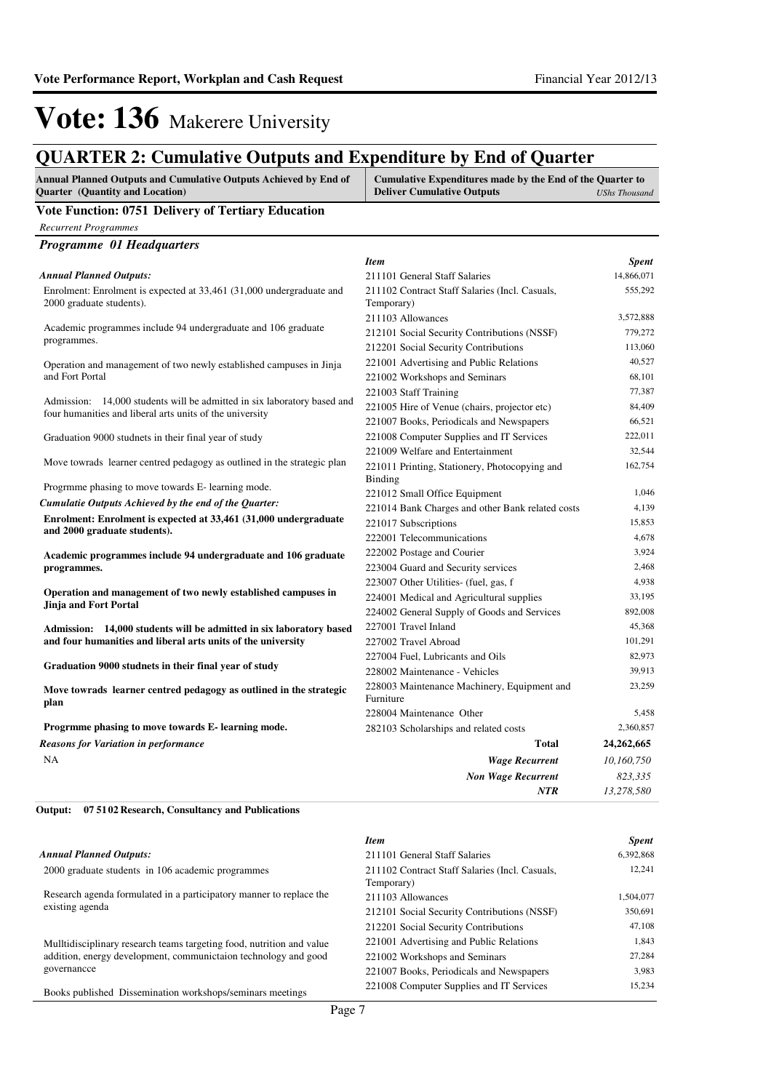### **QUARTER 2: Cumulative Outputs and Expenditure by End of Quarter**

| <b>Annual Planned Outputs and Cumulative Outputs Achieved by End of</b> | Cumulative Expenditures made by the End of the Quarter to |
|-------------------------------------------------------------------------|-----------------------------------------------------------|
| <b>Ouarter</b> (Quantity and Location)                                  | <b>Deliver Cumulative Outputs</b><br>UShs Thousand        |
| .<br>$0 = 11$ m $11$<br>$\sim$ $\sim$                                   |                                                           |

#### **Vote Function: 0751 Delivery of Tertiary Education**

| <b>Recurrent Programmes</b>                                                                                                         |                                                  |              |
|-------------------------------------------------------------------------------------------------------------------------------------|--------------------------------------------------|--------------|
| <b>Programme 01 Headquarters</b>                                                                                                    |                                                  |              |
|                                                                                                                                     | <b>Item</b>                                      | <b>Spent</b> |
| <b>Annual Planned Outputs:</b>                                                                                                      | 211101 General Staff Salaries                    | 14,866,071   |
| Enrolment: Enrolment is expected at 33,461 (31,000 undergraduate and                                                                | 211102 Contract Staff Salaries (Incl. Casuals,   | 555,292      |
| 2000 graduate students).                                                                                                            | Temporary)                                       |              |
|                                                                                                                                     | 211103 Allowances                                | 3,572,888    |
| Academic programmes include 94 undergraduate and 106 graduate<br>programmes.                                                        | 212101 Social Security Contributions (NSSF)      | 779,272      |
|                                                                                                                                     | 212201 Social Security Contributions             | 113,060      |
| Operation and management of two newly established campuses in Jinja                                                                 | 221001 Advertising and Public Relations          | 40,527       |
| and Fort Portal                                                                                                                     | 221002 Workshops and Seminars                    | 68,101       |
|                                                                                                                                     | 221003 Staff Training                            | 77,387       |
| Admission: 14,000 students will be admitted in six laboratory based and<br>four humanities and liberal arts units of the university | 221005 Hire of Venue (chairs, projector etc)     | 84,409       |
|                                                                                                                                     | 221007 Books, Periodicals and Newspapers         | 66,521       |
| Graduation 9000 studnets in their final year of study                                                                               | 221008 Computer Supplies and IT Services         | 222,011      |
|                                                                                                                                     | 221009 Welfare and Entertainment                 | 32,544       |
| Move towrads learner centred pedagogy as outlined in the strategic plan                                                             | 221011 Printing, Stationery, Photocopying and    | 162,754      |
|                                                                                                                                     | Binding                                          |              |
| Progrmme phasing to move towards E- learning mode.                                                                                  | 221012 Small Office Equipment                    | 1,046        |
| Cumulatie Outputs Achieved by the end of the Quarter:                                                                               | 221014 Bank Charges and other Bank related costs | 4,139        |
| Enrolment: Enrolment is expected at 33,461 (31,000 undergraduate                                                                    | 221017 Subscriptions                             | 15,853       |
| and 2000 graduate students).                                                                                                        | 222001 Telecommunications                        | 4,678        |
| Academic programmes include 94 undergraduate and 106 graduate                                                                       | 222002 Postage and Courier                       | 3,924        |
| programmes.                                                                                                                         | 223004 Guard and Security services               | 2,468        |
|                                                                                                                                     | 223007 Other Utilities- (fuel, gas, f            | 4,938        |
| Operation and management of two newly established campuses in                                                                       | 224001 Medical and Agricultural supplies         | 33,195       |
| Jinja and Fort Portal                                                                                                               | 224002 General Supply of Goods and Services      | 892,008      |
| Admission: 14,000 students will be admitted in six laboratory based                                                                 | 227001 Travel Inland                             | 45,368       |
| and four humanities and liberal arts units of the university                                                                        | 227002 Travel Abroad                             | 101,291      |
|                                                                                                                                     | 227004 Fuel, Lubricants and Oils                 | 82,973       |
| Graduation 9000 studnets in their final year of study                                                                               | 228002 Maintenance - Vehicles                    | 39,913       |
| Move towrads learner centred pedagogy as outlined in the strategic                                                                  | 228003 Maintenance Machinery, Equipment and      | 23,259       |
| plan                                                                                                                                | Furniture                                        |              |
|                                                                                                                                     | 228004 Maintenance Other                         | 5,458        |
| Progrmme phasing to move towards E- learning mode.                                                                                  | 282103 Scholarships and related costs            | 2,360,857    |
| <b>Reasons for Variation in performance</b>                                                                                         | <b>Total</b>                                     | 24,262,665   |
| NA                                                                                                                                  | <b>Wage Recurrent</b>                            | 10,160,750   |
|                                                                                                                                     | <b>Non Wage Recurrent</b>                        | 823,335      |
|                                                                                                                                     | <b>NTR</b>                                       | 13,278,580   |

**07 5102 Research, Consultancy and Publications Output:**

#### *Annual Planned Outputs:*

2000 graduate students in 106 academic programmes

Research agenda formulated in a participatory manner to replace the existing agenda

Mulltidisciplinary research teams targeting food, nutrition and value addition, energy development, communictaion technology and good governancce

Books published Dissemination workshops/seminars meetings

| <b>Item</b>                                                  | <b>Spent</b> |
|--------------------------------------------------------------|--------------|
| 211101 General Staff Salaries                                | 6,392,868    |
| 211102 Contract Staff Salaries (Incl. Casuals,<br>Temporary) | 12,241       |
| 211103 Allowances                                            | 1,504,077    |
| 212101 Social Security Contributions (NSSF)                  | 350,691      |
| 212201 Social Security Contributions                         | 47.108       |
| 221001 Advertising and Public Relations                      | 1.843        |
| 221002 Workshops and Seminars                                | 27,284       |
| 221007 Books, Periodicals and Newspapers                     | 3.983        |
| 221008 Computer Supplies and IT Services                     | 15.234       |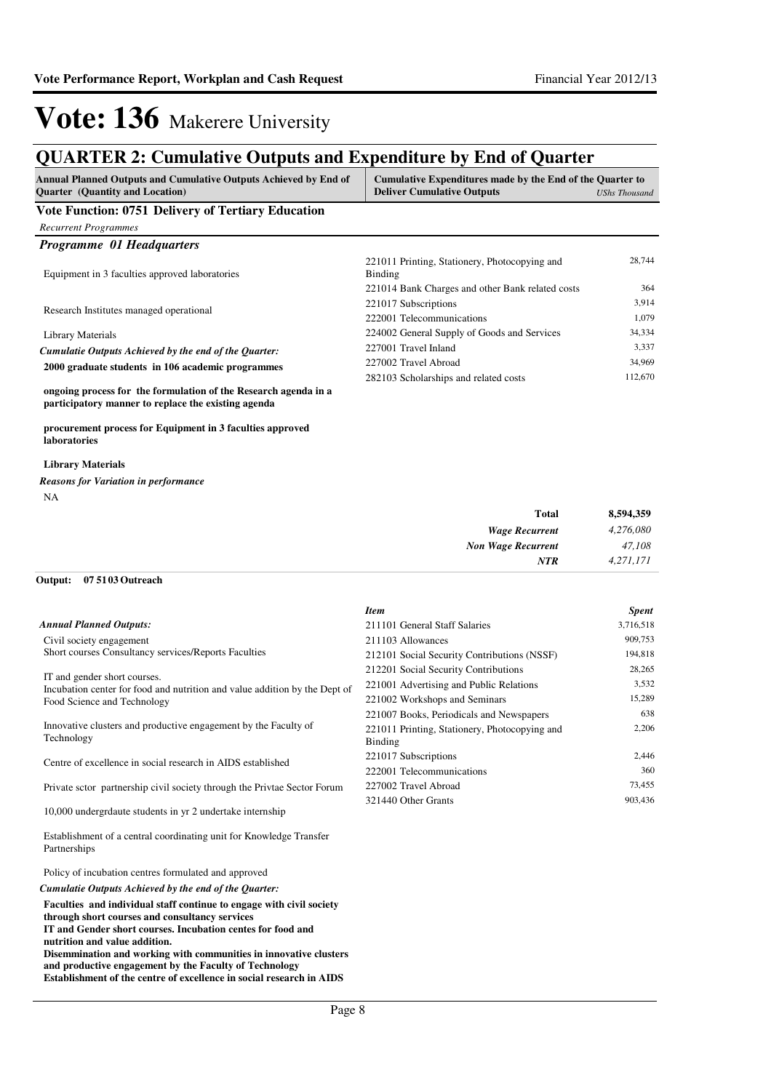| Quarter (Quantity and Location)<br><b>Vote Function: 0751 Delivery of Tertiary Education</b><br><b>Recurrent Programmes</b><br>Programme 01 Headquarters<br>Equipment in 3 faculties approved laboratories<br>Research Institutes managed operational<br>Library Materials<br>Cumulatie Outputs Achieved by the end of the Quarter:<br>2000 graduate students in 106 academic programmes<br>ongoing process for the formulation of the Research agenda in a<br>participatory manner to replace the existing agenda | <b>Deliver Cumulative Outputs</b><br>221011 Printing, Stationery, Photocopying and<br><b>Binding</b><br>221014 Bank Charges and other Bank related costs<br>221017 Subscriptions<br>222001 Telecommunications<br>224002 General Supply of Goods and Services<br>227001 Travel Inland<br>227002 Travel Abroad<br>282103 Scholarships and related costs | <b>UShs Thousand</b><br>28,744<br>364<br>3,914<br>1,079<br>34,334<br>3,337<br>34,969<br>112,670 |
|--------------------------------------------------------------------------------------------------------------------------------------------------------------------------------------------------------------------------------------------------------------------------------------------------------------------------------------------------------------------------------------------------------------------------------------------------------------------------------------------------------------------|-------------------------------------------------------------------------------------------------------------------------------------------------------------------------------------------------------------------------------------------------------------------------------------------------------------------------------------------------------|-------------------------------------------------------------------------------------------------|
|                                                                                                                                                                                                                                                                                                                                                                                                                                                                                                                    |                                                                                                                                                                                                                                                                                                                                                       |                                                                                                 |
|                                                                                                                                                                                                                                                                                                                                                                                                                                                                                                                    |                                                                                                                                                                                                                                                                                                                                                       |                                                                                                 |
|                                                                                                                                                                                                                                                                                                                                                                                                                                                                                                                    |                                                                                                                                                                                                                                                                                                                                                       |                                                                                                 |
|                                                                                                                                                                                                                                                                                                                                                                                                                                                                                                                    |                                                                                                                                                                                                                                                                                                                                                       |                                                                                                 |
|                                                                                                                                                                                                                                                                                                                                                                                                                                                                                                                    |                                                                                                                                                                                                                                                                                                                                                       |                                                                                                 |
|                                                                                                                                                                                                                                                                                                                                                                                                                                                                                                                    |                                                                                                                                                                                                                                                                                                                                                       |                                                                                                 |
|                                                                                                                                                                                                                                                                                                                                                                                                                                                                                                                    |                                                                                                                                                                                                                                                                                                                                                       |                                                                                                 |
|                                                                                                                                                                                                                                                                                                                                                                                                                                                                                                                    |                                                                                                                                                                                                                                                                                                                                                       |                                                                                                 |
|                                                                                                                                                                                                                                                                                                                                                                                                                                                                                                                    |                                                                                                                                                                                                                                                                                                                                                       |                                                                                                 |
|                                                                                                                                                                                                                                                                                                                                                                                                                                                                                                                    |                                                                                                                                                                                                                                                                                                                                                       |                                                                                                 |
|                                                                                                                                                                                                                                                                                                                                                                                                                                                                                                                    |                                                                                                                                                                                                                                                                                                                                                       |                                                                                                 |
|                                                                                                                                                                                                                                                                                                                                                                                                                                                                                                                    |                                                                                                                                                                                                                                                                                                                                                       |                                                                                                 |
| procurement process for Equipment in 3 faculties approved<br>laboratories                                                                                                                                                                                                                                                                                                                                                                                                                                          |                                                                                                                                                                                                                                                                                                                                                       |                                                                                                 |
| <b>Library Materials</b>                                                                                                                                                                                                                                                                                                                                                                                                                                                                                           |                                                                                                                                                                                                                                                                                                                                                       |                                                                                                 |
| <b>Reasons for Variation in performance</b>                                                                                                                                                                                                                                                                                                                                                                                                                                                                        |                                                                                                                                                                                                                                                                                                                                                       |                                                                                                 |
| NA                                                                                                                                                                                                                                                                                                                                                                                                                                                                                                                 |                                                                                                                                                                                                                                                                                                                                                       |                                                                                                 |
|                                                                                                                                                                                                                                                                                                                                                                                                                                                                                                                    | <b>Total</b>                                                                                                                                                                                                                                                                                                                                          | 8,594,359                                                                                       |
|                                                                                                                                                                                                                                                                                                                                                                                                                                                                                                                    | <b>Wage Recurrent</b>                                                                                                                                                                                                                                                                                                                                 | 4,276,080                                                                                       |
|                                                                                                                                                                                                                                                                                                                                                                                                                                                                                                                    | <b>Non Wage Recurrent</b>                                                                                                                                                                                                                                                                                                                             | 47,108                                                                                          |
|                                                                                                                                                                                                                                                                                                                                                                                                                                                                                                                    | NTR                                                                                                                                                                                                                                                                                                                                                   | 4,271,171                                                                                       |
| 07 51 03 Outreach<br>Output:                                                                                                                                                                                                                                                                                                                                                                                                                                                                                       |                                                                                                                                                                                                                                                                                                                                                       |                                                                                                 |
|                                                                                                                                                                                                                                                                                                                                                                                                                                                                                                                    |                                                                                                                                                                                                                                                                                                                                                       |                                                                                                 |
|                                                                                                                                                                                                                                                                                                                                                                                                                                                                                                                    | <b>Item</b>                                                                                                                                                                                                                                                                                                                                           | <b>Spent</b>                                                                                    |
| <b>Annual Planned Outputs:</b>                                                                                                                                                                                                                                                                                                                                                                                                                                                                                     | 211101 General Staff Salaries                                                                                                                                                                                                                                                                                                                         | 3,716,518                                                                                       |
| Civil society engagement<br>Short courses Consultancy services/Reports Faculties                                                                                                                                                                                                                                                                                                                                                                                                                                   | 211103 Allowances                                                                                                                                                                                                                                                                                                                                     | 909,753<br>194,818                                                                              |
|                                                                                                                                                                                                                                                                                                                                                                                                                                                                                                                    | 212101 Social Security Contributions (NSSF)<br>212201 Social Security Contributions                                                                                                                                                                                                                                                                   | 28,265                                                                                          |
| IT and gender short courses.                                                                                                                                                                                                                                                                                                                                                                                                                                                                                       | 221001 Advertising and Public Relations                                                                                                                                                                                                                                                                                                               | 3,532                                                                                           |
| Incubation center for food and nutrition and value addition by the Dept of<br>Food Science and Technology                                                                                                                                                                                                                                                                                                                                                                                                          | 221002 Workshops and Seminars                                                                                                                                                                                                                                                                                                                         | 15,289                                                                                          |
|                                                                                                                                                                                                                                                                                                                                                                                                                                                                                                                    | 221007 Books, Periodicals and Newspapers                                                                                                                                                                                                                                                                                                              | 638                                                                                             |
| Innovative clusters and productive engagement by the Faculty of<br>Technology                                                                                                                                                                                                                                                                                                                                                                                                                                      | 221011 Printing, Stationery, Photocopying and<br><b>Binding</b>                                                                                                                                                                                                                                                                                       | 2,206                                                                                           |
| Centre of excellence in social research in AIDS established                                                                                                                                                                                                                                                                                                                                                                                                                                                        | 221017 Subscriptions                                                                                                                                                                                                                                                                                                                                  | 2,446                                                                                           |
|                                                                                                                                                                                                                                                                                                                                                                                                                                                                                                                    | 222001 Telecommunications                                                                                                                                                                                                                                                                                                                             | 360                                                                                             |
| Private sctor partnership civil society through the Privtae Sector Forum                                                                                                                                                                                                                                                                                                                                                                                                                                           | 227002 Travel Abroad<br>321440 Other Grants                                                                                                                                                                                                                                                                                                           | 73,455<br>903,436                                                                               |
| 10,000 undergrdaute students in yr 2 undertake internship                                                                                                                                                                                                                                                                                                                                                                                                                                                          |                                                                                                                                                                                                                                                                                                                                                       |                                                                                                 |
| Establishment of a central coordinating unit for Knowledge Transfer<br>Partnerships                                                                                                                                                                                                                                                                                                                                                                                                                                |                                                                                                                                                                                                                                                                                                                                                       |                                                                                                 |
| Policy of incubation centres formulated and approved                                                                                                                                                                                                                                                                                                                                                                                                                                                               |                                                                                                                                                                                                                                                                                                                                                       |                                                                                                 |
| Cumulatie Outputs Achieved by the end of the Quarter:                                                                                                                                                                                                                                                                                                                                                                                                                                                              |                                                                                                                                                                                                                                                                                                                                                       |                                                                                                 |
| Faculties and individual staff continue to engage with civil society                                                                                                                                                                                                                                                                                                                                                                                                                                               |                                                                                                                                                                                                                                                                                                                                                       |                                                                                                 |
| through short courses and consultancy services<br>IT and Gender short courses. Incubation centes for food and<br>nutrition and value addition.<br>Disemmination and working with communities in innovative clusters<br>and productive engagement by the Faculty of Technology                                                                                                                                                                                                                                      |                                                                                                                                                                                                                                                                                                                                                       |                                                                                                 |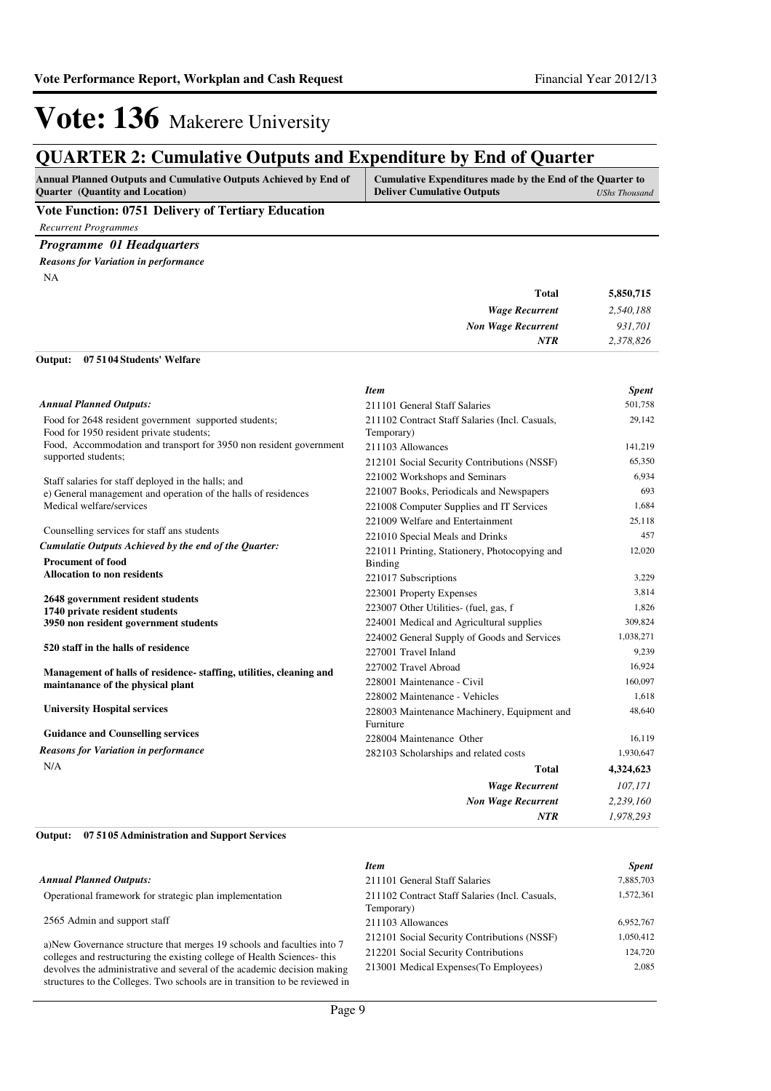### **QUARTER 2: Cumulative Outputs and Expenditure by End of Quarter**

| <b>Annual Planned Outputs and Cumulative Outputs Achieved by End of</b> | Cumulative Expenditures made by the End of the Quarter to |               |
|-------------------------------------------------------------------------|-----------------------------------------------------------|---------------|
| <b>Ouarter</b> (Quantity and Location)                                  | <b>Deliver Cumulative Outputs</b>                         | UShs Thousand |
|                                                                         |                                                           |               |

#### **Vote Function: 0751 Delivery of Tertiary Education**

*Recurrent Programmes*

*Programme 01 Headquarters Reasons for Variation in performance*

**07 5104 Students' Welfare Output:**

NA

| 5,850,715 | <b>Total</b>              |
|-----------|---------------------------|
| 2,540,188 | <b>Wage Recurrent</b>     |
| 931,701   | <b>Non Wage Recurrent</b> |
| 2,378,826 | <b>NTR</b>                |
|           |                           |

|                                                                    | <b>Item</b>                                    | <b>Spent</b> |
|--------------------------------------------------------------------|------------------------------------------------|--------------|
| <b>Annual Planned Outputs:</b>                                     | 211101 General Staff Salaries                  | 501,758      |
| Food for 2648 resident government supported students;              | 211102 Contract Staff Salaries (Incl. Casuals, | 29,142       |
| Food for 1950 resident private students;                           | Temporary)                                     |              |
| Food, Accommodation and transport for 3950 non resident government | 211103 Allowances                              | 141,219      |
| supported students;                                                | 212101 Social Security Contributions (NSSF)    | 65,350       |
| Staff salaries for staff deployed in the halls; and                | 221002 Workshops and Seminars                  | 6,934        |
| e) General management and operation of the halls of residences     | 221007 Books, Periodicals and Newspapers       | 693          |
| Medical welfare/services                                           | 221008 Computer Supplies and IT Services       | 1,684        |
|                                                                    | 221009 Welfare and Entertainment               | 25,118       |
| Counselling services for staff ans students                        | 221010 Special Meals and Drinks                | 457          |
| Cumulatie Outputs Achieved by the end of the Quarter:              | 221011 Printing, Stationery, Photocopying and  | 12,020       |
| <b>Procument of food</b>                                           | Binding                                        |              |
| <b>Allocation to non residents</b>                                 | 221017 Subscriptions                           | 3,229        |
| 2648 government resident students                                  | 223001 Property Expenses                       | 3.814        |
| 1740 private resident students                                     | 223007 Other Utilities- (fuel, gas, f          | 1,826        |
| 3950 non resident government students                              | 224001 Medical and Agricultural supplies       | 309,824      |
|                                                                    | 224002 General Supply of Goods and Services    | 1,038,271    |
| 520 staff in the halls of residence                                | 227001 Travel Inland                           | 9,239        |
| Management of halls of residence-staffing, utilities, cleaning and | 227002 Travel Abroad                           | 16.924       |
| maintanance of the physical plant                                  | 228001 Maintenance - Civil                     | 160,097      |
|                                                                    | 228002 Maintenance - Vehicles                  | 1.618        |
| <b>University Hospital services</b>                                | 228003 Maintenance Machinery, Equipment and    | 48,640       |
|                                                                    | Furniture                                      |              |
| <b>Guidance and Counselling services</b>                           | 228004 Maintenance Other                       | 16,119       |
| <b>Reasons for Variation in performance</b>                        | 282103 Scholarships and related costs          | 1,930,647    |
| N/A                                                                | <b>Total</b>                                   | 4,324,623    |
|                                                                    | <b>Wage Recurrent</b>                          | 107,171      |
|                                                                    | <b>Non Wage Recurrent</b>                      | 2,239,160    |
|                                                                    | <b>NTR</b>                                     | 1,978,293    |
|                                                                    |                                                |              |

#### **07 5105 Administration and Support Services Output:**

|                                                                                                                                                        | <b>Item</b>                                                  | <b>Spent</b> |
|--------------------------------------------------------------------------------------------------------------------------------------------------------|--------------------------------------------------------------|--------------|
| <b>Annual Planned Outputs:</b>                                                                                                                         | 211101 General Staff Salaries                                | 7,885,703    |
| Operational framework for strategic plan implementation                                                                                                | 211102 Contract Staff Salaries (Incl. Casuals,<br>Temporary) | 1,572,361    |
| 2565 Admin and support staff                                                                                                                           | 211103 Allowances                                            | 6,952,767    |
| a)New Governance structure that merges 19 schools and faculties into 7                                                                                 | 212101 Social Security Contributions (NSSF)                  | 1,050,412    |
| colleges and restructuring the existing college of Health Sciences-this                                                                                | 212201 Social Security Contributions                         | 124,720      |
| devolves the administrative and several of the academic decision making<br>structures to the Colleges. Two schools are in transition to be reviewed in | 213001 Medical Expenses (To Employees)                       | 2.085        |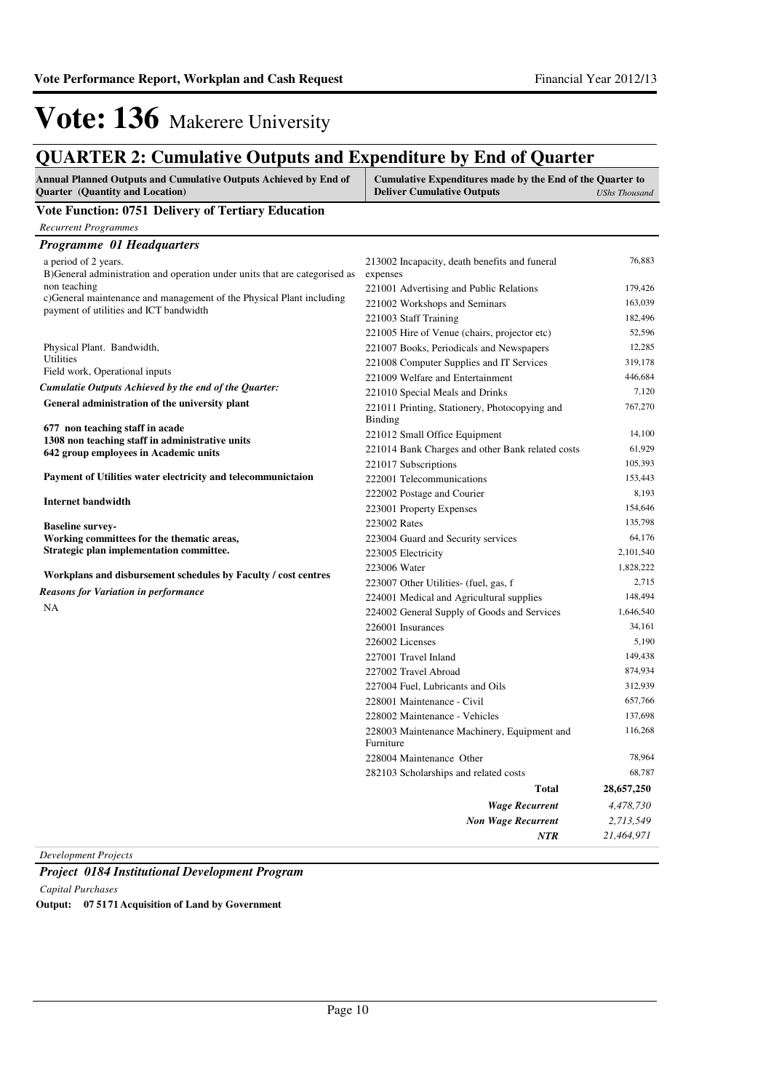### **QUARTER 2: Cumulative Outputs and Expenditure by End of Quarter**

| Annual Planned Outputs and Cumulative Outputs Achieved by End of<br><b>Quarter</b> (Quantity and Location) | Cumulative Expenditures made by the End of the Quarter to<br><b>Deliver Cumulative Outputs</b> | <b>UShs Thousand</b> |
|------------------------------------------------------------------------------------------------------------|------------------------------------------------------------------------------------------------|----------------------|
| Vote Function: 0751 Delivery of Tertiary Education                                                         |                                                                                                |                      |
| <b>Recurrent Programmes</b>                                                                                |                                                                                                |                      |
| <b>Programme 01 Headquarters</b>                                                                           |                                                                                                |                      |
| a period of 2 years.<br>B) General administration and operation under units that are categorised as        | 213002 Incapacity, death benefits and funeral<br>expenses                                      | 76,883               |
| non teaching                                                                                               | 221001 Advertising and Public Relations                                                        | 179,426              |
| c)General maintenance and management of the Physical Plant including                                       | 221002 Workshops and Seminars                                                                  | 163,039              |
| payment of utilities and ICT bandwidth                                                                     | 221003 Staff Training                                                                          | 182,496              |
|                                                                                                            | 221005 Hire of Venue (chairs, projector etc)                                                   | 52,596               |
| Physical Plant. Bandwidth,                                                                                 | 221007 Books, Periodicals and Newspapers                                                       | 12,285               |
| Utilities                                                                                                  | 221008 Computer Supplies and IT Services                                                       | 319,178              |
| Field work, Operational inputs                                                                             | 221009 Welfare and Entertainment                                                               | 446,684              |
| Cumulatie Outputs Achieved by the end of the Quarter:                                                      | 221010 Special Meals and Drinks                                                                | 7,120                |
| General administration of the university plant                                                             | 221011 Printing, Stationery, Photocopying and<br>Binding                                       | 767,270              |
| 677 non teaching staff in acade                                                                            | 221012 Small Office Equipment                                                                  | 14,100               |
| 1308 non teaching staff in administrative units<br>642 group employees in Academic units                   | 221014 Bank Charges and other Bank related costs                                               | 61,929               |
|                                                                                                            | 221017 Subscriptions                                                                           | 105,393              |
| Payment of Utilities water electricity and telecommunictaion                                               | 222001 Telecommunications                                                                      | 153,443              |
|                                                                                                            | 222002 Postage and Courier                                                                     | 8,193                |
| <b>Internet bandwidth</b>                                                                                  | 223001 Property Expenses                                                                       | 154,646              |
| <b>Baseline survey-</b>                                                                                    | 223002 Rates                                                                                   | 135,798              |
| Working committees for the thematic areas,                                                                 | 223004 Guard and Security services                                                             | 64,176               |
| Strategic plan implementation committee.                                                                   | 223005 Electricity                                                                             | 2,101,540            |
|                                                                                                            | 223006 Water                                                                                   | 1,828,222            |
| Workplans and disbursement schedules by Faculty / cost centres                                             | 223007 Other Utilities (fuel, gas, f                                                           | 2,715                |
| <b>Reasons for Variation in performance</b>                                                                | 224001 Medical and Agricultural supplies                                                       | 148,494              |
| NA                                                                                                         | 224002 General Supply of Goods and Services                                                    | 1,646,540            |
|                                                                                                            | 226001 Insurances                                                                              | 34,161               |
|                                                                                                            | 226002 Licenses                                                                                | 5,190                |
|                                                                                                            | 227001 Travel Inland                                                                           | 149,438              |
|                                                                                                            | 227002 Travel Abroad                                                                           | 874,934              |
|                                                                                                            | 227004 Fuel, Lubricants and Oils                                                               | 312,939              |
|                                                                                                            | 228001 Maintenance - Civil                                                                     | 657,766              |
|                                                                                                            | 228002 Maintenance - Vehicles                                                                  | 137,698              |
|                                                                                                            | 228003 Maintenance Machinery, Equipment and<br>Furniture                                       | 116,268              |
|                                                                                                            | 228004 Maintenance Other                                                                       | 78,964               |
|                                                                                                            | 282103 Scholarships and related costs                                                          | 68,787               |
|                                                                                                            | <b>Total</b>                                                                                   | 28,657,250           |
|                                                                                                            | <b>Wage Recurrent</b>                                                                          | 4,478,730            |
|                                                                                                            | <b>Non Wage Recurrent</b>                                                                      | 2,713,549            |
|                                                                                                            | <b>NTR</b>                                                                                     | 21,464,971           |

*Development Projects*

*Project 0184 Institutional Development Program Capital Purchases* **Output: 07 5171 Acquisition of Land by Government**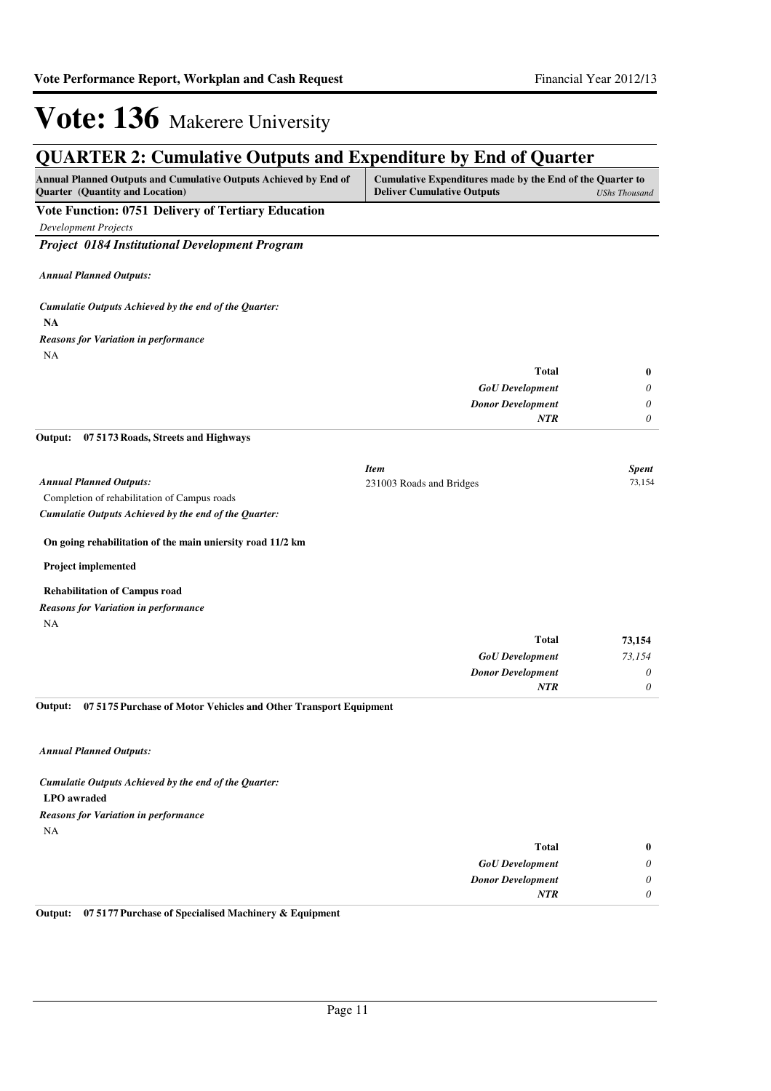### **QUARTER 2: Cumulative Outputs and Expenditure by End of Quarter**

| <b>Annual Planned Outputs and Cumulative Outputs Achieved by End of</b> | Cumulative Expenditures made by the End of the Quarter to |               |
|-------------------------------------------------------------------------|-----------------------------------------------------------|---------------|
| <b>Ouarter</b> (Quantity and Location)                                  | <b>Deliver Cumulative Outputs</b>                         | UShs Thousand |
|                                                                         |                                                           |               |

#### **Vote Function: 0751 Delivery of Tertiary Education**

*Development Projects*

*Project 0184 Institutional Development Program*

*Annual Planned Outputs:*

**NA** *Cumulatie Outputs Achieved by the end of the Quarter:* NA *Reasons for Variation in performance*

| Total                    |   |
|--------------------------|---|
| <b>GoU</b> Development   | 0 |
| <b>Donor Development</b> | 0 |
| <b>NTR</b>               | 0 |

**07 5173 Roads, Streets and Highways Output:**

|                                              | Item                     | Spent  |
|----------------------------------------------|--------------------------|--------|
| <b>Annual Planned Outputs:</b>               | 231003 Roads and Bridges | 73.154 |
| Completion of rehabilitation of Campus roads |                          |        |

*Cumulatie Outputs Achieved by the end of the Quarter:*

#### **On going rehabilitation of the main uniersity road 11/2 km**

**Project implemented**

#### **Rehabilitation of Campus road**

*Reasons for Variation in performance*

NA

| <b>Total</b>             | 73,154   |
|--------------------------|----------|
| <b>GoU</b> Development   | 73,154   |
| <b>Donor Development</b> | 0        |
| <b>NTR</b>               | $\theta$ |

**07 5175 Purchase of Motor Vehicles and Other Transport Equipment Output:**

*Annual Planned Outputs:*

### **LPO awraded** *Cumulatie Outputs Achieved by the end of the Quarter:*

NA *Reasons for Variation in performance*

| $\bf{0}$ | <b>Total</b>             |
|----------|--------------------------|
| 0        | <b>GoU</b> Development   |
| $\theta$ | <b>Donor Development</b> |
| $\theta$ | <b>NTR</b>               |
|          |                          |

**Output: 07 5177 Purchase of Specialised Machinery & Equipment**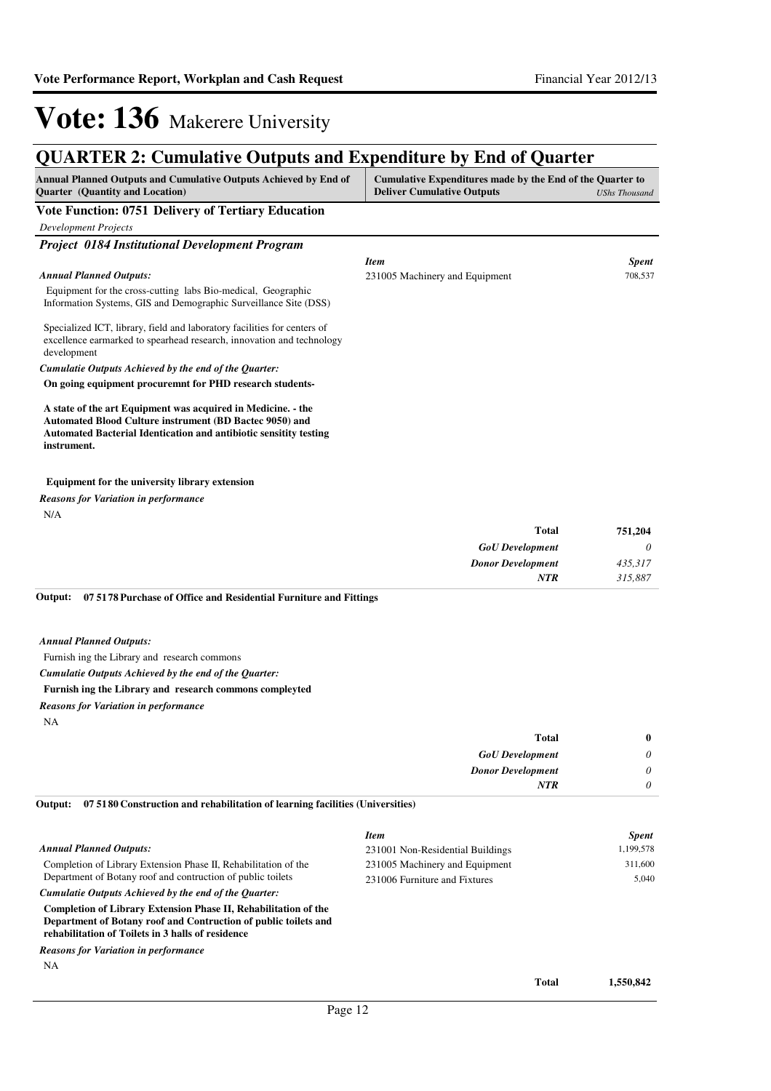### **QUARTER 2: Cumulative Outputs and Expenditure by End of Quarter**

| <b>Annual Planned Outputs and Cumulative Outputs Achieved by End of</b><br><b>Ouarter</b> (Quantity and Location)                | Cumulative Expenditures made by the End of the Quarter to<br><b>Deliver Cumulative Outputs</b> | UShs Thousand |
|----------------------------------------------------------------------------------------------------------------------------------|------------------------------------------------------------------------------------------------|---------------|
| Vote Function: 0751 Delivery of Tertiary Education                                                                               |                                                                                                |               |
| <b>Development Projects</b>                                                                                                      |                                                                                                |               |
| <b>Project 0184 Institutional Development Program</b>                                                                            |                                                                                                |               |
|                                                                                                                                  | <b>Item</b>                                                                                    | <b>Spent</b>  |
| <b>Annual Planned Outputs:</b>                                                                                                   | 231005 Machinery and Equipment                                                                 | 708,537       |
| Equipment for the cross-cutting labs Bio-medical, Geographic<br>Information Systems, GIS and Demographic Surveillance Site (DSS) |                                                                                                |               |

Specialized ICT, library, field and laboratory facilities for centers of excellence earmarked to spearhead research, innovation and technology development

*Cumulatie Outputs Achieved by the end of the Quarter:*

**On going equipment procuremnt for PHD research students-**

**A state of the art Equipment was acquired in Medicine. - the Automated Blood Culture instrument (BD Bactec 9050) and Automated Bacterial Identication and antibiotic sensitity testing instrument.**

#### **Equipment for the university library extension**

N/A *Reasons for Variation in performance*

| 751,204 | <b>Total</b>             |
|---------|--------------------------|
| 0       | <b>GoU</b> Development   |
| 435,317 | <b>Donor Development</b> |
| 315,887 | <b>NTR</b>               |
|         |                          |

**07 5178 Purchase of Office and Residential Furniture and Fittings Output:**

*Annual Planned Outputs:*

Furnish ing the Library and research commons

*Cumulatie Outputs Achieved by the end of the Quarter:*

#### **Furnish ing the Library and research commons compleyted**

*Reasons for Variation in performance*

NA

| <b>Total</b>             | $\bf{0}$ |
|--------------------------|----------|
| <b>GoU</b> Development   | $\theta$ |
| <b>Donor Development</b> | $\theta$ |
| <b>NTR</b>               | 0        |

**07 5180 Construction and rehabilitation of learning facilities (Universities) Output:**

| <b>Annual Planned Outputs:</b><br>Completion of Library Extension Phase II, Rehabilitation of the<br>Department of Botany roof and contruction of public toilets<br>Cumulatie Outputs Achieved by the end of the Quarter: | <b>Item</b><br>231001 Non-Residential Buildings<br>231005 Machinery and Equipment<br>231006 Furniture and Fixtures |              | <b>Spent</b><br>1,199,578<br>311,600<br>5.040 |
|---------------------------------------------------------------------------------------------------------------------------------------------------------------------------------------------------------------------------|--------------------------------------------------------------------------------------------------------------------|--------------|-----------------------------------------------|
| Completion of Library Extension Phase II, Rehabilitation of the<br>Department of Botany roof and Contruction of public toilets and<br>rehabilitation of Toilets in 3 halls of residence                                   |                                                                                                                    |              |                                               |
| <b>Reasons for Variation in performance</b>                                                                                                                                                                               |                                                                                                                    |              |                                               |
| <b>NA</b>                                                                                                                                                                                                                 |                                                                                                                    | <b>Total</b> | 1,550,842                                     |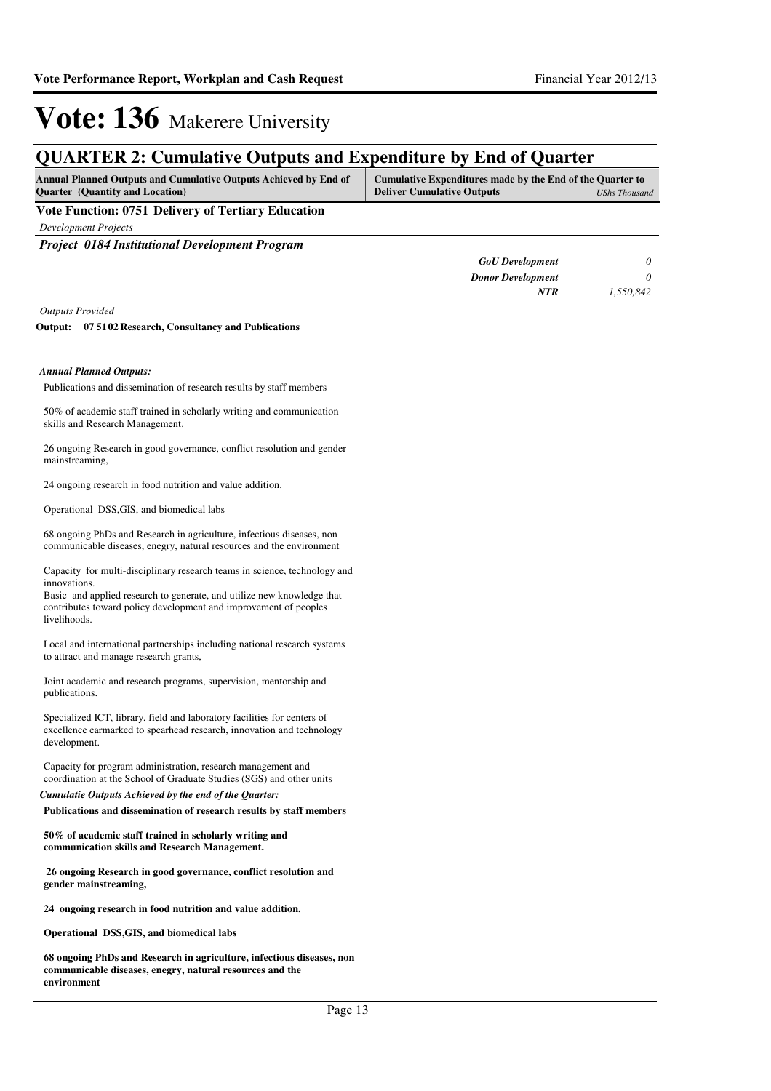### **QUARTER 2: Cumulative Outputs and Expenditure by End of Quarter**

| <b>Annual Planned Outputs and Cumulative Outputs Achieved by End of</b> | Cumulative Expenditures made by the End of the Quarter to |
|-------------------------------------------------------------------------|-----------------------------------------------------------|
| <b>Ouarter</b> (Quantity and Location)                                  | <b>Deliver Cumulative Outputs</b><br>UShs Thousand        |
| ___                                                                     |                                                           |

**Vote Function: 0751 Delivery of Tertiary Education**

*Development Projects*

*Project 0184 Institutional Development Program*

| <b>GoU</b> Development   |           |
|--------------------------|-----------|
| <b>Donor Development</b> |           |
| NTR                      | 1,550,842 |

*Outputs Provided*

#### **07 5102 Research, Consultancy and Publications Output:**

#### *Annual Planned Outputs:*

Publications and dissemination of research results by staff members

50% of academic staff trained in scholarly writing and communication skills and Research Management.

26 ongoing Research in good governance, conflict resolution and gender mainstreaming,

24 ongoing research in food nutrition and value addition.

Operational DSS,GIS, and biomedical labs

68 ongoing PhDs and Research in agriculture, infectious diseases, non communicable diseases, enegry, natural resources and the environment

Capacity for multi-disciplinary research teams in science, technology and innovations.

Basic and applied research to generate, and utilize new knowledge that contributes toward policy development and improvement of peoples livelihoods.

Local and international partnerships including national research systems to attract and manage research grants,

Joint academic and research programs, supervision, mentorship and publications.

Specialized ICT, library, field and laboratory facilities for centers of excellence earmarked to spearhead research, innovation and technology development.

Capacity for program administration, research management and coordination at the School of Graduate Studies (SGS) and other units

**Publications and dissemination of research results by staff members**  *Cumulatie Outputs Achieved by the end of the Quarter:*

**50% of academic staff trained in scholarly writing and communication skills and Research Management.**

 **26 ongoing Research in good governance, conflict resolution and gender mainstreaming,** 

**24 ongoing research in food nutrition and value addition.**

**Operational DSS,GIS, and biomedical labs**

**68 ongoing PhDs and Research in agriculture, infectious diseases, non communicable diseases, enegry, natural resources and the environment**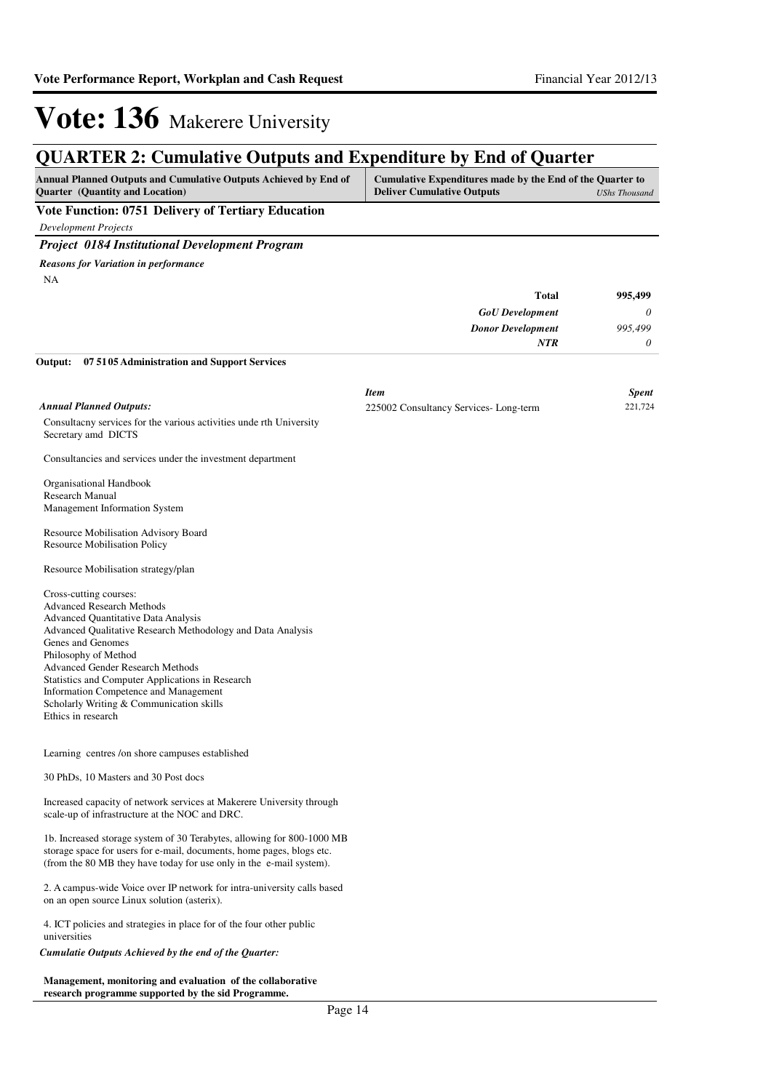### **QUARTER 2: Cumulative Outputs and Expenditure by End of Quarter**

| <b>Annual Planned Outputs and Cumulative Outputs Achieved by End of</b><br><b>Ouarter</b> (Quantity and Location) | Cumulative Expenditures made by the End of the Quarter to<br><b>Deliver Cumulative Outputs</b> | UShs Thousand |
|-------------------------------------------------------------------------------------------------------------------|------------------------------------------------------------------------------------------------|---------------|
| Vote Function: 0751 Delivery of Tertiary Education                                                                |                                                                                                |               |

*Development Projects*

#### *Project 0184 Institutional Development Program*

NA *Reasons for Variation in performance*

| 995,499  | <b>Total</b>             |
|----------|--------------------------|
| $\theta$ | <b>GoU</b> Development   |
| 995,499  | <b>Donor Development</b> |
|          | <b>NTR</b>               |
|          |                          |

**07 5105 Administration and Support Services Output:**

|                                                                                                                                                                                                                                                                                                                                                                                                                         | <b>Item</b>                           | <b>Spent</b> |
|-------------------------------------------------------------------------------------------------------------------------------------------------------------------------------------------------------------------------------------------------------------------------------------------------------------------------------------------------------------------------------------------------------------------------|---------------------------------------|--------------|
| <b>Annual Planned Outputs:</b>                                                                                                                                                                                                                                                                                                                                                                                          | 225002 Consultancy Services-Long-term | 221,724      |
| Consultacny services for the various activities under the University<br>Secretary amd DICTS                                                                                                                                                                                                                                                                                                                             |                                       |              |
| Consultancies and services under the investment department                                                                                                                                                                                                                                                                                                                                                              |                                       |              |
| Organisational Handbook<br><b>Research Manual</b><br>Management Information System                                                                                                                                                                                                                                                                                                                                      |                                       |              |
| Resource Mobilisation Advisory Board                                                                                                                                                                                                                                                                                                                                                                                    |                                       |              |
| <b>Resource Mobilisation Policy</b>                                                                                                                                                                                                                                                                                                                                                                                     |                                       |              |
| Resource Mobilisation strategy/plan                                                                                                                                                                                                                                                                                                                                                                                     |                                       |              |
| Cross-cutting courses:<br><b>Advanced Research Methods</b><br><b>Advanced Quantitative Data Analysis</b><br>Advanced Qualitative Research Methodology and Data Analysis<br>Genes and Genomes<br>Philosophy of Method<br>Advanced Gender Research Methods<br>Statistics and Computer Applications in Research<br>Information Competence and Management<br>Scholarly Writing & Communication skills<br>Ethics in research |                                       |              |
| Learning centres /on shore campuses established                                                                                                                                                                                                                                                                                                                                                                         |                                       |              |
| 30 PhDs, 10 Masters and 30 Post docs                                                                                                                                                                                                                                                                                                                                                                                    |                                       |              |
| Increased capacity of network services at Makerere University through<br>scale-up of infrastructure at the NOC and DRC.                                                                                                                                                                                                                                                                                                 |                                       |              |
| 1b. Increased storage system of 30 Terabytes, allowing for 800-1000 MB<br>storage space for users for e-mail, documents, home pages, blogs etc.<br>(from the 80 MB they have today for use only in the e-mail system).                                                                                                                                                                                                  |                                       |              |
| 2. A campus-wide Voice over IP network for intra-university calls based<br>on an open source Linux solution (asterix).                                                                                                                                                                                                                                                                                                  |                                       |              |
| 4. ICT policies and strategies in place for of the four other public<br>universities                                                                                                                                                                                                                                                                                                                                    |                                       |              |
| Cumulatie Outputs Achieved by the end of the Quarter:                                                                                                                                                                                                                                                                                                                                                                   |                                       |              |
| Management, monitoring and evaluation of the collaborative                                                                                                                                                                                                                                                                                                                                                              |                                       |              |

**research programme supported by the sid Programme.**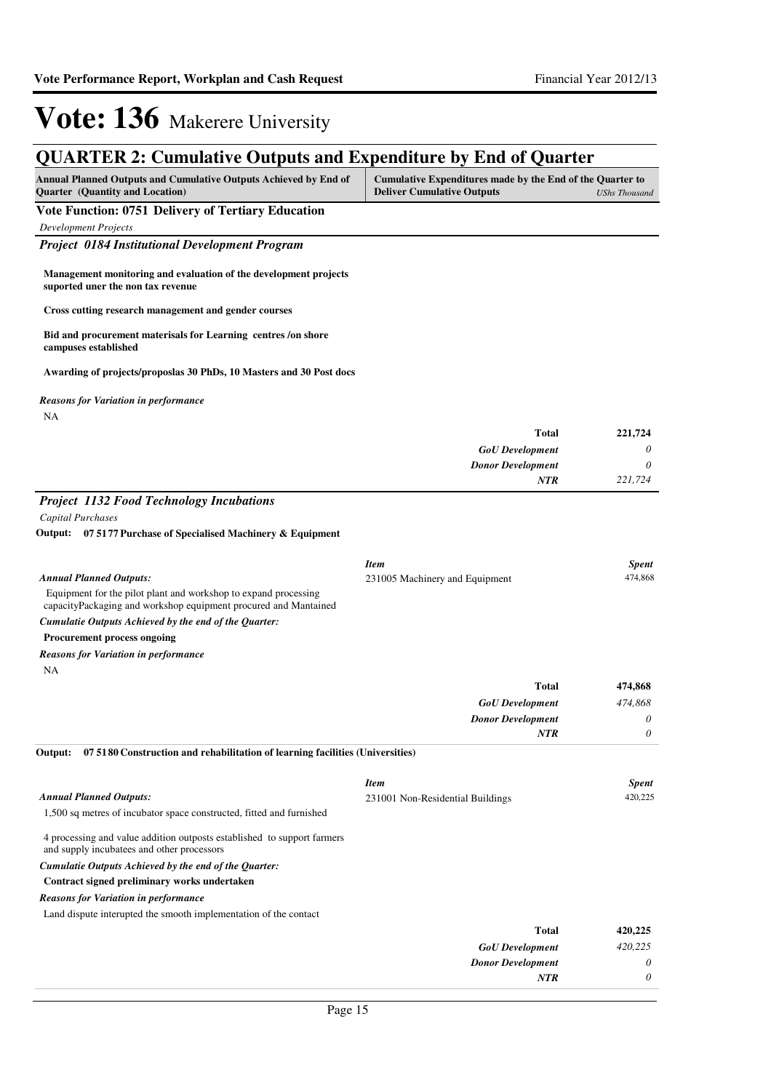### **QUARTER 2: Cumulative Outputs and Expenditure by End of Quarter**

| <b>Annual Planned Outputs and Cumulative Outputs Achieved by End of</b> | Cumulative Expenditures made by the End of the Quarter to |  |
|-------------------------------------------------------------------------|-----------------------------------------------------------|--|
| <b>Ouarter</b> (Quantity and Location)                                  | <b>Deliver Cumulative Outputs</b><br>UShs Thousand        |  |
| <b>TT / TT</b><br>$0.774$ m $11$                                        |                                                           |  |

**Vote Function: 0751 Delivery of Tertiary Education**

*Development Projects*

*Project 0184 Institutional Development Program*

**Management monitoring and evaluation of the development projects suported uner the non tax revenue**

**Cross cutting research management and gender courses**

**Bid and procurement materisals for Learning centres /on shore campuses established**

**Awarding of projects/proposlas 30 PhDs, 10 Masters and 30 Post docs**

*Reasons for Variation in performance*

NA

| 221,724 | <b>Total</b>             |
|---------|--------------------------|
| 0       | <b>GoU</b> Development   |
| 0       | <b>Donor Development</b> |
| 221,724 | <b>NTR</b>               |

### *Project 1132 Food Technology Incubations*

*Capital Purchases*

#### **07 5177 Purchase of Specialised Machinery & Equipment Output:**

|                                                                                                                                    | <b>Item</b>                      | <b>Spent</b> |
|------------------------------------------------------------------------------------------------------------------------------------|----------------------------------|--------------|
| <b>Annual Planned Outputs:</b>                                                                                                     | 231005 Machinery and Equipment   | 474,868      |
| Equipment for the pilot plant and workshop to expand processing<br>capacityPackaging and workshop equipment procured and Mantained |                                  |              |
| Cumulatie Outputs Achieved by the end of the Quarter:                                                                              |                                  |              |
| <b>Procurement process ongoing</b>                                                                                                 |                                  |              |
| <b>Reasons for Variation in performance</b>                                                                                        |                                  |              |
| <b>NA</b>                                                                                                                          |                                  |              |
|                                                                                                                                    | <b>Total</b>                     | 474,868      |
|                                                                                                                                    | <b>GoU</b> Development           | 474,868      |
|                                                                                                                                    | <b>Donor Development</b>         | 0            |
|                                                                                                                                    | <b>NTR</b>                       | 0            |
| 07 5180 Construction and rehabilitation of learning facilities (Universities)<br>Output:                                           |                                  |              |
|                                                                                                                                    | <b>Item</b>                      | <b>Spent</b> |
| <b>Annual Planned Outputs:</b>                                                                                                     | 231001 Non-Residential Buildings | 420,225      |
| 1,500 sq metres of incubator space constructed, fitted and furnished                                                               |                                  |              |
| 4 processing and value addition outposts established to support farmers<br>and supply incubatees and other processors              |                                  |              |
| Cumulatie Outputs Achieved by the end of the Quarter:                                                                              |                                  |              |
| Contract signed preliminary works undertaken                                                                                       |                                  |              |
| <b>Reasons for Variation in performance</b>                                                                                        |                                  |              |

Land dispute interupted the smooth implementation of the contact

| 420,225 | <b>Total</b>             |
|---------|--------------------------|
| 420,225 | <b>GoU</b> Development   |
| 0       | <b>Donor Development</b> |
| 0       | <b>NTR</b>               |
|         |                          |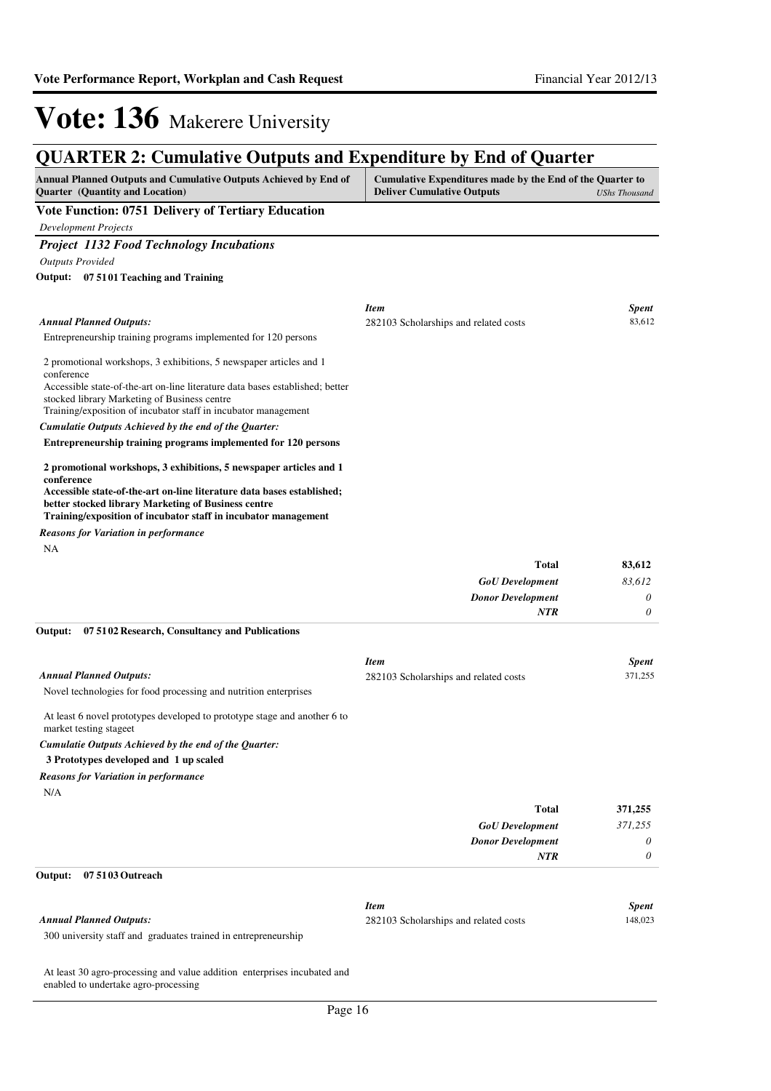*0*

*NTR*

## **Vote: 136** Makerere University

### **QUARTER 2: Cumulative Outputs and Expenditure by End of Quarter**

| <b>Annual Planned Outputs and Cumulative Outputs Achieved by End of</b> | Cumulative Expenditures made by the End of the Quarter to |               |
|-------------------------------------------------------------------------|-----------------------------------------------------------|---------------|
| <b>Quarter</b> (Quantity and Location)                                  | <b>Deliver Cumulative Outputs</b>                         | UShs Thousand |
|                                                                         |                                                           |               |

#### **Vote Function: 0751 Delivery of Tertiary Education**

*Development Projects*

*Project 1132 Food Technology Incubations*

*Outputs Provided*

**07 5101 Teaching and Training Output:**

| <b>Spent</b> |
|--------------|
| 83,612       |
|              |
|              |
|              |
|              |
|              |
|              |
|              |
|              |

*Reasons for Variation in performance*

NA

| 83,612   | <b>Total</b>             |
|----------|--------------------------|
| 83,612   | <b>GoU</b> Development   |
| $\theta$ | <b>Donor Development</b> |
| $\theta$ | <b>NTR</b>               |
|          |                          |

#### **07 5102 Research, Consultancy and Publications Output:**

|                                                                                                     | <b>Item</b>                           | <b>Spent</b> |
|-----------------------------------------------------------------------------------------------------|---------------------------------------|--------------|
| <b>Annual Planned Outputs:</b>                                                                      | 282103 Scholarships and related costs | 371,255      |
| Novel technologies for food processing and nutrition enterprises                                    |                                       |              |
| At least 6 novel prototypes developed to prototype stage and another 6 to<br>market testing stageet |                                       |              |
| Cumulatie Outputs Achieved by the end of the Ouarter:                                               |                                       |              |
| 3 Prototypes developed and 1 up scaled                                                              |                                       |              |
| <b>Reasons for Variation in performance</b>                                                         |                                       |              |
| N/A                                                                                                 |                                       |              |
|                                                                                                     | <b>Total</b>                          | 371,255      |
|                                                                                                     | <b>GoU</b> Development                | 371.255      |
|                                                                                                     | <b>Donor Development</b>              | $\theta$     |

#### **07 5103 Outreach Output:**

|                                                                | Item                                  | Spent   |
|----------------------------------------------------------------|---------------------------------------|---------|
| Annual Planned Outputs:                                        | 282103 Scholarships and related costs | 148.023 |
| 300 university staff and graduates trained in entrepreneurship |                                       |         |

At least 30 agro-processing and value addition enterprises incubated and

enabled to undertake agro-processing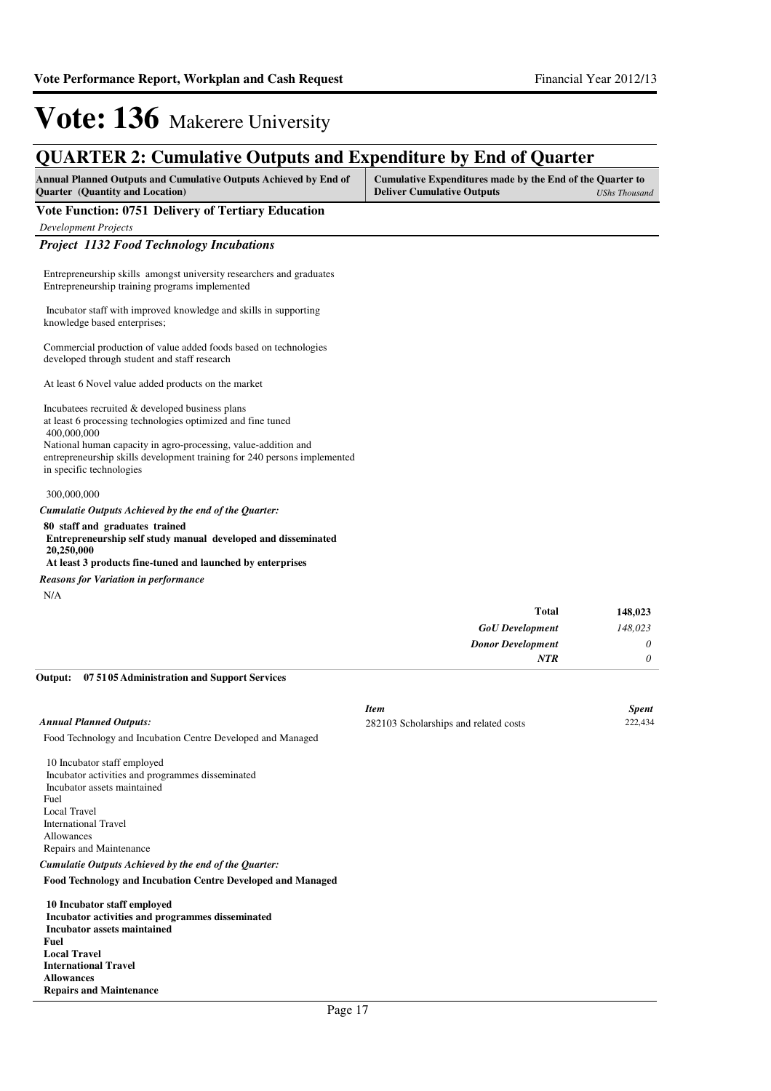### **QUARTER 2: Cumulative Outputs and Expenditure by End of Quarter**

| <b>Annual Planned Outputs and Cumulative Outputs Achieved by End of</b><br><b>Ouarter</b> (Quantity and Location) | Cumulative Expenditures made by the End of the Quarter to<br><b>Deliver Cumulative Outputs</b> | UShs Thousand |
|-------------------------------------------------------------------------------------------------------------------|------------------------------------------------------------------------------------------------|---------------|
| Vote Function: 0751 Delivery of Tertiary Education                                                                |                                                                                                |               |

*Development Projects*

#### *Project 1132 Food Technology Incubations*

Entrepreneurship skills amongst university researchers and graduates Entrepreneurship training programs implemented

 Incubator staff with improved knowledge and skills in supporting knowledge based enterprises;

Commercial production of value added foods based on technologies developed through student and staff research

At least 6 Novel value added products on the market

Incubatees recruited & developed business plans at least 6 processing technologies optimized and fine tuned

 400,000,000 National human capacity in agro-processing, value-addition and entrepreneurship skills development training for 240 persons implemented in specific technologies

#### 300,000,000

#### *Cumulatie Outputs Achieved by the end of the Quarter:*

**80 staff and graduates trained Entrepreneurship self study manual developed and disseminated** 

 **20,250,000 At least 3 products fine-tuned and launched by enterprises**

*Reasons for Variation in performance*

N/A

| <b>Total</b>             | 148,023  |
|--------------------------|----------|
| <b>GoU</b> Development   | 148,023  |
| <b>Donor Development</b> | $\theta$ |
| <b>NTR</b>               | $\theta$ |

#### **07 5105 Administration and Support Services Output:**

|                                                             | Item                                  | <b>Spent</b> |
|-------------------------------------------------------------|---------------------------------------|--------------|
| Annual Planned Outputs:                                     | 282103 Scholarships and related costs | 222,434      |
| Food Technology and Incubation Centre Developed and Managed |                                       |              |
| 10 Incubator staff employed                                 |                                       |              |
| Incubator activities and programmes disseminated            |                                       |              |
|                                                             |                                       |              |

 Incubator assets maintained Fuel Local Travel International Travel Allowances Repairs and Maintenance

*Cumulatie Outputs Achieved by the end of the Quarter:*

**Food Technology and Incubation Centre Developed and Managed**

 **10 Incubator staff employed Incubator activities and programmes disseminated Incubator assets maintained Fuel Local Travel International Travel Allowances Repairs and Maintenance**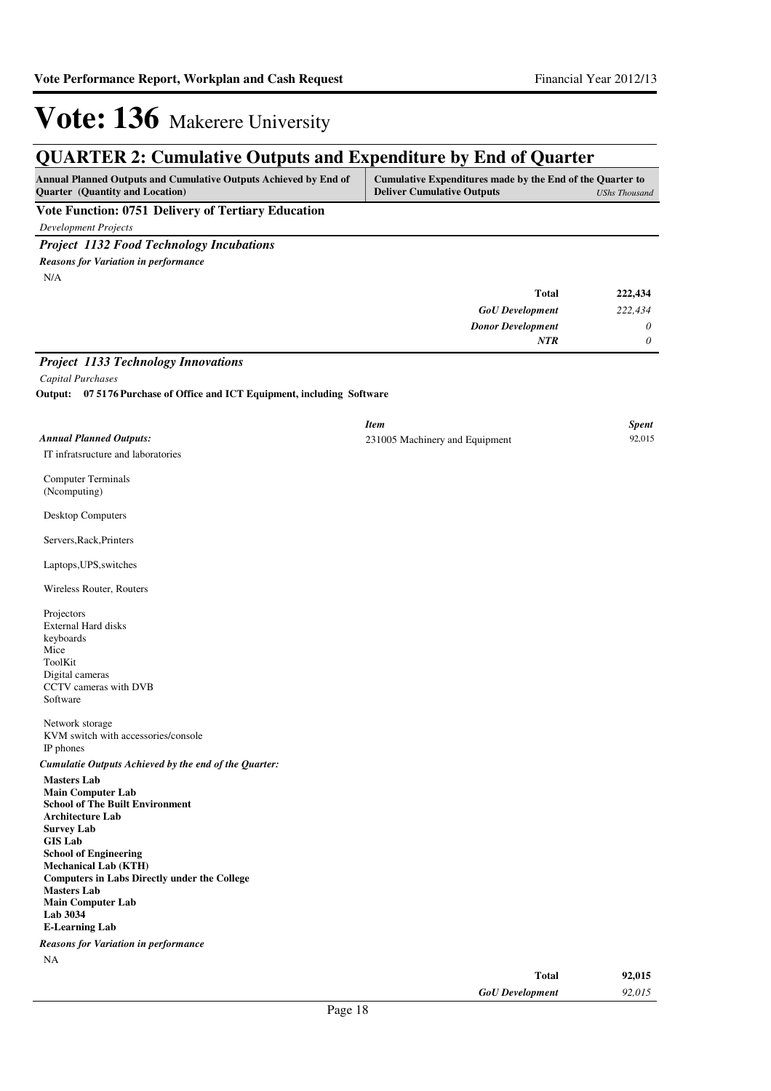### **QUARTER 2: Cumulative Outputs and Expenditure by End of Quarter**

| <b>Annual Planned Outputs and Cumulative Outputs Achieved by End of</b> | Cumulative Expenditures made by the End of the Quarter to |
|-------------------------------------------------------------------------|-----------------------------------------------------------|
| <b>Ouarter</b> (Quantity and Location)                                  | <b>Deliver Cumulative Outputs</b><br>UShs Thousand        |
| and the property of the property of                                     |                                                           |

**Vote Function: 0751 Delivery of Tertiary Education**

*Development Projects*

*Project 1132 Food Technology Incubations*

N/A *Reasons for Variation in performance*

| 222,434 | <b>Total</b>             |
|---------|--------------------------|
| 222,434 | <b>GoU</b> Development   |
| 0       | <b>Donor Development</b> |
| 0       | NTR                      |

*Project 1133 Technology Innovations*

*Capital Purchases*

**07 5176 Purchase of Office and ICT Equipment, including Software Output:**

|                                                                                                                                                                                                                                                                                                                                                                                                                               | <b>Item</b>                    |              | <b>Spent</b> |
|-------------------------------------------------------------------------------------------------------------------------------------------------------------------------------------------------------------------------------------------------------------------------------------------------------------------------------------------------------------------------------------------------------------------------------|--------------------------------|--------------|--------------|
| <b>Annual Planned Outputs:</b>                                                                                                                                                                                                                                                                                                                                                                                                | 231005 Machinery and Equipment |              | 92,015       |
| IT infratsructure and laboratories                                                                                                                                                                                                                                                                                                                                                                                            |                                |              |              |
| <b>Computer Terminals</b><br>(Ncomputing)                                                                                                                                                                                                                                                                                                                                                                                     |                                |              |              |
| Desktop Computers                                                                                                                                                                                                                                                                                                                                                                                                             |                                |              |              |
| Servers, Rack, Printers                                                                                                                                                                                                                                                                                                                                                                                                       |                                |              |              |
| Laptops, UPS, switches                                                                                                                                                                                                                                                                                                                                                                                                        |                                |              |              |
| Wireless Router, Routers                                                                                                                                                                                                                                                                                                                                                                                                      |                                |              |              |
| Projectors<br><b>External Hard disks</b><br>keyboards<br>Mice<br>ToolKit<br>Digital cameras<br>CCTV cameras with DVB<br>Software                                                                                                                                                                                                                                                                                              |                                |              |              |
| Network storage<br>KVM switch with accessories/console<br>IP phones                                                                                                                                                                                                                                                                                                                                                           |                                |              |              |
| Cumulatie Outputs Achieved by the end of the Quarter:                                                                                                                                                                                                                                                                                                                                                                         |                                |              |              |
| <b>Masters Lab</b><br><b>Main Computer Lab</b><br><b>School of The Built Environment</b><br><b>Architecture Lab</b><br><b>Survey Lab</b><br><b>GIS Lab</b><br><b>School of Engineering</b><br><b>Mechanical Lab (KTH)</b><br><b>Computers in Labs Directly under the College</b><br><b>Masters Lab</b><br><b>Main Computer Lab</b><br><b>Lab 3034</b><br><b>E-Learning Lab</b><br><b>Reasons for Variation in performance</b> |                                |              |              |
| NA                                                                                                                                                                                                                                                                                                                                                                                                                            |                                |              |              |
|                                                                                                                                                                                                                                                                                                                                                                                                                               |                                | <b>Total</b> | 92,015       |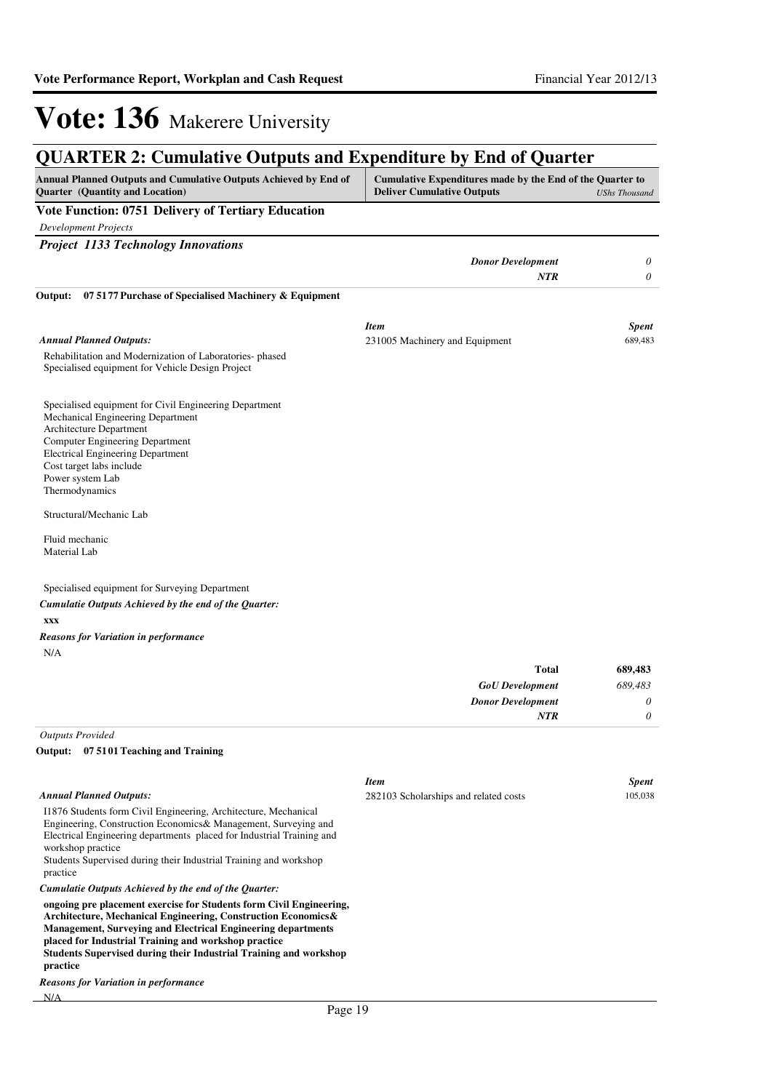#### **QUARTER 2: Cumulative Outputs and Expenditure by End of Quarter Annual Planned Outputs and Cumulative Outputs Achieved by End of Quarter (Quantity and Location) Cumulative Expenditures made by the End of the Quarter to Deliver Cumulative Outputs** *UShs Thousand* **Vote Function: 0751 Delivery of Tertiary Education** *Development Projects Project 1133 Technology Innovations Donor Development 0 NTR 0* Rehabilitation and Modernization of Laboratories- phased Specialised equipment for Vehicle Design Project Specialised equipment for Civil Engineering Department Mechanical Engineering Department Architecture Department Computer Engineering Department Electrical Engineering Department Cost target labs include Power system Lab Thermodynamics Structural/Mechanic Lab Fluid mechanic Material Lab Specialised equipment for Surveying Department **xxx 07 5177 Purchase of Specialised Machinery & Equipment Output:** *GoU Development Donor Development* **Total** *689,483 0 0* **689,483** *Cumulatie Outputs Achieved by the end of the Quarter: Annual Planned Outputs: NTR* N/A *Reasons for Variation in performance Item Spent* 231005 Machinery and Equipment 689,483 *Outputs Provided* I1876 Students form Civil Engineering, Architecture, Mechanical Engineering, Construction Economics& Management, Surveying and Electrical Engineering departments placed for Industrial Training and workshop practice Students Supervised during their Industrial Training and workshop practice **07 5101 Teaching and Training Output:** *Cumulatie Outputs Achieved by the end of the Quarter: Annual Planned Outputs: Item Spent* 282103 Scholarships and related costs 105,038

**ongoing pre placement exercise for Students form Civil Engineering, Architecture, Mechanical Engineering, Construction Economics& Management, Surveying and Electrical Engineering departments placed for Industrial Training and workshop practice Students Supervised during their Industrial Training and workshop practice**

N/A *Reasons for Variation in performance*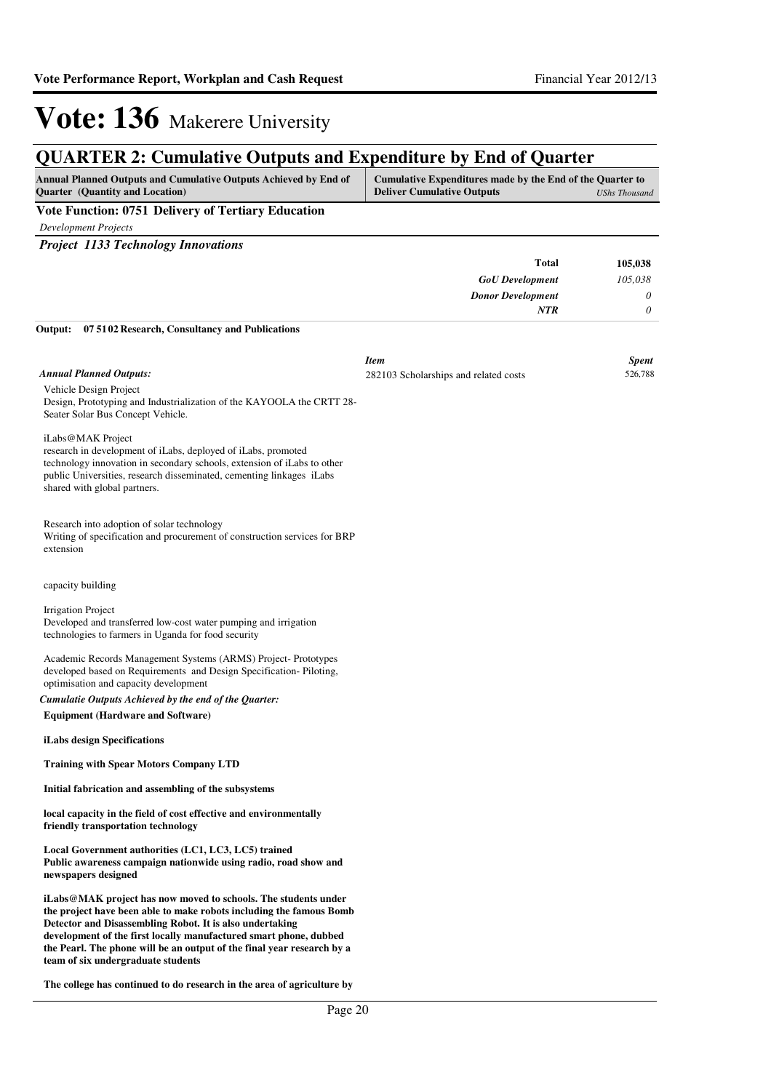### **QUARTER 2: Cumulative Outputs and Expenditure by End of Quarter**

| <b>Annual Planned Outputs and Cumulative Outputs Achieved by End of</b>     | Cumulative Expenditures made by the End of the Quarter to |
|-----------------------------------------------------------------------------|-----------------------------------------------------------|
| <b>Deliver Cumulative Outputs</b><br><b>Ouarter</b> (Quantity and Location) | UShs Thousand                                             |

**Vote Function: 0751 Delivery of Tertiary Education**

*Development Projects*

*Project 1133 Technology Innovations*

| Total                                                   | 105.038  |
|---------------------------------------------------------|----------|
| <b>GoU</b> Development                                  | 105,038  |
| <b>Donor Development</b>                                | $\theta$ |
| NTR                                                     | $\theta$ |
| Output: 07 51 02 Research, Consultancy and Publications |          |

Vehicle Design Project Design, Prototyping and Industrialization of the KAYOOLA the CRTT 28- Seater Solar Bus Concept Vehicle. iLabs@MAK Project research in development of iLabs, deployed of iLabs, promoted technology innovation in secondary schools, extension of iLabs to other public Universities, research disseminated, cementing linkages iLabs shared with global partners. Research into adoption of solar technology Writing of specification and procurement of construction services for BRP extension capacity building Irrigation Project Developed and transferred low-cost water pumping and irrigation technologies to farmers in Uganda for food security Academic Records Management Systems (ARMS) Project- Prototypes developed based on Requirements and Design Specification- Piloting, optimisation and capacity development **Equipment (Hardware and Software) iLabs design Specifications Training with Spear Motors Company LTD Initial fabrication and assembling of the subsystems local capacity in the field of cost effective and environmentally friendly transportation technology Local Government authorities (LC1, LC3, LC5) trained Public awareness campaign nationwide using radio, road show and newspapers designed iLabs@MAK project has now moved to schools. The students under the project have been able to make robots including the famous Bomb Detector and Disassembling Robot. It is also undertaking development of the first locally manufactured smart phone, dubbed**  *Cumulatie Outputs Achieved by the end of the Quarter: Annual Planned Outputs: Item Spent* 282103 Scholarships and related costs 526,788

**the Pearl. The phone will be an output of the final year research by a team of six undergraduate students**

**The college has continued to do research in the area of agriculture by**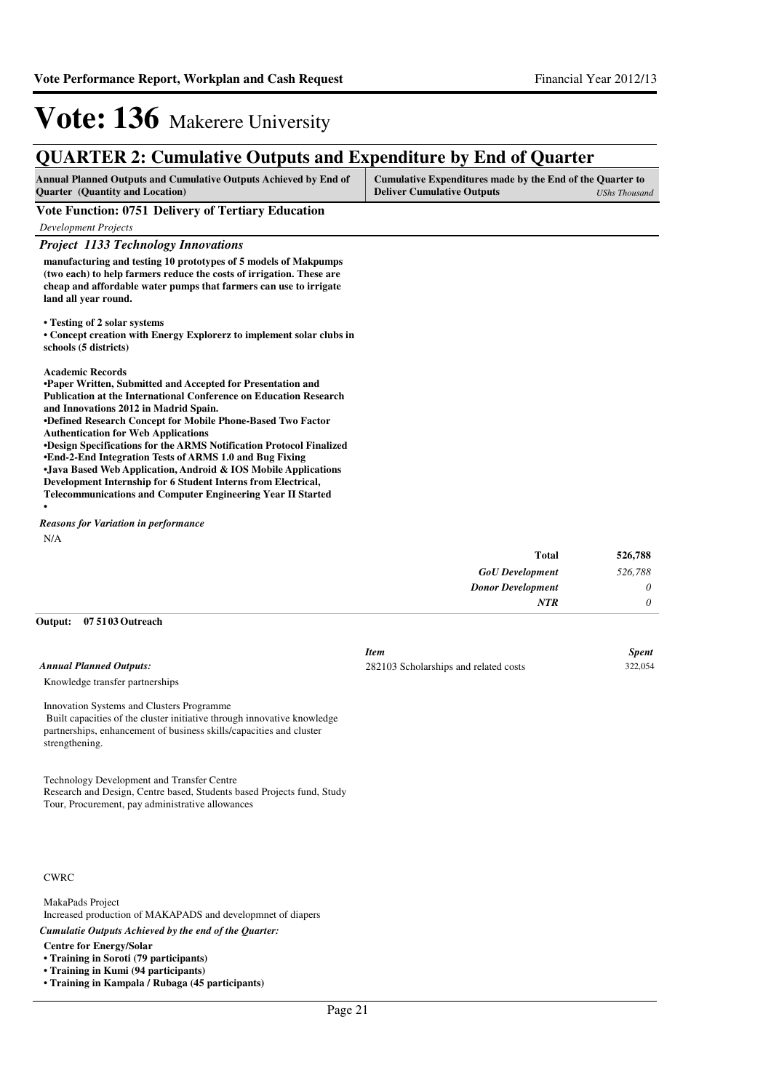### **QUARTER 2: Cumulative Outputs and Expenditure by End of Quarter**

| <b>Annual Planned Outputs and Cumulative Outputs Achieved by End of</b> | Cumulative Expenditures made by the End of the Quarter to |               |
|-------------------------------------------------------------------------|-----------------------------------------------------------|---------------|
| <b>Ouarter</b> (Quantity and Location)                                  | <b>Deliver Cumulative Outputs</b>                         | UShs Thousand |

#### **Vote Function: 0751 Delivery of Tertiary Education**

*Development Projects*

#### *Project 1133 Technology Innovations*

**manufacturing and testing 10 prototypes of 5 models of Makpumps (two each) to help farmers reduce the costs of irrigation. These are cheap and affordable water pumps that farmers can use to irrigate land all year round.** 

**• Testing of 2 solar systems**

**• Concept creation with Energy Explorerz to implement solar clubs in schools (5 districts)**

#### **Academic Records**

**•**

**•Paper Written, Submitted and Accepted for Presentation and Publication at the International Conference on Education Research and Innovations 2012 in Madrid Spain. •Defined Research Concept for Mobile Phone-Based Two Factor Authentication for Web Applications •Design Specifications for the ARMS Notification Pr otocol Finalized •End-2-End Integration Tests of ARMS 1.0 and Bug Fi xing •Java Based Web Application, Android & IOS Mobile A pplications Development Internship for 6 Student Interns from Electrical,** 

**Telecommunications and Computer Engineering Year II Started**

N/A *Reasons for Variation in performance*

| 526,788  | Total                    |
|----------|--------------------------|
| 526,788  | <b>GoU</b> Development   |
| $\theta$ | <b>Donor Development</b> |
| $\theta$ | <b>NTR</b>               |

#### **07 5103 Outreach Output:**

*Annual Planned Outputs:*

| <i>Item</i>                           | <b>Spent</b> |
|---------------------------------------|--------------|
| 282103 Scholarships and related costs | 322,054      |

Knowledge transfer partnerships

Innovation Systems and Clusters Programme Built capacities of the cluster initiative through innovative knowledge partnerships, enhancement of business skills/capacities and cluster strengthening.

Technology Development and Transfer Centre Research and Design, Centre based, Students based Projects fund, Study Tour, Procurement, pay administrative allowances

#### CWRC

MakaPads Project Increased production of MAKAPADS and developmnet of diapers

*Cumulatie Outputs Achieved by the end of the Quarter:*

**Centre for Energy/Solar**

**• Training in Soroti (79 participants)**

**• Training in Kumi (94 participants)**

**• Training in Kampala / Rubaga (45 participants)**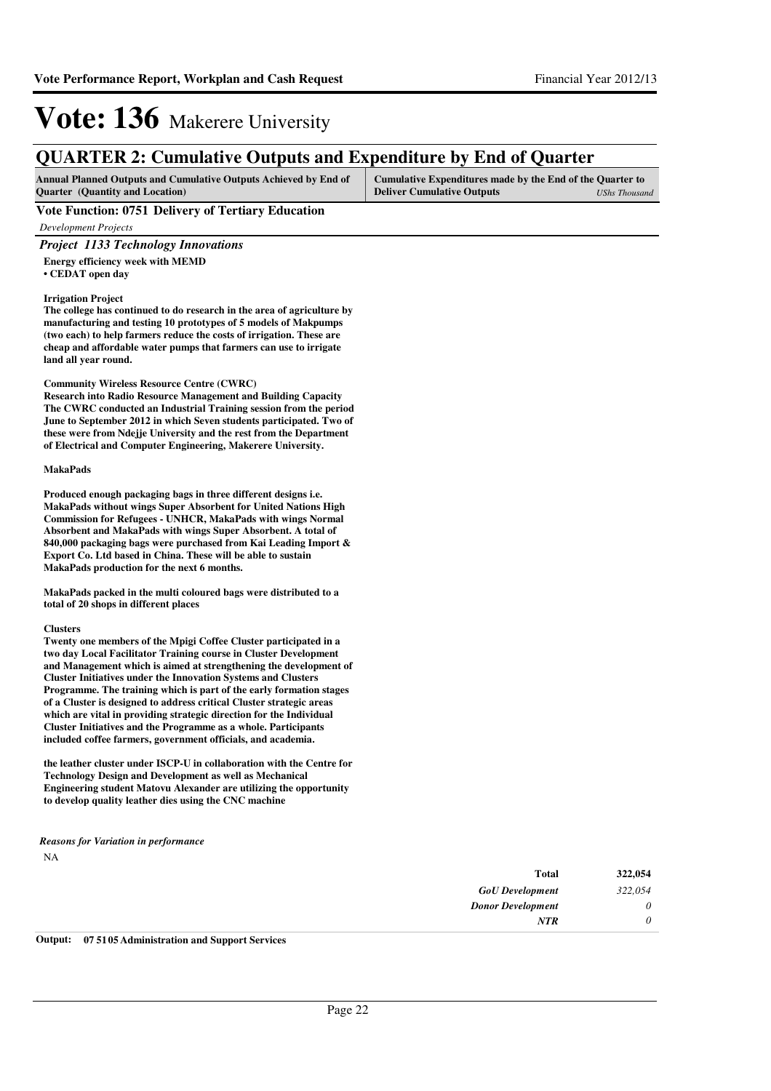### **QUARTER 2: Cumulative Outputs and Expenditure by End of Quarter**

| <b>Annual Planned Outputs and Cumulative Outputs Achieved by End of</b> | Cumulative Expenditures made by the End of the Quarter to |               |
|-------------------------------------------------------------------------|-----------------------------------------------------------|---------------|
| <b>Ouarter</b> (Quantity and Location)                                  | <b>Deliver Cumulative Outputs</b>                         | UShs Thousand |

#### **Vote Function: 0751 Delivery of Tertiary Education**

*Development Projects*

#### *Project 1133 Technology Innovations*

**Energy efficiency week with MEMD • CEDAT open day**

#### **Irrigation Project**

**The college has continued to do research in the area of agriculture by manufacturing and testing 10 prototypes of 5 models of Makpumps (two each) to help farmers reduce the costs of irrigation. These are cheap and affordable water pumps that farmers can use to irrigate land all year round.**

#### **Community Wireless Resource Centre (CWRC)**

**Research into Radio Resource Management and Building Capacity The CWRC conducted an Industrial Training session from the period June to September 2012 in which Seven students participated. Two of these were from Ndejje University and the rest from the Department of Electrical and Computer Engineering, Makerere University.**

#### **MakaPads**

**Produced enough packaging bags in three different designs i.e. MakaPads without wings Super Absorbent for United Nations High Commission for Refugees - UNHCR, MakaPads with wings Normal Absorbent and MakaPads with wings Super Absorbent. A total of 840,000 packaging bags were purchased from Kai Leading Import & Export Co. Ltd based in China. These will be able to sustain MakaPads production for the next 6 months.** 

**MakaPads packed in the multi coloured bags were distributed to a total of 20 shops in different places**

#### **Clusters**

**Twenty one members of the Mpigi Coffee Cluster participated in a two day Local Facilitator Training course in Cluster Development and Management which is aimed at strengthening the development of Cluster Initiatives under the Innovation Systems and Clusters Programme. The training which is part of the early formation stages of a Cluster is designed to address critical Cluster strategic areas which are vital in providing strategic direction for the Individual Cluster Initiatives and the Programme as a whole. Participants included coffee farmers, government officials, and academia.**

**the leather cluster under ISCP-U in collaboration with the Centre for Technology Design and Development as well as Mechanical Engineering student Matovu Alexander are utilizing the opportunity to develop quality leather dies using the CNC machine**

#### NA *Reasons for Variation in performance*

| 322,054  | <b>Total</b>             |
|----------|--------------------------|
| 322,054  | <b>GoU</b> Development   |
| $\theta$ | <b>Donor Development</b> |
| 0        | <b>NTR</b>               |
|          |                          |

**Output: 07 5105 Administration and Support Services**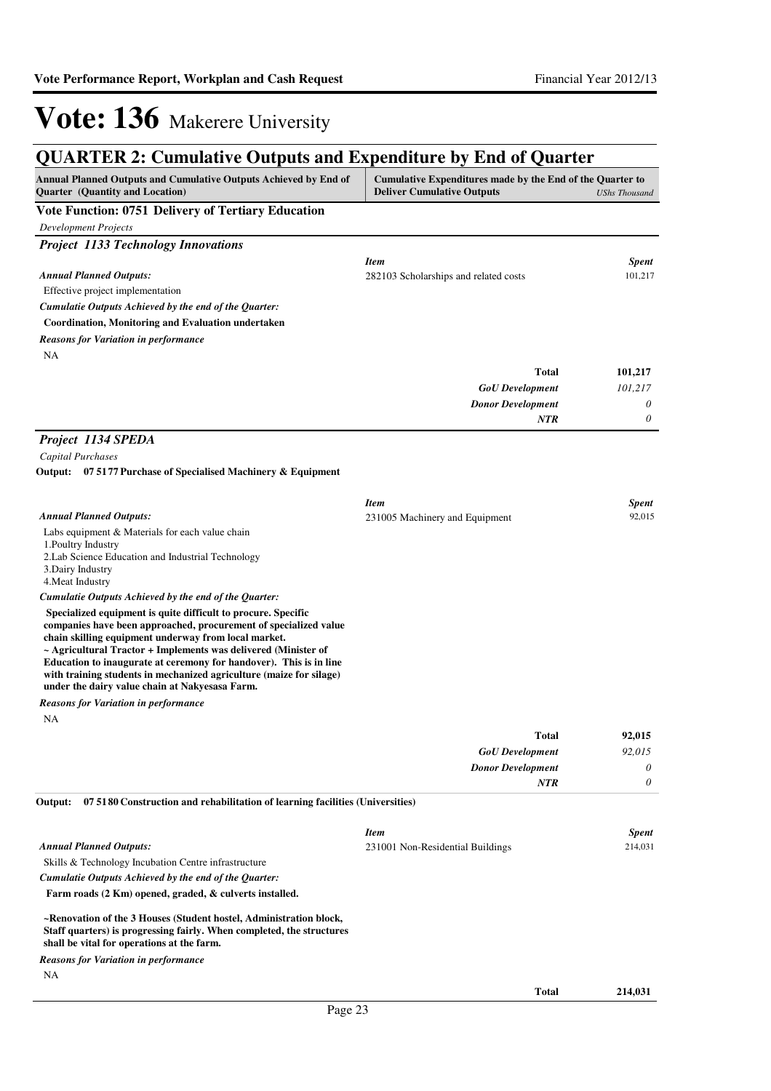### **QUARTER 2: Cumulative Outputs and Expenditure by End of Quarter**

| QUANTEN 2: Cumulative Outputs and Expenditure by Eild of Quarter                                           |                                                                                                                 |              |  |
|------------------------------------------------------------------------------------------------------------|-----------------------------------------------------------------------------------------------------------------|--------------|--|
| Annual Planned Outputs and Cumulative Outputs Achieved by End of<br><b>Ouarter</b> (Quantity and Location) | Cumulative Expenditures made by the End of the Quarter to<br><b>Deliver Cumulative Outputs</b><br>UShs Thousand |              |  |
| <b>Vote Function: 0751 Delivery of Tertiary Education</b>                                                  |                                                                                                                 |              |  |
| <b>Development Projects</b>                                                                                |                                                                                                                 |              |  |
| <b>Project 1133 Technology Innovations</b>                                                                 |                                                                                                                 |              |  |
|                                                                                                            | <b>Item</b>                                                                                                     | <b>Spent</b> |  |
| <b>Annual Planned Outputs:</b>                                                                             | 282103 Scholarships and related costs                                                                           | 101,217      |  |
| Effective project implementation                                                                           |                                                                                                                 |              |  |
| Cumulatie Outputs Achieved by the end of the Quarter:                                                      |                                                                                                                 |              |  |
| <b>Coordination, Monitoring and Evaluation undertaken</b>                                                  |                                                                                                                 |              |  |
| <b>Reasons for Variation in performance</b>                                                                |                                                                                                                 |              |  |
| NA                                                                                                         |                                                                                                                 |              |  |
|                                                                                                            | <b>Total</b>                                                                                                    | 101,217      |  |
|                                                                                                            | <b>GoU</b> Development                                                                                          | 101,217      |  |
|                                                                                                            | <b>Donor Development</b>                                                                                        | 0            |  |
|                                                                                                            | <b>NTR</b>                                                                                                      | 0            |  |

#### *Project 1134 SPEDA*

*Capital Purchases*

#### **07 5177 Purchase of Specialised Machinery & Equipment Output:**

|                                                                                                                                                                                                                                                                                                                                                                                                                                                                 | <b>Item</b>                    | <b>Spent</b> |
|-----------------------------------------------------------------------------------------------------------------------------------------------------------------------------------------------------------------------------------------------------------------------------------------------------------------------------------------------------------------------------------------------------------------------------------------------------------------|--------------------------------|--------------|
| <b>Annual Planned Outputs:</b>                                                                                                                                                                                                                                                                                                                                                                                                                                  | 231005 Machinery and Equipment | 92,015       |
| Labs equipment & Materials for each value chain                                                                                                                                                                                                                                                                                                                                                                                                                 |                                |              |
| 1. Poultry Industry                                                                                                                                                                                                                                                                                                                                                                                                                                             |                                |              |
| 2. Lab Science Education and Industrial Technology                                                                                                                                                                                                                                                                                                                                                                                                              |                                |              |
| 3. Dairy Industry                                                                                                                                                                                                                                                                                                                                                                                                                                               |                                |              |
| 4. Meat Industry                                                                                                                                                                                                                                                                                                                                                                                                                                                |                                |              |
| Cumulatie Outputs Achieved by the end of the Quarter:                                                                                                                                                                                                                                                                                                                                                                                                           |                                |              |
| Specialized equipment is quite difficult to procure. Specific<br>companies have been approached, procurement of specialized value<br>chain skilling equipment underway from local market.<br>$\sim$ Agricultural Tractor + Implements was delivered (Minister of<br>Education to inaugurate at ceremony for handover). This is in line<br>with training students in mechanized agriculture (maize for silage)<br>under the dairy value chain at Nakyesasa Farm. |                                |              |
| <b>Reasons for Variation in performance</b>                                                                                                                                                                                                                                                                                                                                                                                                                     |                                |              |
| ΝA                                                                                                                                                                                                                                                                                                                                                                                                                                                              |                                |              |

| <b>INA</b> |  |  |  |
|------------|--|--|--|
|            |  |  |  |
|            |  |  |  |
|            |  |  |  |
|            |  |  |  |

| 92,015   | <b>Total</b>             |
|----------|--------------------------|
| 92,015   | <b>GoU</b> Development   |
| $\theta$ | <b>Donor Development</b> |
| $\theta$ | <b>NTR</b>               |
|          |                          |

**07 5180 Construction and rehabilitation of learning facilities (Universities) Output:**

|                                                                                                                                                                                           | <b>Item</b>                      |       | <b>Spent</b> |
|-------------------------------------------------------------------------------------------------------------------------------------------------------------------------------------------|----------------------------------|-------|--------------|
| <b>Annual Planned Outputs:</b>                                                                                                                                                            | 231001 Non-Residential Buildings |       | 214,031      |
| Skills & Technology Incubation Centre infrastructure                                                                                                                                      |                                  |       |              |
| Cumulatie Outputs Achieved by the end of the Ouarter:                                                                                                                                     |                                  |       |              |
| Farm roads (2 Km) opened, graded, & culverts installed.                                                                                                                                   |                                  |       |              |
| ~Renovation of the 3 Houses (Student hostel, Administration block,<br>Staff quarters) is progressing fairly. When completed, the structures<br>shall be vital for operations at the farm. |                                  |       |              |
| <b>Reasons for Variation in performance</b>                                                                                                                                               |                                  |       |              |
| <b>NA</b>                                                                                                                                                                                 |                                  |       |              |
|                                                                                                                                                                                           |                                  | Total | 214.031      |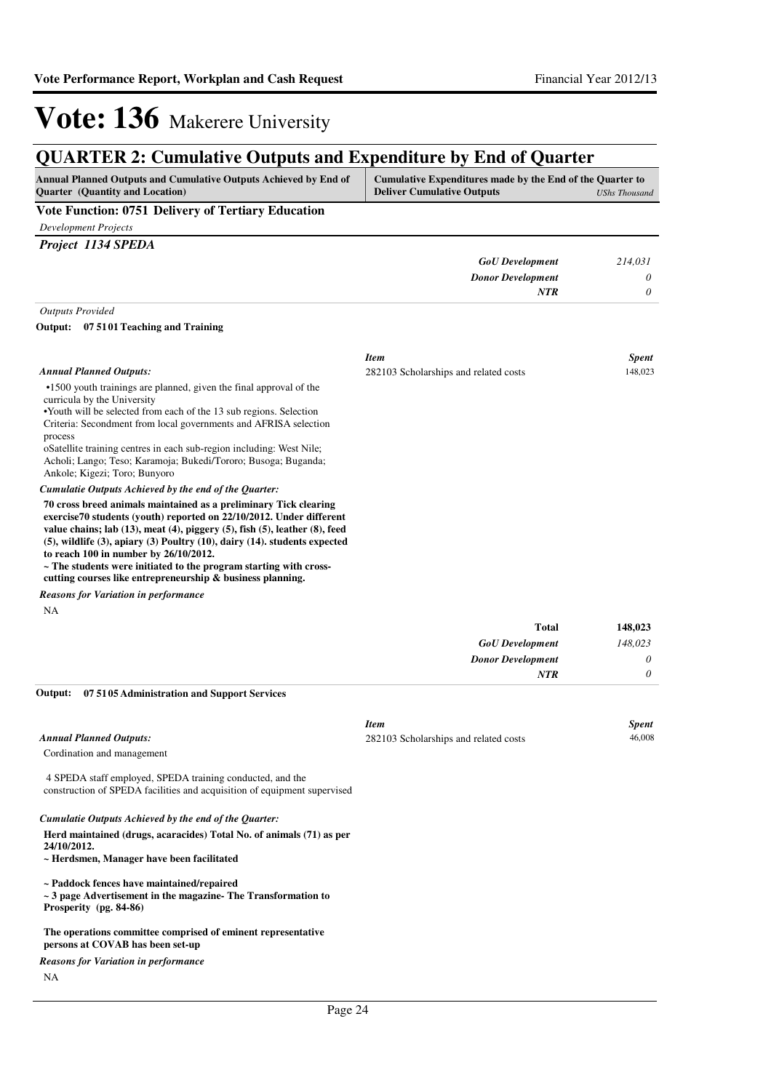### **QUARTER 2: Cumulative Outputs and Expenditure by End of Quarter**

| <b>Annual Planned Outputs and Cumulative Outputs Achieved by End of</b> | Cumulative Expenditures made by the End of the Quarter to |               |
|-------------------------------------------------------------------------|-----------------------------------------------------------|---------------|
| <b>Ouarter</b> (Quantity and Location)                                  | <b>Deliver Cumulative Outputs</b>                         | UShs Thousand |

#### **Vote Function: 0751 Delivery of Tertiary Education**

*Development Projects*

| Project 1134 SPEDA |  |
|--------------------|--|
|                    |  |

| 214,031 | <b>GoU</b> Development   |
|---------|--------------------------|
|         | <b>Donor Development</b> |
|         | NTR                      |
|         |                          |

*Outputs Provided*

#### **07 5101 Teaching and Training Output:**

|                                                                                                                                                                                                                                                                                                                                                                                                                                                                                                             | <b>Item</b>                           | <b>Spent</b> |
|-------------------------------------------------------------------------------------------------------------------------------------------------------------------------------------------------------------------------------------------------------------------------------------------------------------------------------------------------------------------------------------------------------------------------------------------------------------------------------------------------------------|---------------------------------------|--------------|
| <b>Annual Planned Outputs:</b>                                                                                                                                                                                                                                                                                                                                                                                                                                                                              | 282103 Scholarships and related costs | 148,023      |
| •1500 youth trainings are planned, given the final approval of the<br>curricula by the University<br>•Youth will be selected from each of the 13 sub regions. Selection<br>Criteria: Secondment from local governments and AFRISA selection<br>process<br>oSatellite training centres in each sub-region including. West Nile;<br>Acholi; Lango; Teso; Karamoja; Bukedi/Tororo; Busoga; Buganda;<br>Ankole; Kigezi; Toro; Bunyoro                                                                           |                                       |              |
| Cumulatie Outputs Achieved by the end of the Quarter:                                                                                                                                                                                                                                                                                                                                                                                                                                                       |                                       |              |
| 70 cross breed animals maintained as a preliminary Tick clearing<br>exercise70 students (youth) reported on 22/10/2012. Under different<br>value chains; lab $(13)$ , meat $(4)$ , piggery $(5)$ , fish $(5)$ , leather $(8)$ , feed<br>$(5)$ , wildlife $(3)$ , apiary $(3)$ Poultry $(10)$ , dairy $(14)$ . students expected<br>to reach 100 in number by 26/10/2012.<br>~ The students were initiated to the program starting with cross-<br>cutting courses like entrepreneurship & business planning. |                                       |              |
| <b>Reasons for Variation in performance</b>                                                                                                                                                                                                                                                                                                                                                                                                                                                                 |                                       |              |
| NA                                                                                                                                                                                                                                                                                                                                                                                                                                                                                                          |                                       |              |
|                                                                                                                                                                                                                                                                                                                                                                                                                                                                                                             | <b>Total</b>                          | 148,023      |
|                                                                                                                                                                                                                                                                                                                                                                                                                                                                                                             | <b>GoU</b> Development                | 148,023      |
|                                                                                                                                                                                                                                                                                                                                                                                                                                                                                                             | <b>Donor Development</b>              | 0            |

### *Donor Development 0 NTR*

#### **07 5105 Administration and Support Services Output:**

|                                                                                                                                       | <b>Item</b>                           | <b>Spent</b> |
|---------------------------------------------------------------------------------------------------------------------------------------|---------------------------------------|--------------|
| <b>Annual Planned Outputs:</b>                                                                                                        | 282103 Scholarships and related costs | 46,008       |
| Cordination and management                                                                                                            |                                       |              |
| 4 SPEDA staff employed, SPEDA training conducted, and the<br>construction of SPEDA facilities and acquisition of equipment supervised |                                       |              |
| Cumulatie Outputs Achieved by the end of the Quarter:                                                                                 |                                       |              |
| Herd maintained (drugs, acaracides) Total No. of animals (71) as per<br>24/10/2012.                                                   |                                       |              |
| ~ Herdsmen, Manager have been facilitated                                                                                             |                                       |              |
| ~ Paddock fences have maintained/repaired                                                                                             |                                       |              |
| $\sim$ 3 page Advertisement in the magazine-The Transformation to                                                                     |                                       |              |
| Prosperity (pg. 84-86)                                                                                                                |                                       |              |
| The operations committee comprised of eminent representative                                                                          |                                       |              |
| persons at COVAB has been set-up                                                                                                      |                                       |              |
| <b>Reasons for Variation in performance</b>                                                                                           |                                       |              |

NA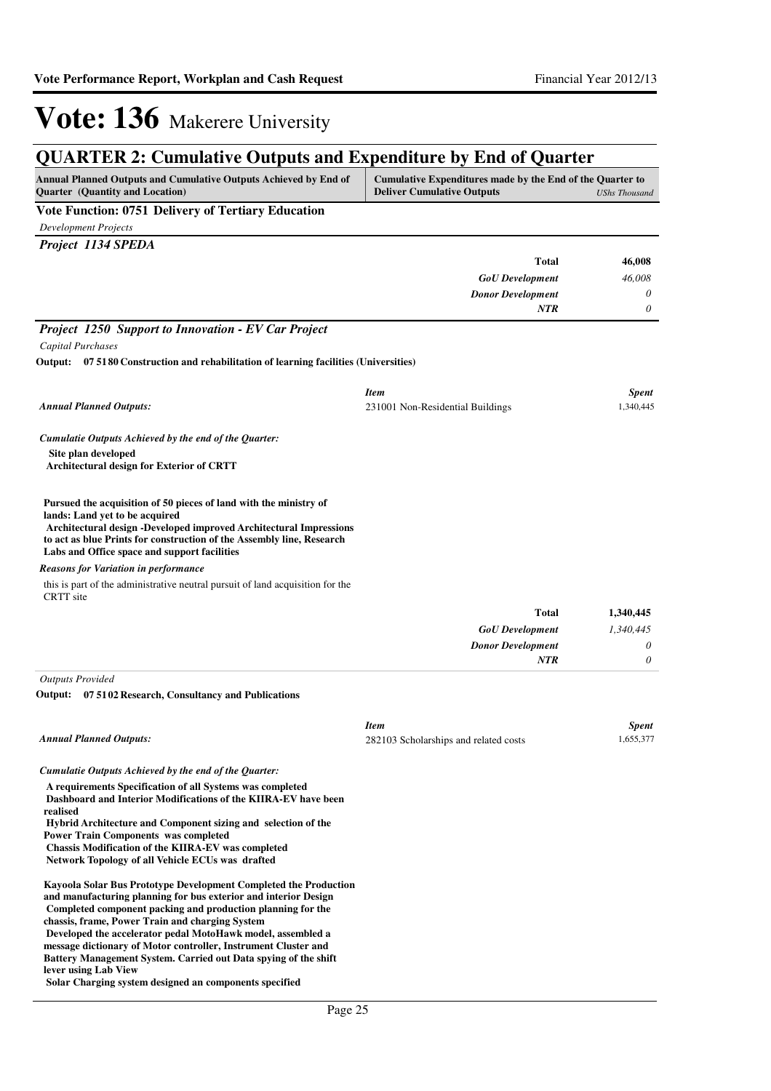### **QUARTER 2: Cumulative Outputs and Expenditure by End of Quarter**

| <b>Annual Planned Outputs and Cumulative Outputs Achieved by End of</b> | Cumulative Expenditures made by the End of the Quarter to |
|-------------------------------------------------------------------------|-----------------------------------------------------------|
| <b>Ouarter</b> (Quantity and Location)                                  | <b>Deliver Cumulative Outputs</b><br>UShs Thousand        |
| ___                                                                     |                                                           |

#### **Vote Function: 0751 Delivery of Tertiary Education**

*Development Projects*

| Project 1134 SPEDA       |          |
|--------------------------|----------|
| <b>Total</b>             | 46,008   |
| <b>GoU</b> Development   | 46,008   |
| <b>Donor Development</b> | $\theta$ |
| <b>NTR</b>               | $\theta$ |

#### *Project 1250 Support to Innovation - EV Car Project*

*Capital Purchases*

#### **07 5180 Construction and rehabilitation of learning facilities (Universities) Output:**

| <b>Annual Planned Outputs:</b>                                                                                                                                                                                                                                                                     | <b>Item</b><br>231001 Non-Residential Buildings | <b>Spent</b><br>1,340,445 |
|----------------------------------------------------------------------------------------------------------------------------------------------------------------------------------------------------------------------------------------------------------------------------------------------------|-------------------------------------------------|---------------------------|
| Cumulatie Outputs Achieved by the end of the Quarter:                                                                                                                                                                                                                                              |                                                 |                           |
| Site plan developed<br><b>Architectural design for Exterior of CRTT</b>                                                                                                                                                                                                                            |                                                 |                           |
| Pursued the acquisition of 50 pieces of land with the ministry of<br>lands: Land yet to be acquired<br>Architectural design -Developed improved Architectural Impressions<br>to act as blue Prints for construction of the Assembly line, Research<br>Labs and Office space and support facilities |                                                 |                           |
| <b>Reasons for Variation in performance</b>                                                                                                                                                                                                                                                        |                                                 |                           |
| this is part of the administrative neutral pursuit of land acquisition for the<br>CRTT site                                                                                                                                                                                                        |                                                 |                           |
|                                                                                                                                                                                                                                                                                                    | <b>Total</b>                                    | 1,340,445                 |
|                                                                                                                                                                                                                                                                                                    | <b>GoU</b> Development                          | 1,340,445                 |
|                                                                                                                                                                                                                                                                                                    | <b>Donor Development</b>                        | 0                         |
|                                                                                                                                                                                                                                                                                                    | <b>NTR</b>                                      | 0                         |

*Outputs Provided*

**07 5102 Research, Consultancy and Publications Output:**

| <b>Annual Planned Outputs:</b>                                                                                                                                                                                                                                                                                                                                           | <b>Item</b><br>282103 Scholarships and related costs | <b>Spent</b><br>1,655,377 |
|--------------------------------------------------------------------------------------------------------------------------------------------------------------------------------------------------------------------------------------------------------------------------------------------------------------------------------------------------------------------------|------------------------------------------------------|---------------------------|
| Cumulatie Outputs Achieved by the end of the Ouarter:                                                                                                                                                                                                                                                                                                                    |                                                      |                           |
| A requirements Specification of all Systems was completed<br>Dashboard and Interior Modifications of the KIIRA-EV have been<br>realised<br>Hybrid Architecture and Component sizing and selection of the<br><b>Power Train Components was completed</b><br><b>Chassis Modification of the KIIRA-EV was completed</b><br>Network Topology of all Vehicle ECUs was drafted |                                                      |                           |
| <b>Kayoola Solar Bus Prototype Development Completed the Production</b><br>and manufacturing planning for bus exterior and interior Design<br>Completed component packing and production planning for the<br>chassis, frame, Power Train and charging System<br>Developed the accelerator pedal MotoHawk model, assembled a                                              |                                                      |                           |

**message dictionary of Motor controller, Instrument Cluster and Battery Management System. Carried out Data spying of the shift lever using Lab View**

**Solar Charging system designed an components specified**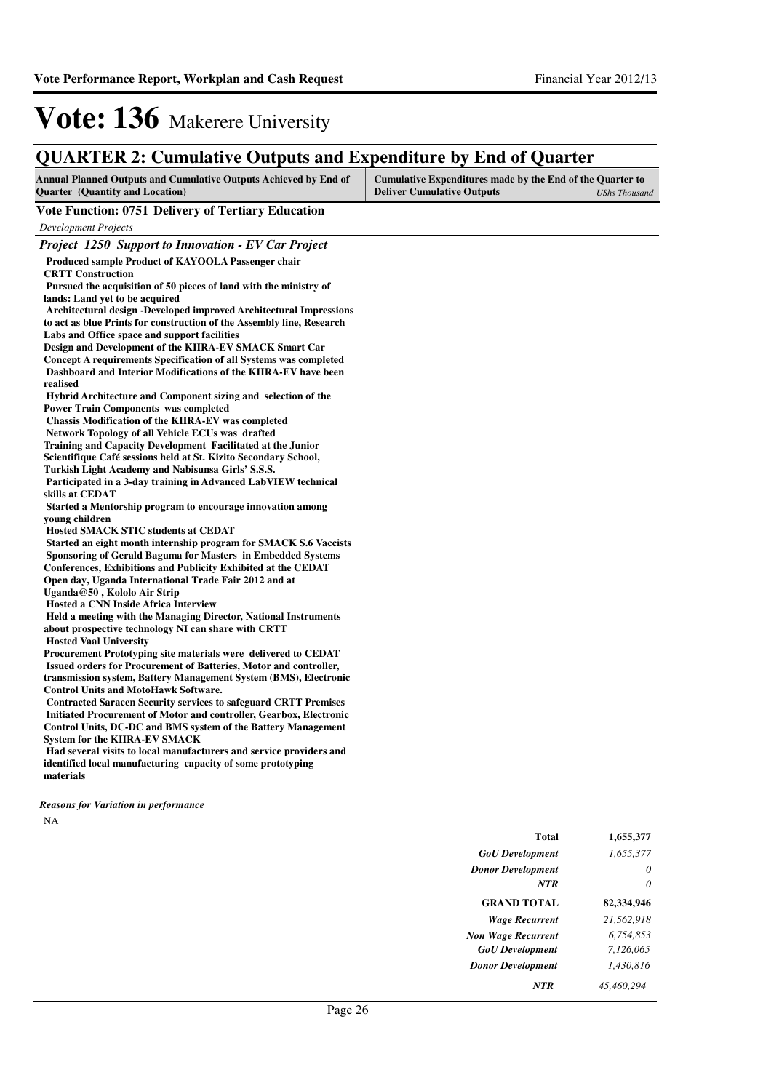### **QUARTER 2: Cumulative Outputs and Expenditure by End of Quarter**

| Annual Planned Outputs and Cumulative Outputs Achieved by End of<br><b>Quarter</b> (Quantity and Location)                                                                                                                                                                                                                                                                                                                                                                                                                                                                                                                                                                                                                                                                                                                                                                                                                                                                                                                                                                                                                                                                                                                                                                                                                                                                                                                                                                                                                                                                                                                                                                                                                                                                                                                                                                                                                                                                                                                                                                                                                                                          | Cumulative Expenditures made by the End of the Quarter to<br><b>Deliver Cumulative Outputs</b><br><b>UShs Thousand</b> |
|---------------------------------------------------------------------------------------------------------------------------------------------------------------------------------------------------------------------------------------------------------------------------------------------------------------------------------------------------------------------------------------------------------------------------------------------------------------------------------------------------------------------------------------------------------------------------------------------------------------------------------------------------------------------------------------------------------------------------------------------------------------------------------------------------------------------------------------------------------------------------------------------------------------------------------------------------------------------------------------------------------------------------------------------------------------------------------------------------------------------------------------------------------------------------------------------------------------------------------------------------------------------------------------------------------------------------------------------------------------------------------------------------------------------------------------------------------------------------------------------------------------------------------------------------------------------------------------------------------------------------------------------------------------------------------------------------------------------------------------------------------------------------------------------------------------------------------------------------------------------------------------------------------------------------------------------------------------------------------------------------------------------------------------------------------------------------------------------------------------------------------------------------------------------|------------------------------------------------------------------------------------------------------------------------|
| <b>Vote Function: 0751 Delivery of Tertiary Education</b>                                                                                                                                                                                                                                                                                                                                                                                                                                                                                                                                                                                                                                                                                                                                                                                                                                                                                                                                                                                                                                                                                                                                                                                                                                                                                                                                                                                                                                                                                                                                                                                                                                                                                                                                                                                                                                                                                                                                                                                                                                                                                                           |                                                                                                                        |
| <b>Development Projects</b>                                                                                                                                                                                                                                                                                                                                                                                                                                                                                                                                                                                                                                                                                                                                                                                                                                                                                                                                                                                                                                                                                                                                                                                                                                                                                                                                                                                                                                                                                                                                                                                                                                                                                                                                                                                                                                                                                                                                                                                                                                                                                                                                         |                                                                                                                        |
| <b>Project 1250 Support to Innovation - EV Car Project</b>                                                                                                                                                                                                                                                                                                                                                                                                                                                                                                                                                                                                                                                                                                                                                                                                                                                                                                                                                                                                                                                                                                                                                                                                                                                                                                                                                                                                                                                                                                                                                                                                                                                                                                                                                                                                                                                                                                                                                                                                                                                                                                          |                                                                                                                        |
| Produced sample Product of KAYOOLA Passenger chair<br><b>CRTT Construction</b><br>Pursued the acquisition of 50 pieces of land with the ministry of<br>lands: Land yet to be acquired<br>Architectural design -Developed improved Architectural Impressions<br>to act as blue Prints for construction of the Assembly line, Research<br>Labs and Office space and support facilities<br>Design and Development of the KIIRA-EV SMACK Smart Car<br>Concept A requirements Specification of all Systems was completed<br>Dashboard and Interior Modifications of the KIIRA-EV have been<br>realised<br>Hybrid Architecture and Component sizing and selection of the<br><b>Power Train Components was completed</b><br><b>Chassis Modification of the KIIRA-EV was completed</b><br>Network Topology of all Vehicle ECUs was drafted<br>Training and Capacity Development Facilitated at the Junior<br>Scientifique Café sessions held at St. Kizito Secondary School,<br>Turkish Light Academy and Nabisunsa Girls' S.S.S.<br>Participated in a 3-day training in Advanced LabVIEW technical<br>skills at CEDAT<br>Started a Mentorship program to encourage innovation among<br>young children<br><b>Hosted SMACK STIC students at CEDAT</b><br>Started an eight month internship program for SMACK S.6 Vaccists<br>Sponsoring of Gerald Baguma for Masters in Embedded Systems<br><b>Conferences, Exhibitions and Publicity Exhibited at the CEDAT</b><br>Open day, Uganda International Trade Fair 2012 and at<br>Uganda@50, Kololo Air Strip<br><b>Hosted a CNN Inside Africa Interview</b><br>Held a meeting with the Managing Director, National Instruments<br>about prospective technology NI can share with CRTT<br><b>Hosted Vaal University</b><br>Procurement Prototyping site materials were delivered to CEDAT<br>Issued orders for Procurement of Batteries, Motor and controller,<br>transmission system, Battery Management System (BMS), Electronic<br><b>Control Units and MotoHawk Software.</b><br><b>Contracted Saracen Security services to safeguard CRTT Premises</b><br>Initiated Procurement of Motor and controller, Gearbox, Electronic |                                                                                                                        |
| Control Units, DC-DC and BMS system of the Battery Management                                                                                                                                                                                                                                                                                                                                                                                                                                                                                                                                                                                                                                                                                                                                                                                                                                                                                                                                                                                                                                                                                                                                                                                                                                                                                                                                                                                                                                                                                                                                                                                                                                                                                                                                                                                                                                                                                                                                                                                                                                                                                                       |                                                                                                                        |
| <b>System for the KIIRA-EV SMACK</b><br>Had several visits to local manufacturers and service providers and<br>identified local manufacturing capacity of some prototyping                                                                                                                                                                                                                                                                                                                                                                                                                                                                                                                                                                                                                                                                                                                                                                                                                                                                                                                                                                                                                                                                                                                                                                                                                                                                                                                                                                                                                                                                                                                                                                                                                                                                                                                                                                                                                                                                                                                                                                                          |                                                                                                                        |
| materials                                                                                                                                                                                                                                                                                                                                                                                                                                                                                                                                                                                                                                                                                                                                                                                                                                                                                                                                                                                                                                                                                                                                                                                                                                                                                                                                                                                                                                                                                                                                                                                                                                                                                                                                                                                                                                                                                                                                                                                                                                                                                                                                                           |                                                                                                                        |

NA *Reasons for Variation in performance*

| <b>Total</b>              | 1,655,377  |
|---------------------------|------------|
| <b>GoU</b> Development    | 1,655,377  |
| <b>Donor Development</b>  | $\theta$   |
| NTR                       | $\theta$   |
| <b>GRAND TOTAL</b>        | 82,334,946 |
| <b>Wage Recurrent</b>     | 21,562,918 |
| <b>Non Wage Recurrent</b> | 6,754,853  |
| <b>GoU</b> Development    | 7,126,065  |
| <b>Donor Development</b>  | 1,430,816  |
| <b>NTR</b>                | 45,460,294 |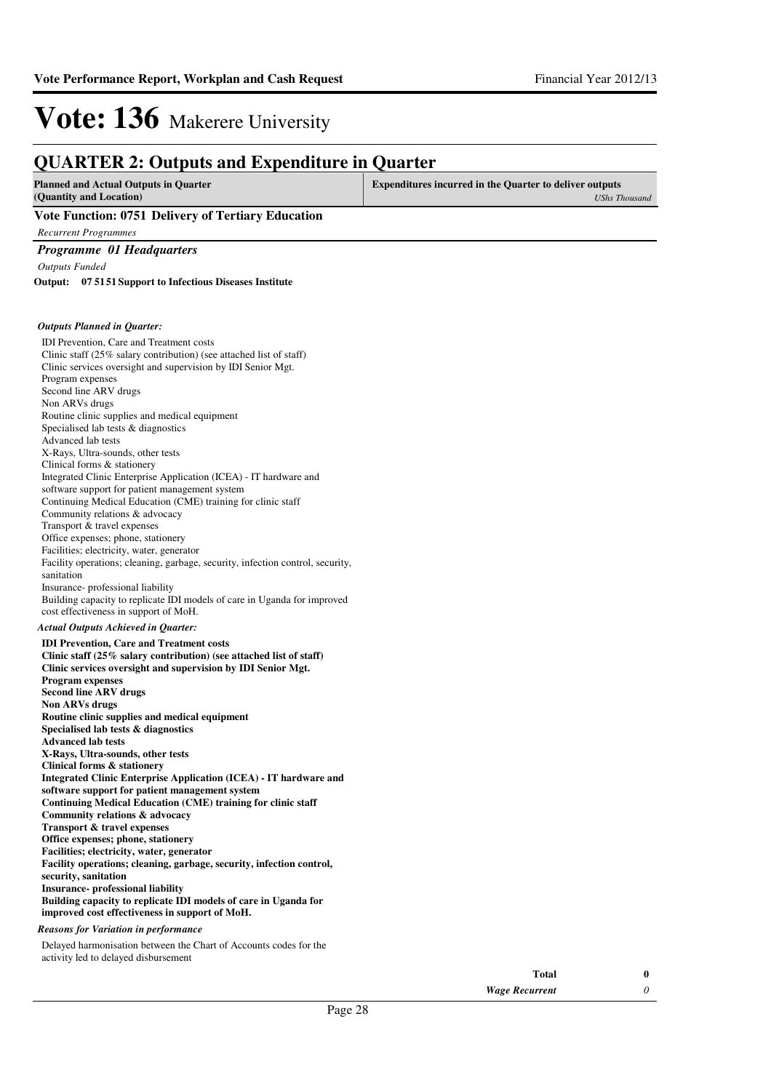#### **QUARTER 2: Outputs and Expenditure in Quarter Planned and Actual Outputs in Quarter (Quantity and Location) Expenditures incurred in the Quarter to deliver outputs**  *UShs Thousand* **Vote Function: 0751 Delivery of Tertiary Education** *Recurrent Programmes Programme 01 Headquarters Outputs Funded* IDI Prevention, Care and Treatment costs Clinic staff (25% salary contribution) (see attached list of staff) Clinic services oversight and supervision by IDI Senior Mgt. Program expenses Second line ARV drugs Non ARVs drugs Routine clinic supplies and medical equipment Specialised lab tests & diagnostics Advanced lab tests X-Rays, Ultra-sounds, other tests Clinical forms & stationery Integrated Clinic Enterprise Application (ICEA) - IT hardware and software support for patient management system Continuing Medical Education (CME) training for clinic staff Community relations & advocacy Transport & travel expenses Office expenses; phone, stationery Facilities; electricity, water, generator Facility operations; cleaning, garbage, security, infection control, security, sanitation Insurance- professional liability Building capacity to replicate IDI models of care in Uganda for improved cost effectiveness in support of MoH. **IDI Prevention, Care and Treatment costs Clinic staff (25% salary contribution) (see attached list of staff) Clinic services oversight and supervision by IDI Senior Mgt. Program expenses Second line ARV drugs Non ARVs drugs Routine clinic supplies and medical equipment Specialised lab tests & diagnostics Advanced lab tests X-Rays, Ultra-sounds, other tests Clinical forms & stationery Integrated Clinic Enterprise Application (ICEA) - IT hardware and software support for patient management system Continuing Medical Education (CME) training for clinic staff Community relations & advocacy Transport & travel expenses Office expenses; phone, stationery Facilities; electricity, water, generator Facility operations; cleaning, garbage, security, infection control, security, sanitation Insurance- professional liability Building capacity to replicate IDI models of care in Uganda for improved cost effectiveness in support of MoH. 07 5151 Support to Infectious Diseases Institute Output:** *Actual Outputs Achieved in Quarter: Outputs Planned in Quarter:* Delayed harmonisation between the Chart of Accounts codes for the activity led to delayed disbursement *Reasons for Variation in performance*

| Total                 |  |
|-----------------------|--|
| <b>Wage Recurrent</b> |  |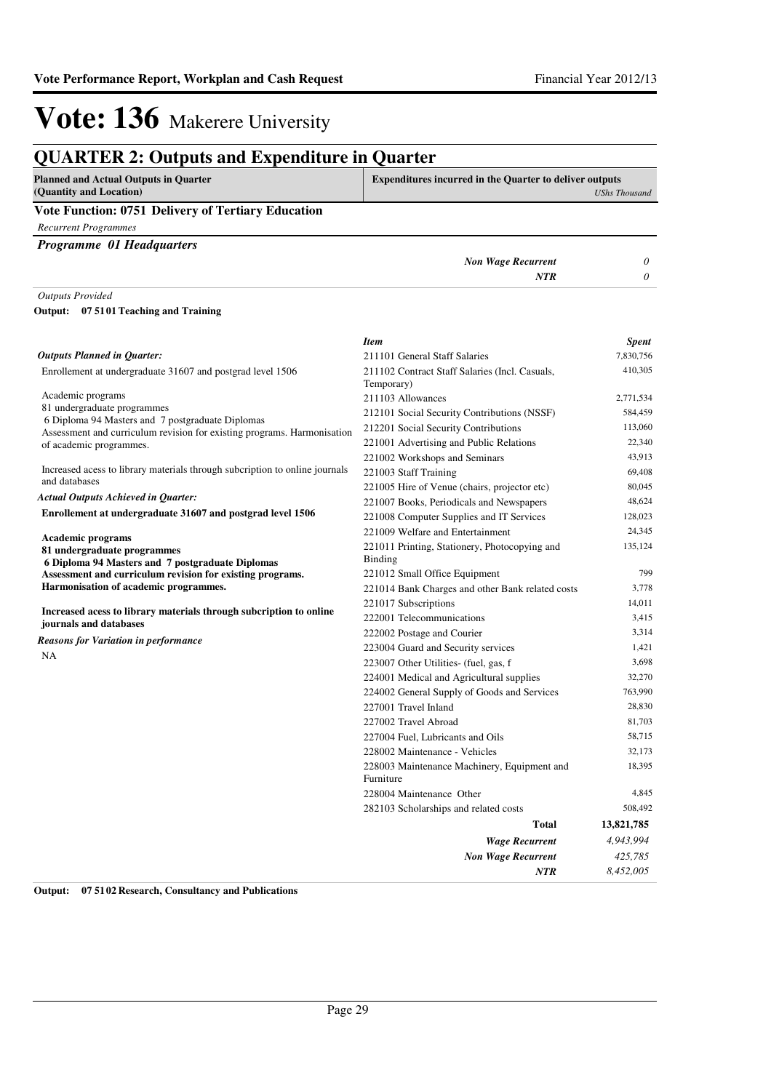## **Vote: 136** Makerere University

| <b>QUARTER 2: Outputs and Expenditure in Quarter</b>                                                          |                                                                 |                      |
|---------------------------------------------------------------------------------------------------------------|-----------------------------------------------------------------|----------------------|
| <b>Planned and Actual Outputs in Quarter</b><br>(Quantity and Location)                                       | <b>Expenditures incurred in the Quarter to deliver outputs</b>  | <b>UShs Thousand</b> |
| Vote Function: 0751 Delivery of Tertiary Education                                                            |                                                                 |                      |
| <b>Recurrent Programmes</b>                                                                                   |                                                                 |                      |
| <b>Programme 01 Headquarters</b>                                                                              |                                                                 |                      |
|                                                                                                               | <b>Non Wage Recurrent</b>                                       | 0                    |
|                                                                                                               | NTR                                                             | 0                    |
| <b>Outputs Provided</b>                                                                                       |                                                                 |                      |
| Output: 07 5101 Teaching and Training                                                                         |                                                                 |                      |
|                                                                                                               |                                                                 |                      |
|                                                                                                               | <b>Item</b>                                                     | <b>Spent</b>         |
| <b>Outputs Planned in Quarter:</b>                                                                            | 211101 General Staff Salaries                                   | 7,830,756            |
| Enrollement at undergraduate 31607 and postgrad level 1506                                                    | 211102 Contract Staff Salaries (Incl. Casuals,                  | 410,305              |
|                                                                                                               | Temporary)                                                      |                      |
| Academic programs                                                                                             | 211103 Allowances                                               | 2,771,534            |
| 81 undergraduate programmes<br>6 Diploma 94 Masters and 7 postgraduate Diplomas                               | 212101 Social Security Contributions (NSSF)                     | 584,459              |
| Assessment and curriculum revision for existing programs. Harmonisation                                       | 212201 Social Security Contributions                            | 113,060              |
| of academic programmes.                                                                                       | 221001 Advertising and Public Relations                         | 22,340               |
|                                                                                                               | 221002 Workshops and Seminars                                   | 43,913               |
| Increased acess to library materials through subcription to online journals<br>and databases                  | 221003 Staff Training                                           | 69,408               |
| <b>Actual Outputs Achieved in Quarter:</b>                                                                    | 221005 Hire of Venue (chairs, projector etc)                    | 80,045               |
| Enrollement at undergraduate 31607 and postgrad level 1506                                                    | 221007 Books, Periodicals and Newspapers                        | 48,624               |
|                                                                                                               | 221008 Computer Supplies and IT Services                        | 128,023              |
| <b>Academic programs</b>                                                                                      | 221009 Welfare and Entertainment                                | 24,345               |
| 81 undergraduate programmes                                                                                   | 221011 Printing, Stationery, Photocopying and<br><b>Binding</b> | 135,124              |
| 6 Diploma 94 Masters and 7 postgraduate Diplomas<br>Assessment and curriculum revision for existing programs. | 221012 Small Office Equipment                                   | 799                  |
| Harmonisation of academic programmes.                                                                         | 221014 Bank Charges and other Bank related costs                | 3,778                |
|                                                                                                               | 221017 Subscriptions                                            | 14,011               |
| Increased acess to library materials through subcription to online                                            | 222001 Telecommunications                                       | 3,415                |
| journals and databases                                                                                        | 222002 Postage and Courier                                      | 3,314                |
| Reasons for Variation in performance                                                                          | 223004 Guard and Security services                              | 1,421                |
| <b>NA</b>                                                                                                     | 223007 Other Utilities- (fuel, gas, f                           | 3,698                |
|                                                                                                               | 224001 Medical and Agricultural supplies                        | 32,270               |
|                                                                                                               | 224002 General Supply of Goods and Services                     | 763,990              |
|                                                                                                               | 227001 Travel Inland                                            | 28,830               |
|                                                                                                               | 227002 Travel Abroad                                            | 81,703               |
|                                                                                                               | 227004 Fuel, Lubricants and Oils                                | 58,715               |
|                                                                                                               | 228002 Maintenance - Vehicles                                   | 32,173               |
|                                                                                                               | 228003 Maintenance Machinery, Equipment and<br>Furniture        | 18,395               |
|                                                                                                               | 228004 Maintenance Other                                        | 4,845                |
|                                                                                                               | 282103 Scholarships and related costs                           | 508,492              |
|                                                                                                               | Total                                                           | 13,821,785           |
|                                                                                                               | <b>Wage Recurrent</b>                                           | 4,943,994            |
|                                                                                                               | <b>Non Wage Recurrent</b>                                       | 425,785              |
|                                                                                                               | <b>NTR</b>                                                      | 8,452,005            |

**Output: 07 5102 Research, Consultancy and Publications**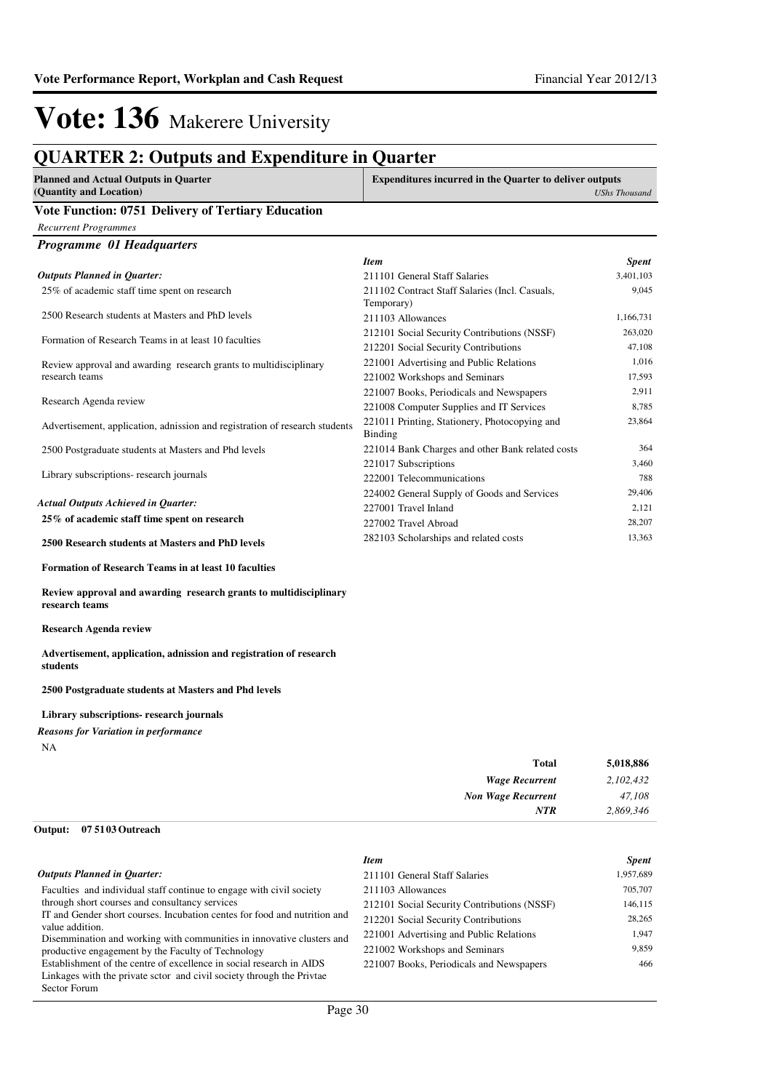### **QUARTER 2: Outputs and Expenditure in Quarter**

| <b>Planned and Actual Outputs in Quarter</b>       | <b>Expenditures incurred in the Quarter to deliver outputs</b> |
|----------------------------------------------------|----------------------------------------------------------------|
| (Quantity and Location)                            | <b>UShs Thousand</b>                                           |
| Vote Function: 0751 Delivery of Tertiary Education |                                                                |

#### **Vote Function: 0751 Delivery of Tertiary Education**

*Recurrent Programmes*

*Programme 01 Headquarters*

|                                                                             | <b>Item</b>                                                     | <b>Spent</b> |
|-----------------------------------------------------------------------------|-----------------------------------------------------------------|--------------|
| <b>Outputs Planned in Quarter:</b>                                          | 211101 General Staff Salaries                                   | 3,401,103    |
| 25% of academic staff time spent on research                                | 211102 Contract Staff Salaries (Incl. Casuals,<br>Temporary)    | 9,045        |
| 2500 Research students at Masters and PhD levels                            | 211103 Allowances                                               | 1,166,731    |
| Formation of Research Teams in at least 10 faculties                        | 212101 Social Security Contributions (NSSF)                     | 263,020      |
|                                                                             | 212201 Social Security Contributions                            | 47,108       |
| Review approval and awarding research grants to multidisciplinary           | 221001 Advertising and Public Relations                         | 1,016        |
| research teams                                                              | 221002 Workshops and Seminars                                   | 17,593       |
|                                                                             | 221007 Books, Periodicals and Newspapers                        | 2,911        |
| Research Agenda review                                                      | 221008 Computer Supplies and IT Services                        | 8,785        |
| Advertisement, application, adnission and registration of research students | 221011 Printing, Stationery, Photocopying and<br><b>Binding</b> | 23,864       |
| 2500 Postgraduate students at Masters and Phd levels                        | 221014 Bank Charges and other Bank related costs                | 364          |
|                                                                             | 221017 Subscriptions                                            | 3.460        |
| Library subscriptions- research journals                                    | 222001 Telecommunications                                       | 788          |
|                                                                             | 224002 General Supply of Goods and Services                     | 29,406       |
| Actual Outputs Achieved in Quarter:                                         | 227001 Travel Inland                                            | 2,121        |
| 25% of academic staff time spent on research                                | 227002 Travel Abroad                                            | 28,207       |
| 2500 Research students at Masters and PhD levels                            | 282103 Scholarships and related costs                           | 13,363       |

**Formation of Research Teams in at least 10 faculties**

**Review approval and awarding research grants to multidisciplinary research teams** 

**Research Agenda review**

**Advertisement, application, adnission and registration of research students**

**2500 Postgraduate students at Masters and Phd levels**

**Library subscriptions- research journals**

NA *Reasons for Variation in performance*

| 5,018,886                           |
|-------------------------------------|
| 2,102,432<br><b>Wage Recurrent</b>  |
| 47,108<br><b>Non Wage Recurrent</b> |
| 2,869,346                           |
| Total<br>NTR                        |

#### **07 5103 Outreach Output:**

|                                                                                          | <b>Item</b>                                 | <b>Spent</b> |
|------------------------------------------------------------------------------------------|---------------------------------------------|--------------|
| <b>Outputs Planned in Ouarter:</b>                                                       | 211101 General Staff Salaries               | 1,957,689    |
| Faculties and individual staff continue to engage with civil society                     | 211103 Allowances                           | 705,707      |
| through short courses and consultancy services                                           | 212101 Social Security Contributions (NSSF) | 146,115      |
| IT and Gender short courses. Incubation centes for food and nutrition and                | 212201 Social Security Contributions        | 28,265       |
| value addition.<br>Disemmination and working with communities in innovative clusters and | 221001 Advertising and Public Relations     | 1.947        |
| productive engagement by the Faculty of Technology                                       | 221002 Workshops and Seminars               | 9.859        |
| Establishment of the centre of excellence in social research in AIDS                     | 221007 Books, Periodicals and Newspapers    | 466          |
| Linkages with the private sctor and civil society through the Privia                     |                                             |              |
| Sector Forum                                                                             |                                             |              |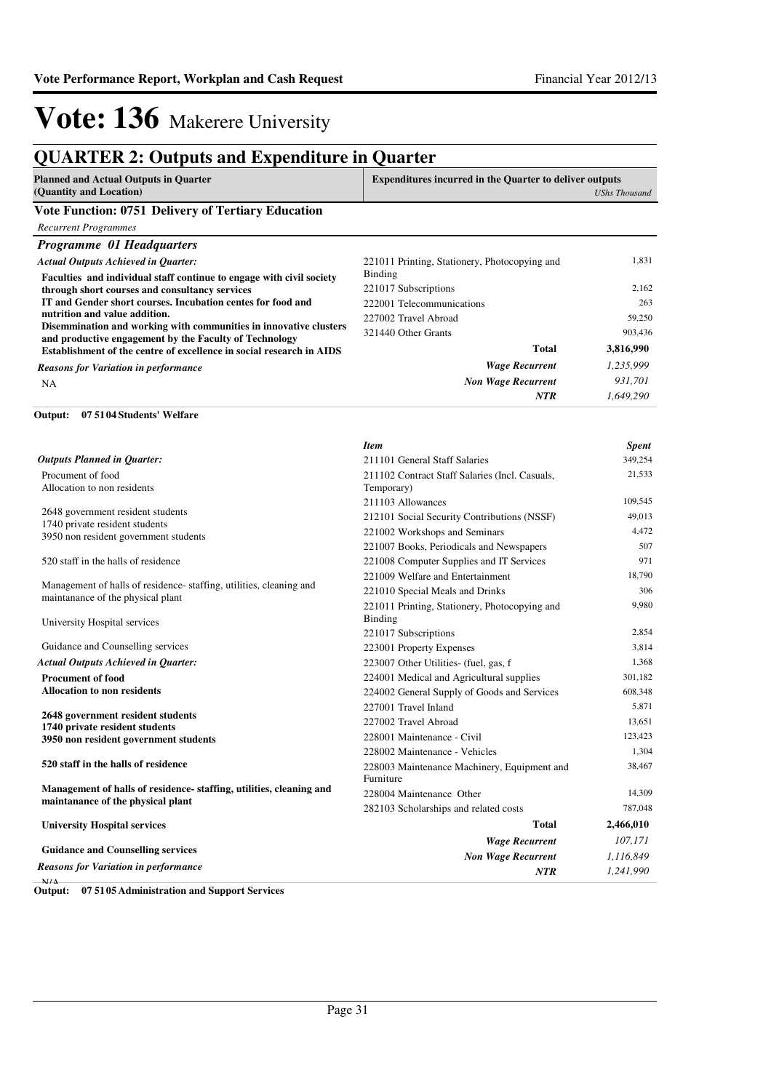### **QUARTER 2: Outputs and Expenditure in Quarter**

| Planned and Actual Outputs in Quarter                     | <b>Expenditures incurred in the Quarter to deliver outputs</b> |  |
|-----------------------------------------------------------|----------------------------------------------------------------|--|
| (Quantity and Location)                                   | UShs Thousand                                                  |  |
| <b>Vote Function: 0751 Delivery of Tertiary Education</b> |                                                                |  |

| <b>Recurrent Programmes</b>                                                                                                 |                                                                 |           |
|-----------------------------------------------------------------------------------------------------------------------------|-----------------------------------------------------------------|-----------|
| <b>Programme 01 Headquarters</b>                                                                                            |                                                                 |           |
| <b>Actual Outputs Achieved in Ouarter:</b><br>Faculties and individual staff continue to engage with civil society          | 221011 Printing, Stationery, Photocopying and<br><b>Binding</b> | 1,831     |
| through short courses and consultancy services                                                                              | 221017 Subscriptions                                            | 2,162     |
| IT and Gender short courses. Incubation centes for food and                                                                 | 222001 Telecommunications                                       | 263       |
| nutrition and value addition.                                                                                               | 227002 Travel Abroad                                            | 59,250    |
| Disemmination and working with communities in innovative clusters<br>and productive engagement by the Faculty of Technology | 321440 Other Grants                                             | 903,436   |
| Establishment of the centre of excellence in social research in AIDS                                                        | <b>Total</b>                                                    | 3,816,990 |
| <b>Reasons for Variation in performance</b>                                                                                 | <b>Wage Recurrent</b>                                           | 1,235,999 |
| NA                                                                                                                          | <b>Non Wage Recurrent</b>                                       | 931.701   |
|                                                                                                                             | NTR                                                             | 1.649.290 |

#### **07 5104 Students' Welfare Output:**

|                                                                                                         | <b>Item</b>                                                     | <b>Spent</b> |
|---------------------------------------------------------------------------------------------------------|-----------------------------------------------------------------|--------------|
| <b>Outputs Planned in Quarter:</b>                                                                      | 211101 General Staff Salaries                                   | 349,254      |
| Procument of food<br>Allocation to non residents                                                        | 211102 Contract Staff Salaries (Incl. Casuals,<br>Temporary)    | 21,533       |
|                                                                                                         | 211103 Allowances                                               | 109,545      |
| 2648 government resident students                                                                       | 212101 Social Security Contributions (NSSF)                     | 49,013       |
| 1740 private resident students                                                                          | 221002 Workshops and Seminars                                   | 4,472        |
| 3950 non resident government students                                                                   | 221007 Books, Periodicals and Newspapers                        | 507          |
| 520 staff in the halls of residence                                                                     | 221008 Computer Supplies and IT Services                        | 971          |
|                                                                                                         | 221009 Welfare and Entertainment                                | 18,790       |
| Management of halls of residence-staffing, utilities, cleaning and                                      | 221010 Special Meals and Drinks                                 | 306          |
| maintanance of the physical plant<br>University Hospital services                                       | 221011 Printing, Stationery, Photocopying and<br><b>Binding</b> | 9,980        |
|                                                                                                         | 221017 Subscriptions                                            | 2,854        |
| Guidance and Counselling services                                                                       | 223001 Property Expenses                                        | 3,814        |
| <b>Actual Outputs Achieved in Ouarter:</b>                                                              | 223007 Other Utilities- (fuel, gas, f                           | 1,368        |
| <b>Procument of food</b>                                                                                | 224001 Medical and Agricultural supplies                        | 301,182      |
| <b>Allocation to non residents</b>                                                                      | 224002 General Supply of Goods and Services                     | 608,348      |
|                                                                                                         | 227001 Travel Inland                                            | 5,871        |
| 2648 government resident students<br>1740 private resident students                                     | 227002 Travel Abroad                                            | 13,651       |
| 3950 non resident government students                                                                   | 228001 Maintenance - Civil                                      | 123,423      |
|                                                                                                         | 228002 Maintenance - Vehicles                                   | 1,304        |
| 520 staff in the halls of residence                                                                     | 228003 Maintenance Machinery, Equipment and                     | 38,467       |
|                                                                                                         | Furniture                                                       |              |
| Management of halls of residence-staffing, utilities, cleaning and<br>maintanance of the physical plant | 228004 Maintenance Other                                        | 14,309       |
|                                                                                                         | 282103 Scholarships and related costs                           | 787,048      |
| <b>University Hospital services</b>                                                                     | Total                                                           | 2,466,010    |
|                                                                                                         | <b>Wage Recurrent</b>                                           | 107,171      |
| <b>Guidance and Counselling services</b>                                                                | <b>Non Wage Recurrent</b>                                       | 1,116,849    |
| Reasons for Variation in performance                                                                    | <b>NTR</b>                                                      | 1,241,990    |
|                                                                                                         |                                                                 |              |

N/A **Output: 07 5105 Administration and Support Services**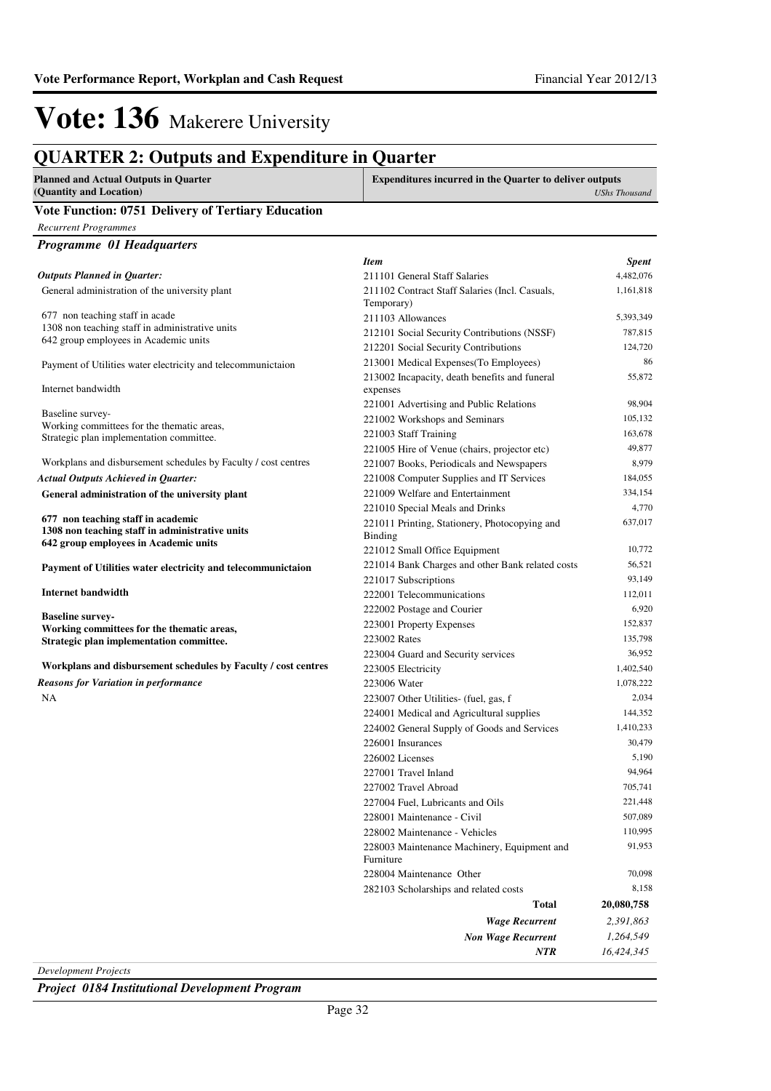*Recurrent Programmes*

### **QUARTER 2: Outputs and Expenditure in Quarter**

| Planned and Actual Outputs in Quarter                     | <b>Expenditures incurred in the Quarter to deliver outputs</b> |
|-----------------------------------------------------------|----------------------------------------------------------------|
| (Quantity and Location)                                   | <b>UShs Thousand</b>                                           |
| <b>Vote Function: 0751 Delivery of Tertiary Education</b> |                                                                |

| <b>Programme 01 Headquarters</b>                                                         |                                                  |              |
|------------------------------------------------------------------------------------------|--------------------------------------------------|--------------|
|                                                                                          | <b>Item</b>                                      | <b>Spent</b> |
| <b>Outputs Planned in Quarter:</b>                                                       | 211101 General Staff Salaries                    | 4,482,076    |
| General administration of the university plant                                           | 211102 Contract Staff Salaries (Incl. Casuals,   | 1,161,818    |
|                                                                                          | Temporary)                                       |              |
| 677 non teaching staff in acade                                                          | 211103 Allowances                                | 5,393,349    |
| 1308 non teaching staff in administrative units                                          | 212101 Social Security Contributions (NSSF)      | 787,815      |
| 642 group employees in Academic units                                                    | 212201 Social Security Contributions             | 124,720      |
| Payment of Utilities water electricity and telecommunictaion                             | 213001 Medical Expenses (To Employees)           | 86           |
|                                                                                          | 213002 Incapacity, death benefits and funeral    | 55,872       |
| Internet bandwidth                                                                       | expenses                                         |              |
|                                                                                          | 221001 Advertising and Public Relations          | 98.904       |
| Baseline survey-<br>Working committees for the thematic areas,                           | 221002 Workshops and Seminars                    | 105,132      |
| Strategic plan implementation committee.                                                 | 221003 Staff Training                            | 163,678      |
|                                                                                          | 221005 Hire of Venue (chairs, projector etc)     | 49,877       |
| Workplans and disbursement schedules by Faculty / cost centres                           | 221007 Books, Periodicals and Newspapers         | 8,979        |
| <b>Actual Outputs Achieved in Quarter:</b>                                               | 221008 Computer Supplies and IT Services         | 184,055      |
| General administration of the university plant                                           | 221009 Welfare and Entertainment                 | 334,154      |
|                                                                                          | 221010 Special Meals and Drinks                  | 4,770        |
| 677 non teaching staff in academic                                                       | 221011 Printing, Stationery, Photocopying and    | 637,017      |
| 1308 non teaching staff in administrative units<br>642 group employees in Academic units | <b>Binding</b>                                   |              |
|                                                                                          | 221012 Small Office Equipment                    | 10,772       |
| Payment of Utilities water electricity and telecommunictaion                             | 221014 Bank Charges and other Bank related costs | 56,521       |
|                                                                                          | 221017 Subscriptions                             | 93,149       |
| <b>Internet bandwidth</b>                                                                | 222001 Telecommunications                        | 112,011      |
|                                                                                          | 222002 Postage and Courier                       | 6,920        |
| <b>Baseline survey-</b><br>Working committees for the thematic areas,                    | 223001 Property Expenses                         | 152,837      |
| Strategic plan implementation committee.                                                 | 223002 Rates                                     | 135,798      |
|                                                                                          | 223004 Guard and Security services               | 36,952       |
| Workplans and disbursement schedules by Faculty / cost centres                           | 223005 Electricity                               | 1,402,540    |
| <b>Reasons for Variation in performance</b>                                              | 223006 Water                                     | 1,078,222    |
| NA                                                                                       | 223007 Other Utilities (fuel, gas, f             | 2,034        |
|                                                                                          | 224001 Medical and Agricultural supplies         | 144,352      |
|                                                                                          | 224002 General Supply of Goods and Services      | 1,410,233    |
|                                                                                          | 226001 Insurances                                | 30,479       |
|                                                                                          | 226002 Licenses                                  | 5,190        |
|                                                                                          | 227001 Travel Inland                             | 94,964       |
|                                                                                          | 227002 Travel Abroad                             | 705,741      |
|                                                                                          | 227004 Fuel, Lubricants and Oils                 | 221,448      |
|                                                                                          | 228001 Maintenance - Civil                       | 507,089      |
|                                                                                          | 228002 Maintenance - Vehicles                    | 110,995      |
|                                                                                          | 228003 Maintenance Machinery, Equipment and      | 91,953       |
|                                                                                          | Furniture                                        |              |
|                                                                                          | 228004 Maintenance Other                         | 70,098       |
|                                                                                          | 282103 Scholarships and related costs            | 8,158        |
|                                                                                          | <b>Total</b>                                     | 20,080,758   |
|                                                                                          | <b>Wage Recurrent</b>                            | 2,391,863    |
|                                                                                          | <b>Non Wage Recurrent</b>                        | 1,264,549    |
|                                                                                          | NTR                                              | 16,424,345   |

*Development Projects*

*Project 0184 Institutional Development Program*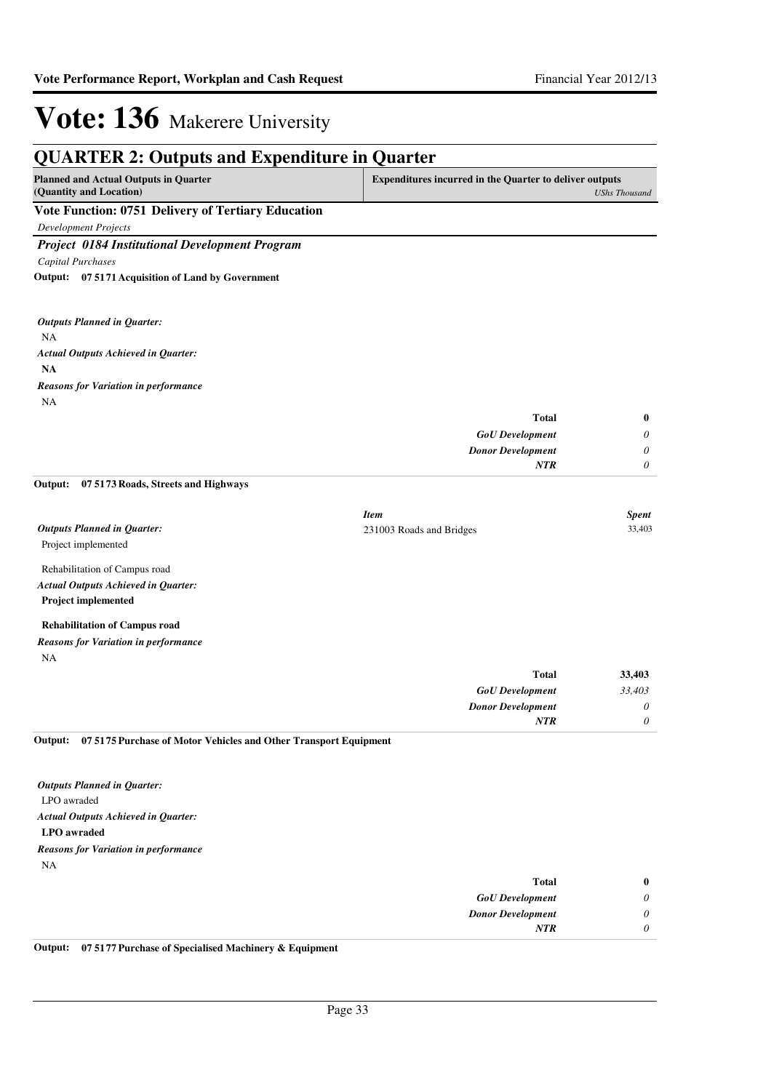*0*

*NTR*

## **Vote: 136** Makerere University

| <b>QUARTER 2: Outputs and Expenditure in Quarter</b>                    |                                                                |                      |
|-------------------------------------------------------------------------|----------------------------------------------------------------|----------------------|
| <b>Planned and Actual Outputs in Quarter</b><br>(Quantity and Location) | <b>Expenditures incurred in the Quarter to deliver outputs</b> | <b>UShs Thousand</b> |
| Vote Function: 0751 Delivery of Tertiary Education                      |                                                                |                      |
| <b>Development Projects</b>                                             |                                                                |                      |
| <b>Project 0184 Institutional Development Program</b>                   |                                                                |                      |
| Capital Purchases                                                       |                                                                |                      |
| Output: 07 5171 Acquisition of Land by Government                       |                                                                |                      |
| <b>Outputs Planned in Quarter:</b>                                      |                                                                |                      |
| NA                                                                      |                                                                |                      |
| <b>Actual Outputs Achieved in Quarter:</b>                              |                                                                |                      |
| <b>NA</b>                                                               |                                                                |                      |
| <b>Reasons for Variation in performance</b>                             |                                                                |                      |
| <b>NA</b>                                                               |                                                                |                      |
|                                                                         | <b>Total</b>                                                   | $\bf{0}$             |
|                                                                         | <b>GoU</b> Development                                         | $\theta$             |
|                                                                         | <b>Donor Development</b>                                       | $\theta$             |
| Output:<br>07 5173 Roads, Streets and Highways                          | <b>NTR</b>                                                     | $\theta$             |
|                                                                         | <b>Item</b>                                                    | <b>Spent</b>         |
| <b>Outputs Planned in Quarter:</b>                                      | 231003 Roads and Bridges                                       | 33,403               |
| Project implemented                                                     |                                                                |                      |
| Rehabilitation of Campus road                                           |                                                                |                      |
| <b>Actual Outputs Achieved in Quarter:</b>                              |                                                                |                      |
| Project implemented                                                     |                                                                |                      |
| <b>Rehabilitation of Campus road</b>                                    |                                                                |                      |
| <b>Reasons for Variation in performance</b>                             |                                                                |                      |
| NA                                                                      |                                                                |                      |
|                                                                         | <b>Total</b>                                                   | 33,403               |
|                                                                         | <b>GoU</b> Development                                         | 33,403               |
|                                                                         | <b>Donor Development</b>                                       | $\theta$             |

#### **07 5175 Purchase of Motor Vehicles and Other Transport Equipment Output:**

LPO awraded **LPO awraded** *Actual Outputs Achieved in Quarter: Outputs Planned in Quarter:* NA *Reasons for Variation in performance*

| 0        | <b>Total</b>             |
|----------|--------------------------|
| $\theta$ | <b>GoU</b> Development   |
| 0        | <b>Donor Development</b> |
| $\theta$ | NTR                      |
|          |                          |

**Output: 07 5177 Purchase of Specialised Machinery & Equipment**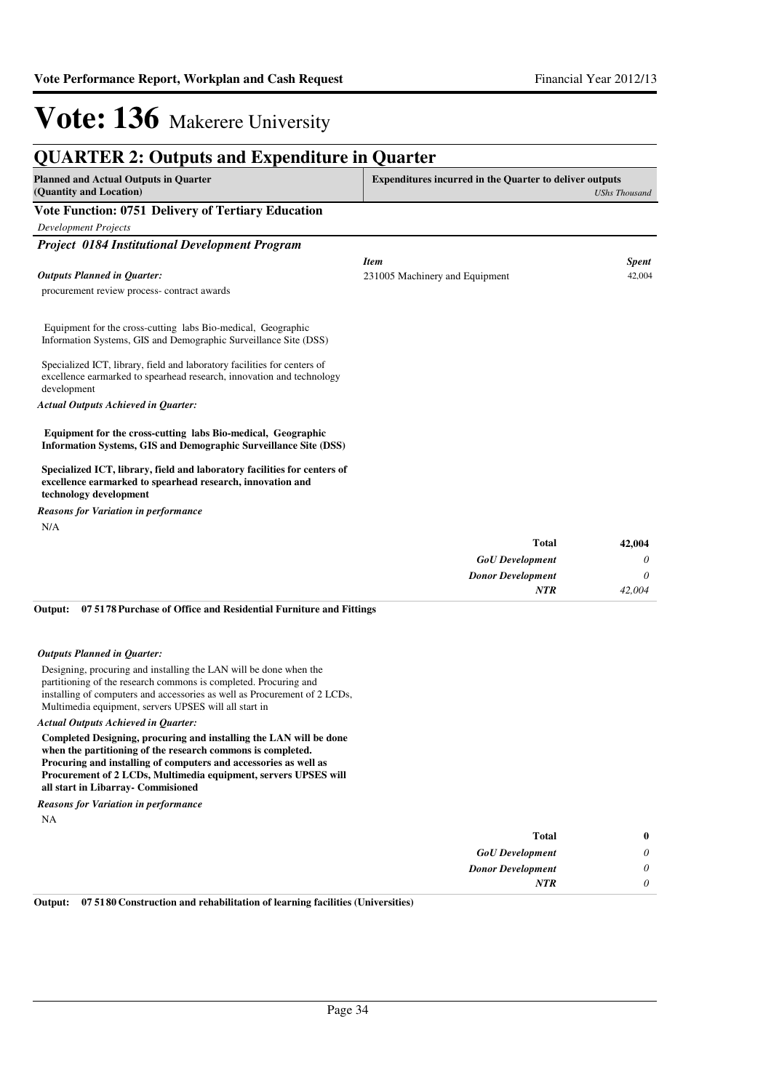| <b>Planned and Actual Outputs in Quarter</b><br>(Quantity and Location)                                                                                          | <b>Expenditures incurred in the Quarter to deliver outputs</b> | <b>UShs Thousand</b> |
|------------------------------------------------------------------------------------------------------------------------------------------------------------------|----------------------------------------------------------------|----------------------|
| Vote Function: 0751 Delivery of Tertiary Education                                                                                                               |                                                                |                      |
| <b>Development Projects</b>                                                                                                                                      |                                                                |                      |
| <b>Project 0184 Institutional Development Program</b>                                                                                                            |                                                                |                      |
|                                                                                                                                                                  | <b>Item</b>                                                    | <b>Spent</b>         |
| <b>Outputs Planned in Quarter:</b>                                                                                                                               | 231005 Machinery and Equipment                                 | 42,004               |
| procurement review process-contract awards                                                                                                                       |                                                                |                      |
| Equipment for the cross-cutting labs Bio-medical, Geographic<br>Information Systems, GIS and Demographic Surveillance Site (DSS)                                 |                                                                |                      |
| Specialized ICT, library, field and laboratory facilities for centers of<br>excellence earmarked to spearhead research, innovation and technology<br>development |                                                                |                      |
| <b>Actual Outputs Achieved in Quarter:</b>                                                                                                                       |                                                                |                      |
| Equipment for the cross-cutting labs Bio-medical, Geographic<br>Information Systems, GIS and Demographic Surveillance Site (DSS)                                 |                                                                |                      |
| Specialized ICT, library, field and laboratory facilities for centers of<br>excellence earmarked to spearhead research, innovation and<br>technology development |                                                                |                      |
| <b>Reasons for Variation in performance</b>                                                                                                                      |                                                                |                      |
| N/A                                                                                                                                                              |                                                                |                      |
|                                                                                                                                                                  | <b>Total</b>                                                   | 42,004               |
|                                                                                                                                                                  | <b>GoU</b> Development                                         | 0                    |
|                                                                                                                                                                  | <b>Donor Development</b>                                       | 0                    |
|                                                                                                                                                                  | <b>NTR</b>                                                     | 42,004               |

#### **07 5178 Purchase of Office and Residential Furniture and Fittings Output:**

#### *Outputs Planned in Quarter:*

Designing, procuring and installing the LAN will be done when the partitioning of the research commons is completed. Procuring and installing of computers and accessories as well as Procurement of 2 LCDs, Multimedia equipment, servers UPSES will all start in

#### *Actual Outputs Achieved in Quarter:*

**Completed Designing, procuring and installing the LAN will be done when the partitioning of the research commons is completed. Procuring and installing of computers and accessories as well as Procurement of 2 LCDs, Multimedia equipment, servers UPSES will all start in Libarray- Commisioned**

*Reasons for Variation in performance*

NA

| 0 | <b>Total</b>             |
|---|--------------------------|
|   | <b>GoU</b> Development   |
|   | <b>Donor Development</b> |
|   | <b>NTR</b>               |

**Output: 07 5180 Construction and rehabilitation of learning facilities (Universities)**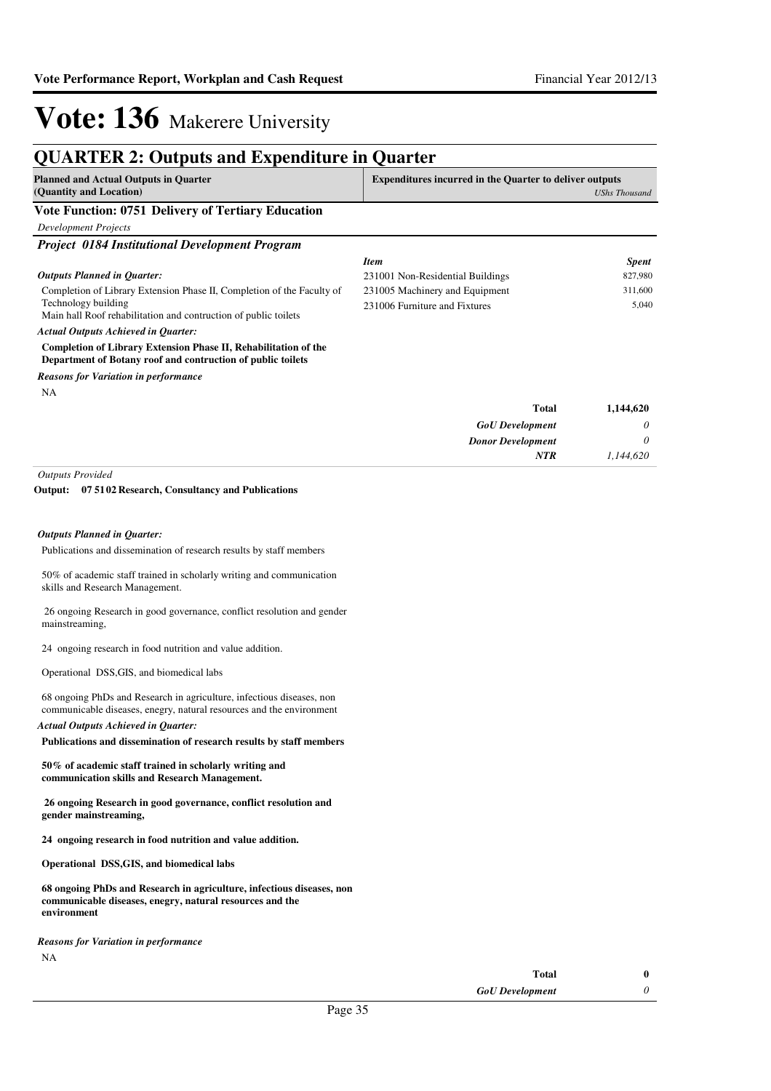### **QUARTER 2: Outputs and Expenditure in Quarter**

| <b>Planned and Actual Outputs in Quarter</b><br>(Quantity and Location) | <b>Expenditures incurred in the Quarter to deliver outputs</b><br>UShs Thousand |
|-------------------------------------------------------------------------|---------------------------------------------------------------------------------|
| <b>Vote Function: 0751 Delivery of Tertiary Education</b>               |                                                                                 |
| Development Projects                                                    |                                                                                 |
| <b>Project 0184 Institutional Development Program</b>                   |                                                                                 |

#### *Outputs Planned in Quarter:*

Completion of Library Extension Phase II, Completion of the Faculty of Technology building Main hall Roof rehabilitation and contruction of public toilets

#### *Item Spent* 231001 Non-Residential Buildings 827,980 231005 Machinery and Equipment 311,600 231006 Furniture and Fixtures 5,040

*Actual Outputs Achieved in Quarter:*

**Completion of Library Extension Phase II, Rehabilitation of the Department of Botany roof and contruction of public toilets**

*Reasons for Variation in performance*

NA

| 1,144,620 | Total                    |
|-----------|--------------------------|
| 0         | <b>GoU</b> Development   |
| 0         | <b>Donor Development</b> |
| 1,144,620 | <b>NTR</b>               |
|           |                          |

*Outputs Provided*

#### **07 5102 Research, Consultancy and Publications Output:**

#### *Outputs Planned in Quarter:*

Publications and dissemination of research results by staff members

50% of academic staff trained in scholarly writing and communication skills and Research Management.

 26 ongoing Research in good governance, conflict resolution and gender mainstreaming,

24 ongoing research in food nutrition and value addition.

Operational DSS,GIS, and biomedical labs

68 ongoing PhDs and Research in agriculture, infectious diseases, non communicable diseases, enegry, natural resources and the environment *Actual Outputs Achieved in Quarter:*

**Publications and dissemination of research results by staff members** 

**50% of academic staff trained in scholarly writing and communication skills and Research Management.**

 **26 ongoing Research in good governance, conflict resolution and gender mainstreaming,** 

**24 ongoing research in food nutrition and value addition.**

**Operational DSS,GIS, and biomedical labs**

**68 ongoing PhDs and Research in agriculture, infectious diseases, non communicable diseases, enegry, natural resources and the environment**

NA *Reasons for Variation in performance*

*GoU Development* **Total 0**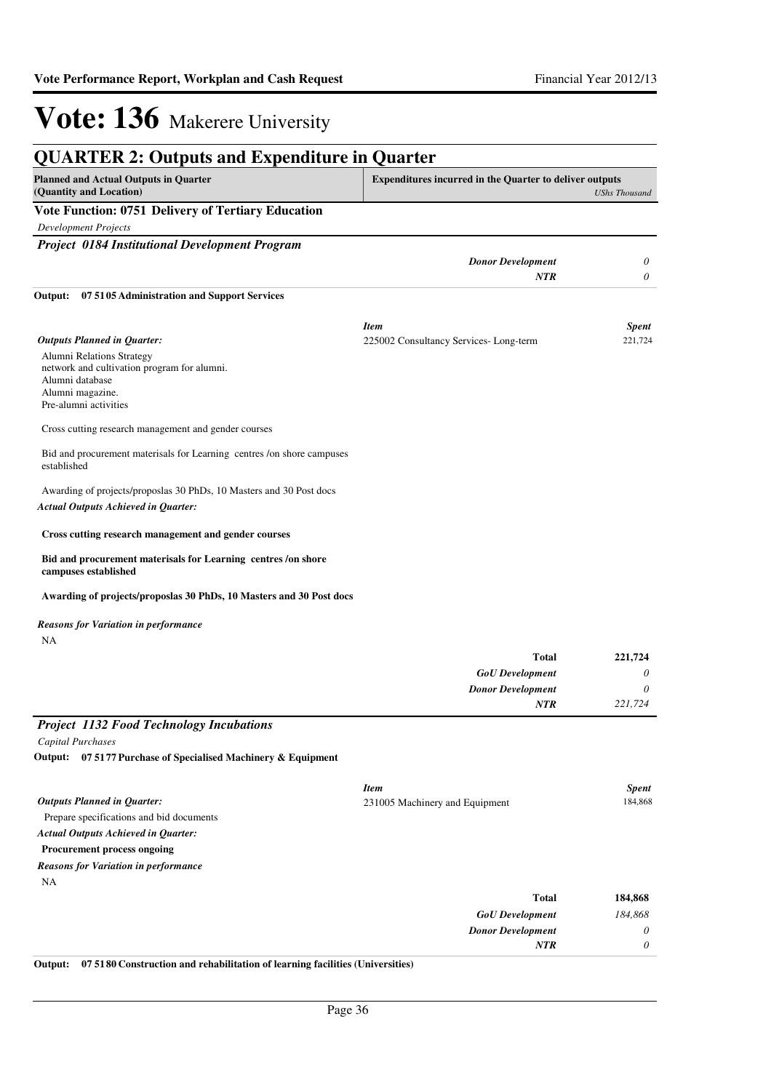| <b>QUARTER 2: Outputs and Expenditure in Quarter</b>                                                                                     |                                                                |                      |
|------------------------------------------------------------------------------------------------------------------------------------------|----------------------------------------------------------------|----------------------|
| <b>Planned and Actual Outputs in Quarter</b><br>(Quantity and Location)                                                                  | <b>Expenditures incurred in the Quarter to deliver outputs</b> | <b>UShs Thousand</b> |
| <b>Vote Function: 0751 Delivery of Tertiary Education</b>                                                                                |                                                                |                      |
| <b>Development Projects</b>                                                                                                              |                                                                |                      |
| <b>Project 0184 Institutional Development Program</b>                                                                                    |                                                                |                      |
|                                                                                                                                          | <b>Donor Development</b>                                       | 0                    |
|                                                                                                                                          | <b>NTR</b>                                                     | 0                    |
| 07 5105 Administration and Support Services<br>Output:                                                                                   |                                                                |                      |
|                                                                                                                                          | <b>Item</b>                                                    | <b>Spent</b>         |
| <b>Outputs Planned in Quarter:</b>                                                                                                       | 225002 Consultancy Services-Long-term                          | 221,724              |
| Alumni Relations Strategy<br>network and cultivation program for alumni.<br>Alumni database<br>Alumni magazine.<br>Pre-alumni activities |                                                                |                      |
| Cross cutting research management and gender courses                                                                                     |                                                                |                      |
| Bid and procurement materisals for Learning centres /on shore campuses<br>established                                                    |                                                                |                      |
| Awarding of projects/proposlas 30 PhDs, 10 Masters and 30 Post docs<br><b>Actual Outputs Achieved in Quarter:</b>                        |                                                                |                      |
| Cross cutting research management and gender courses                                                                                     |                                                                |                      |
| Bid and procurement materisals for Learning centres/on shore<br>campuses established                                                     |                                                                |                      |
| Awarding of projects/proposlas 30 PhDs, 10 Masters and 30 Post docs                                                                      |                                                                |                      |
| Reasons for Variation in performance<br>NA                                                                                               |                                                                |                      |
|                                                                                                                                          | <b>Total</b>                                                   | 221,724              |
|                                                                                                                                          | <b>GoU</b> Development                                         | 0                    |
|                                                                                                                                          | <b>Donor Development</b>                                       | $\theta$             |
|                                                                                                                                          | <b>NTR</b>                                                     | 221,724              |
| Project 1132 Food Technology Incubations                                                                                                 |                                                                |                      |
| Capital Purchases                                                                                                                        |                                                                |                      |
| Output: 07 5177 Purchase of Specialised Machinery & Equipment                                                                            |                                                                |                      |
|                                                                                                                                          |                                                                |                      |
|                                                                                                                                          | <b>Item</b>                                                    | <b>Spent</b>         |
| <b>Outputs Planned in Quarter:</b>                                                                                                       | 231005 Machinery and Equipment                                 | 184,868              |
| Prepare specifications and bid documents                                                                                                 |                                                                |                      |
| <b>Actual Outputs Achieved in Quarter:</b>                                                                                               |                                                                |                      |
| <b>Procurement process ongoing</b>                                                                                                       |                                                                |                      |
| <b>Reasons for Variation in performance</b>                                                                                              |                                                                |                      |
| NA                                                                                                                                       |                                                                |                      |
|                                                                                                                                          | <b>Total</b>                                                   | 184,868              |
|                                                                                                                                          | <b>GoU</b> Development                                         | 184,868              |
|                                                                                                                                          | <b>Donor Development</b>                                       | 0                    |
|                                                                                                                                          | NTR                                                            | 0                    |

**Output: 07 5180 Construction and rehabilitation of learning facilities (Universities)**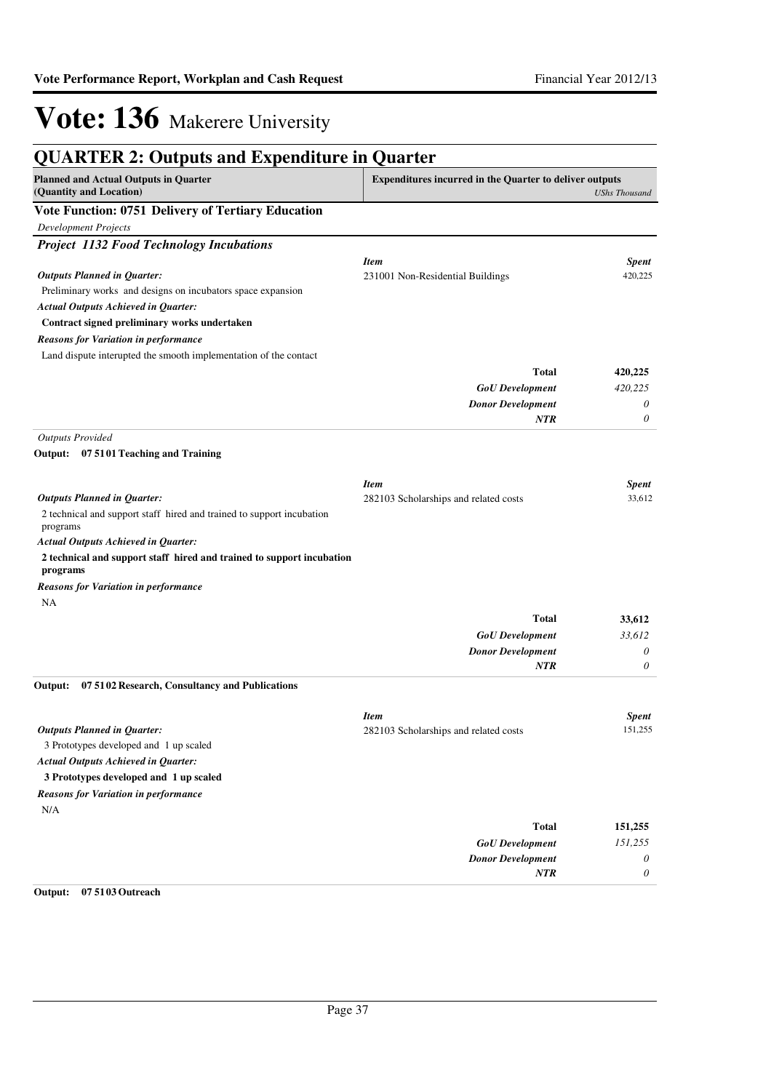| <b>QUARTER 2: Outputs and Expenditure in Quarter</b>                              |                                                                |                      |
|-----------------------------------------------------------------------------------|----------------------------------------------------------------|----------------------|
| <b>Planned and Actual Outputs in Quarter</b><br>(Quantity and Location)           | <b>Expenditures incurred in the Quarter to deliver outputs</b> | <b>UShs Thousand</b> |
| Vote Function: 0751 Delivery of Tertiary Education                                |                                                                |                      |
| <b>Development Projects</b>                                                       |                                                                |                      |
| <b>Project 1132 Food Technology Incubations</b>                                   |                                                                |                      |
|                                                                                   | <b>Item</b>                                                    | <b>Spent</b>         |
| <b>Outputs Planned in Quarter:</b>                                                | 231001 Non-Residential Buildings                               | 420,225              |
| Preliminary works and designs on incubators space expansion                       |                                                                |                      |
| <b>Actual Outputs Achieved in Quarter:</b>                                        |                                                                |                      |
| Contract signed preliminary works undertaken                                      |                                                                |                      |
| <b>Reasons for Variation in performance</b>                                       |                                                                |                      |
| Land dispute interupted the smooth implementation of the contact                  |                                                                |                      |
|                                                                                   | <b>Total</b>                                                   | 420,225              |
|                                                                                   | <b>GoU</b> Development                                         | 420,225              |
|                                                                                   | <b>Donor Development</b>                                       | 0                    |
|                                                                                   | NTR                                                            | 0                    |
| <b>Outputs Provided</b>                                                           |                                                                |                      |
| Output: 07 5101 Teaching and Training                                             |                                                                |                      |
|                                                                                   | <b>Item</b>                                                    | <b>Spent</b>         |
| <b>Outputs Planned in Quarter:</b>                                                | 282103 Scholarships and related costs                          | 33,612               |
| 2 technical and support staff hired and trained to support incubation<br>programs |                                                                |                      |
| <b>Actual Outputs Achieved in Quarter:</b>                                        |                                                                |                      |
| 2 technical and support staff hired and trained to support incubation<br>programs |                                                                |                      |
| <b>Reasons for Variation in performance</b>                                       |                                                                |                      |
| NA                                                                                |                                                                |                      |
|                                                                                   | <b>Total</b>                                                   | 33,612               |
|                                                                                   | <b>GoU</b> Development                                         | 33,612               |
|                                                                                   | <b>Donor Development</b>                                       | 0                    |
|                                                                                   | NTR                                                            | 0                    |
| 07 5102 Research, Consultancy and Publications<br>Output:                         |                                                                |                      |
|                                                                                   | <b>Item</b>                                                    | <b>Spent</b>         |
| <b>Outputs Planned in Quarter:</b>                                                | 282103 Scholarships and related costs                          | 151,255              |
| 3 Prototypes developed and 1 up scaled                                            |                                                                |                      |
| <b>Actual Outputs Achieved in Quarter:</b>                                        |                                                                |                      |
| 3 Prototypes developed and 1 up scaled                                            |                                                                |                      |
| <b>Reasons for Variation in performance</b>                                       |                                                                |                      |
| N/A                                                                               |                                                                |                      |
|                                                                                   | <b>Total</b>                                                   | 151,255              |
|                                                                                   | <b>GoU</b> Development                                         | 151,255              |
|                                                                                   | <b>Donor Development</b>                                       | 0                    |
|                                                                                   | NTR                                                            | 0                    |
| Output:<br>07 51 03 Outreach                                                      |                                                                |                      |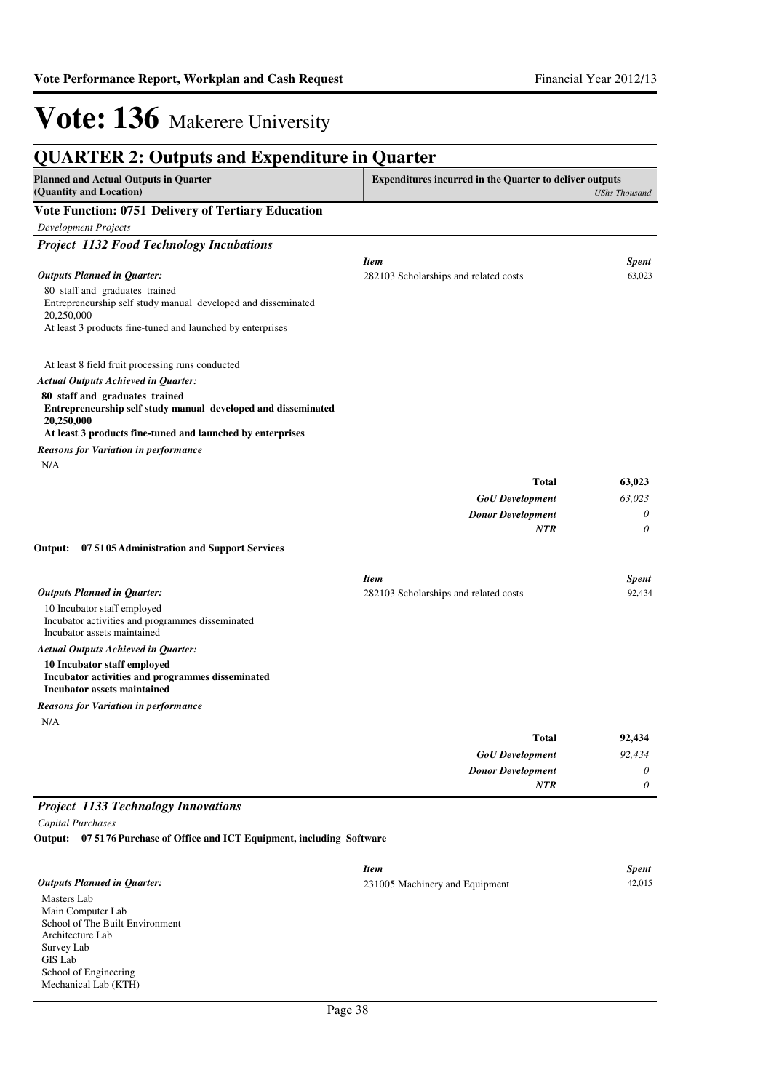| <b>Planned and Actual Outputs in Quarter</b>                                                                   | <b>Expenditures incurred in the Quarter to deliver outputs</b> |                      |
|----------------------------------------------------------------------------------------------------------------|----------------------------------------------------------------|----------------------|
| (Quantity and Location)                                                                                        |                                                                | <b>UShs Thousand</b> |
| Vote Function: 0751 Delivery of Tertiary Education                                                             |                                                                |                      |
| <b>Development Projects</b>                                                                                    |                                                                |                      |
| <b>Project 1132 Food Technology Incubations</b>                                                                |                                                                |                      |
|                                                                                                                | <b>Item</b>                                                    | Spent                |
| <b>Outputs Planned in Quarter:</b>                                                                             | 282103 Scholarships and related costs                          | 63,023               |
| 80 staff and graduates trained<br>Entrepreneurship self study manual developed and disseminated<br>20,250,000  |                                                                |                      |
| At least 3 products fine-tuned and launched by enterprises                                                     |                                                                |                      |
| At least 8 field fruit processing runs conducted                                                               |                                                                |                      |
| <b>Actual Outputs Achieved in Quarter:</b>                                                                     |                                                                |                      |
| 80 staff and graduates trained<br>Entrepreneurship self study manual developed and disseminated<br>20,250,000  |                                                                |                      |
| At least 3 products fine-tuned and launched by enterprises                                                     |                                                                |                      |
| <b>Reasons for Variation in performance</b>                                                                    |                                                                |                      |
| N/A                                                                                                            |                                                                |                      |
|                                                                                                                | Total                                                          | 63,023               |
|                                                                                                                | <b>GoU</b> Development                                         | 63,023               |
|                                                                                                                | <b>Donor Development</b><br>NTR                                | 0<br>0               |
| Output:<br>075105 Administration and Support Services                                                          |                                                                |                      |
|                                                                                                                | <b>Item</b>                                                    | Spent                |
| <b>Outputs Planned in Quarter:</b>                                                                             | 282103 Scholarships and related costs                          | 92,434               |
| 10 Incubator staff employed<br>Incubator activities and programmes disseminated<br>Incubator assets maintained |                                                                |                      |
| <b>Actual Outputs Achieved in Quarter:</b>                                                                     |                                                                |                      |
| 10 Incubator staff employed<br>Incubator activities and programmes disseminated<br>Incubator assets maintained |                                                                |                      |
| <b>Reasons for Variation in performance</b>                                                                    |                                                                |                      |
| N/A                                                                                                            |                                                                |                      |
|                                                                                                                | Total                                                          | 92,434               |
|                                                                                                                | <b>GoU</b> Development                                         | 92,434               |
|                                                                                                                | <b>Donor Development</b>                                       | 0                    |
|                                                                                                                | NTR                                                            | 0                    |
| <b>Project 1133 Technology Innovations</b>                                                                     |                                                                |                      |
| Capital Purchases                                                                                              |                                                                |                      |

|                                    | <b>Item</b>                    | <b>Spent</b> |
|------------------------------------|--------------------------------|--------------|
| <b>Outputs Planned in Quarter:</b> | 231005 Machinery and Equipment | 42,015       |
| Masters Lab                        |                                |              |
| Main Computer Lab                  |                                |              |
| School of The Built Environment    |                                |              |
| Architecture Lab                   |                                |              |
| Survey Lab                         |                                |              |
| GIS Lab                            |                                |              |
| School of Engineering              |                                |              |
| Mechanical Lab (KTH)               |                                |              |
|                                    |                                |              |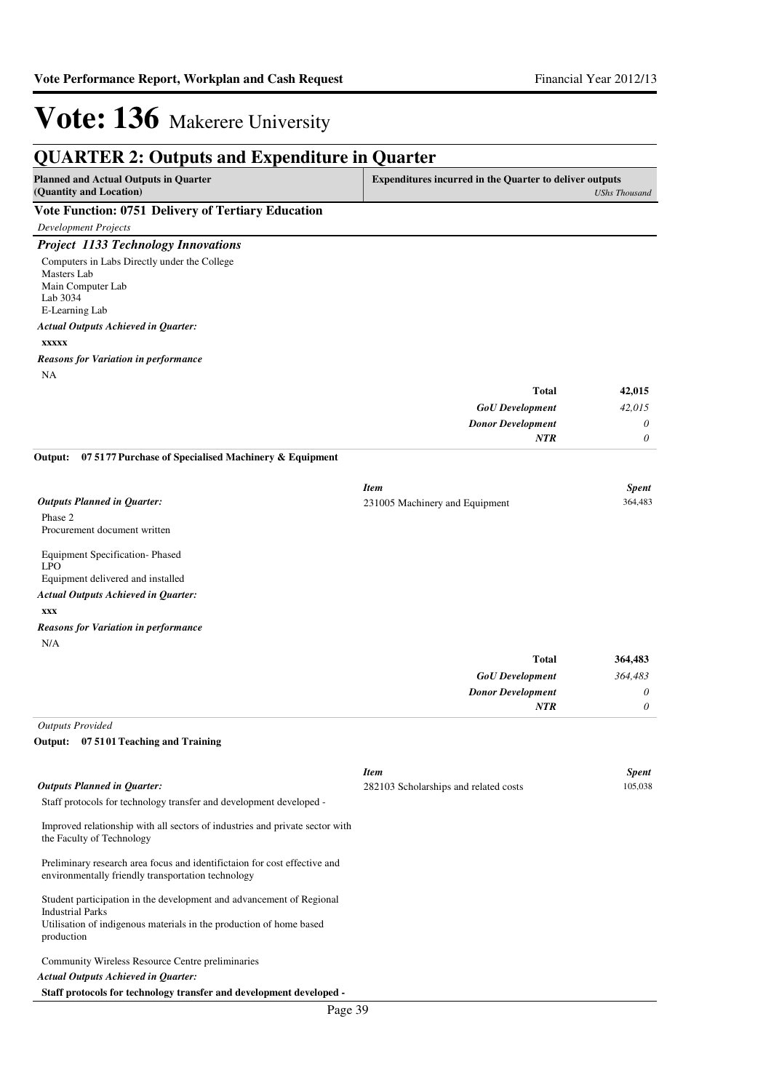| <b>QUARTER 2: Outputs and Expenditure in Quarter</b>                                                                            |                                                         |                         |
|---------------------------------------------------------------------------------------------------------------------------------|---------------------------------------------------------|-------------------------|
| <b>Planned and Actual Outputs in Quarter</b><br>(Quantity and Location)                                                         | Expenditures incurred in the Quarter to deliver outputs | <b>UShs Thousand</b>    |
| <b>Vote Function: 0751 Delivery of Tertiary Education</b>                                                                       |                                                         |                         |
| <b>Development Projects</b>                                                                                                     |                                                         |                         |
| <b>Project 1133 Technology Innovations</b>                                                                                      |                                                         |                         |
| Computers in Labs Directly under the College                                                                                    |                                                         |                         |
| Masters Lab                                                                                                                     |                                                         |                         |
| Main Computer Lab<br>Lab 3034                                                                                                   |                                                         |                         |
| E-Learning Lab                                                                                                                  |                                                         |                         |
| <b>Actual Outputs Achieved in Quarter:</b>                                                                                      |                                                         |                         |
| <b>XXXXX</b>                                                                                                                    |                                                         |                         |
| <b>Reasons for Variation in performance</b>                                                                                     |                                                         |                         |
| NA                                                                                                                              |                                                         |                         |
|                                                                                                                                 | <b>Total</b>                                            | 42,015                  |
|                                                                                                                                 | <b>GoU</b> Development                                  | 42,015                  |
|                                                                                                                                 | <b>Donor Development</b>                                | 0                       |
|                                                                                                                                 | <b>NTR</b>                                              | 0                       |
| 07 5177 Purchase of Specialised Machinery & Equipment<br>Output:                                                                |                                                         |                         |
|                                                                                                                                 |                                                         |                         |
|                                                                                                                                 | <b>Item</b>                                             | <b>Spent</b>            |
| <b>Outputs Planned in Quarter:</b>                                                                                              | 231005 Machinery and Equipment                          | 364,483                 |
| Phase 2<br>Procurement document written                                                                                         |                                                         |                         |
|                                                                                                                                 |                                                         |                         |
| Equipment Specification-Phased                                                                                                  |                                                         |                         |
| <b>LPO</b><br>Equipment delivered and installed                                                                                 |                                                         |                         |
| <b>Actual Outputs Achieved in Quarter:</b>                                                                                      |                                                         |                         |
| XXX                                                                                                                             |                                                         |                         |
| <b>Reasons for Variation in performance</b>                                                                                     |                                                         |                         |
| N/A                                                                                                                             |                                                         |                         |
|                                                                                                                                 | <b>Total</b>                                            | 364,483                 |
|                                                                                                                                 | <b>GoU</b> Development                                  | 364,483                 |
|                                                                                                                                 | <b>Donor Development</b>                                | 0                       |
|                                                                                                                                 | <b>NTR</b>                                              | 0                       |
| <b>Outputs Provided</b>                                                                                                         |                                                         |                         |
| Output:<br>07 5101 Teaching and Training                                                                                        |                                                         |                         |
|                                                                                                                                 |                                                         |                         |
| <b>Outputs Planned in Quarter:</b>                                                                                              | <b>Item</b>                                             | <b>Spent</b><br>105.038 |
| Staff protocols for technology transfer and development developed -                                                             | 282103 Scholarships and related costs                   |                         |
|                                                                                                                                 |                                                         |                         |
| Improved relationship with all sectors of industries and private sector with<br>the Faculty of Technology                       |                                                         |                         |
| Preliminary research area focus and identifictaion for cost effective and<br>environmentally friendly transportation technology |                                                         |                         |
| Student participation in the development and advancement of Regional<br><b>Industrial Parks</b>                                 |                                                         |                         |
| Utilisation of indigenous materials in the production of home based<br>production                                               |                                                         |                         |
| Community Wireless Resource Centre preliminaries                                                                                |                                                         |                         |
| <b>Actual Outputs Achieved in Quarter:</b>                                                                                      |                                                         |                         |
| Staff protocols for technology transfer and development developed -                                                             |                                                         |                         |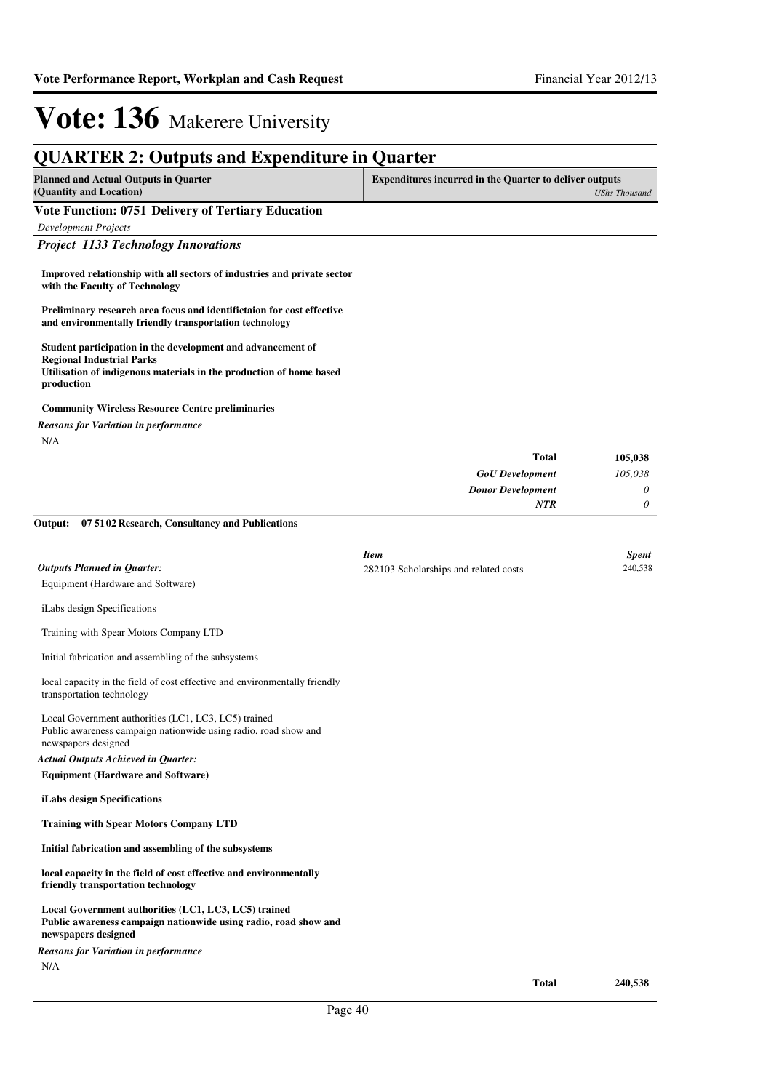| <b>QUARTER 2: Outputs and Expenditure in Quarter</b>                                                                                                                                 |                                                                |                         |
|--------------------------------------------------------------------------------------------------------------------------------------------------------------------------------------|----------------------------------------------------------------|-------------------------|
| <b>Planned and Actual Outputs in Quarter</b><br>(Quantity and Location)                                                                                                              | <b>Expenditures incurred in the Quarter to deliver outputs</b> | <b>UShs Thousand</b>    |
| Vote Function: 0751 Delivery of Tertiary Education                                                                                                                                   |                                                                |                         |
| <b>Development Projects</b>                                                                                                                                                          |                                                                |                         |
| <b>Project 1133 Technology Innovations</b>                                                                                                                                           |                                                                |                         |
| Improved relationship with all sectors of industries and private sector<br>with the Faculty of Technology                                                                            |                                                                |                         |
| Preliminary research area focus and identifictaion for cost effective<br>and environmentally friendly transportation technology                                                      |                                                                |                         |
| Student participation in the development and advancement of<br><b>Regional Industrial Parks</b><br>Utilisation of indigenous materials in the production of home based<br>production |                                                                |                         |
| <b>Community Wireless Resource Centre preliminaries</b>                                                                                                                              |                                                                |                         |
| Reasons for Variation in performance                                                                                                                                                 |                                                                |                         |
| N/A                                                                                                                                                                                  |                                                                |                         |
|                                                                                                                                                                                      | <b>Total</b>                                                   | 105,038                 |
|                                                                                                                                                                                      | <b>GoU</b> Development<br><b>Donor Development</b>             | 105,038<br>0            |
|                                                                                                                                                                                      | <b>NTR</b>                                                     | 0                       |
| 07 5102 Research, Consultancy and Publications<br>Output:                                                                                                                            |                                                                |                         |
|                                                                                                                                                                                      |                                                                |                         |
|                                                                                                                                                                                      | <b>Item</b>                                                    | <b>Spent</b><br>240,538 |
| <b>Outputs Planned in Quarter:</b><br>Equipment (Hardware and Software)                                                                                                              | 282103 Scholarships and related costs                          |                         |
|                                                                                                                                                                                      |                                                                |                         |
| iLabs design Specifications                                                                                                                                                          |                                                                |                         |
| Training with Spear Motors Company LTD                                                                                                                                               |                                                                |                         |
| Initial fabrication and assembling of the subsystems                                                                                                                                 |                                                                |                         |
| local capacity in the field of cost effective and environmentally friendly<br>transportation technology                                                                              |                                                                |                         |
| Local Government authorities (LC1, LC3, LC5) trained<br>Public awareness campaign nationwide using radio, road show and<br>newspapers designed                                       |                                                                |                         |
| <b>Actual Outputs Achieved in Quarter:</b>                                                                                                                                           |                                                                |                         |
| <b>Equipment (Hardware and Software)</b>                                                                                                                                             |                                                                |                         |
| iLabs design Specifications                                                                                                                                                          |                                                                |                         |
| <b>Training with Spear Motors Company LTD</b>                                                                                                                                        |                                                                |                         |
| Initial fabrication and assembling of the subsystems                                                                                                                                 |                                                                |                         |
| local capacity in the field of cost effective and environmentally<br>friendly transportation technology                                                                              |                                                                |                         |
| Local Government authorities (LC1, LC3, LC5) trained<br>Public awareness campaign nationwide using radio, road show and<br>newspapers designed                                       |                                                                |                         |
| <b>Reasons for Variation in performance</b>                                                                                                                                          |                                                                |                         |
| N/A                                                                                                                                                                                  |                                                                |                         |
|                                                                                                                                                                                      | <b>Total</b>                                                   | 240,538                 |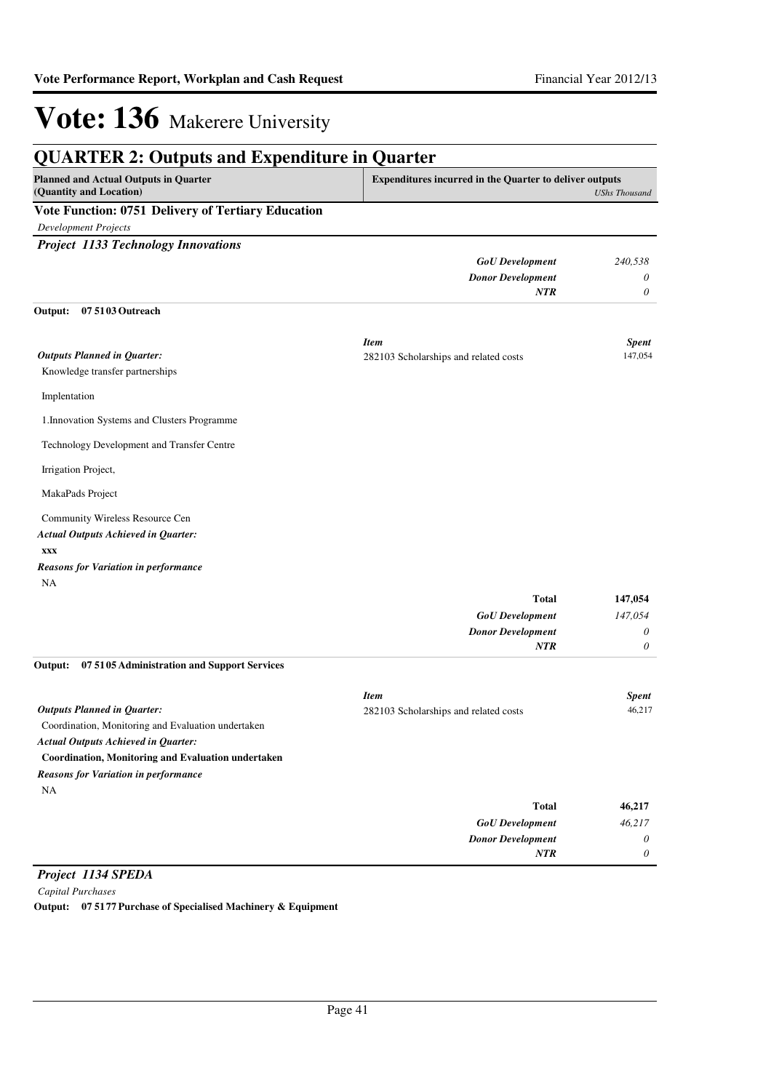| <b>QUARTER 2: Outputs and Expenditure in Quarter</b>                    |                                                                |                      |
|-------------------------------------------------------------------------|----------------------------------------------------------------|----------------------|
| <b>Planned and Actual Outputs in Quarter</b><br>(Quantity and Location) | <b>Expenditures incurred in the Quarter to deliver outputs</b> | <b>UShs Thousand</b> |
| Vote Function: 0751 Delivery of Tertiary Education                      |                                                                |                      |
| <b>Development Projects</b>                                             |                                                                |                      |
| <b>Project 1133 Technology Innovations</b>                              |                                                                |                      |
|                                                                         | <b>GoU</b> Development                                         | 240,538              |
|                                                                         | <b>Donor Development</b>                                       | $\theta$             |
|                                                                         | <b>NTR</b>                                                     | $\theta$             |
| 07 5103 Outreach<br>Output:                                             |                                                                |                      |
|                                                                         | <b>Item</b>                                                    | <b>Spent</b>         |
| <b>Outputs Planned in Quarter:</b>                                      | 282103 Scholarships and related costs                          | 147,054              |
| Knowledge transfer partnerships                                         |                                                                |                      |
| Implentation                                                            |                                                                |                      |
| 1. Innovation Systems and Clusters Programme                            |                                                                |                      |
| Technology Development and Transfer Centre                              |                                                                |                      |
| Irrigation Project,                                                     |                                                                |                      |
| MakaPads Project                                                        |                                                                |                      |
| Community Wireless Resource Cen                                         |                                                                |                      |
| <b>Actual Outputs Achieved in Quarter:</b>                              |                                                                |                      |
| <b>XXX</b>                                                              |                                                                |                      |
| <b>Reasons for Variation in performance</b>                             |                                                                |                      |
| <b>NA</b>                                                               |                                                                |                      |
|                                                                         | <b>Total</b>                                                   | 147,054              |
|                                                                         | <b>GoU</b> Development                                         | 147,054<br>$\theta$  |
|                                                                         | <b>Donor Development</b><br><b>NTR</b>                         | $\theta$             |
| 07 5105 Administration and Support Services<br>Output:                  |                                                                |                      |
|                                                                         | <b>Item</b>                                                    | <b>Spent</b>         |
| <b>Outputs Planned in Quarter:</b>                                      | 282103 Scholarships and related costs                          | 46,217               |
| Coordination, Monitoring and Evaluation undertaken                      |                                                                |                      |
| <b>Actual Outputs Achieved in Quarter:</b>                              |                                                                |                      |
| <b>Coordination, Monitoring and Evaluation undertaken</b>               |                                                                |                      |
| <b>Reasons for Variation in performance</b>                             |                                                                |                      |
| NA                                                                      |                                                                |                      |

| 46,217 | <b>Total</b>             |
|--------|--------------------------|
| 46,217 | <b>GoU</b> Development   |
|        | <b>Donor Development</b> |
|        | <b>NTR</b>               |

*Project 1134 SPEDA*

*Capital Purchases*

**Output: 07 5177 Purchase of Specialised Machinery & Equipment**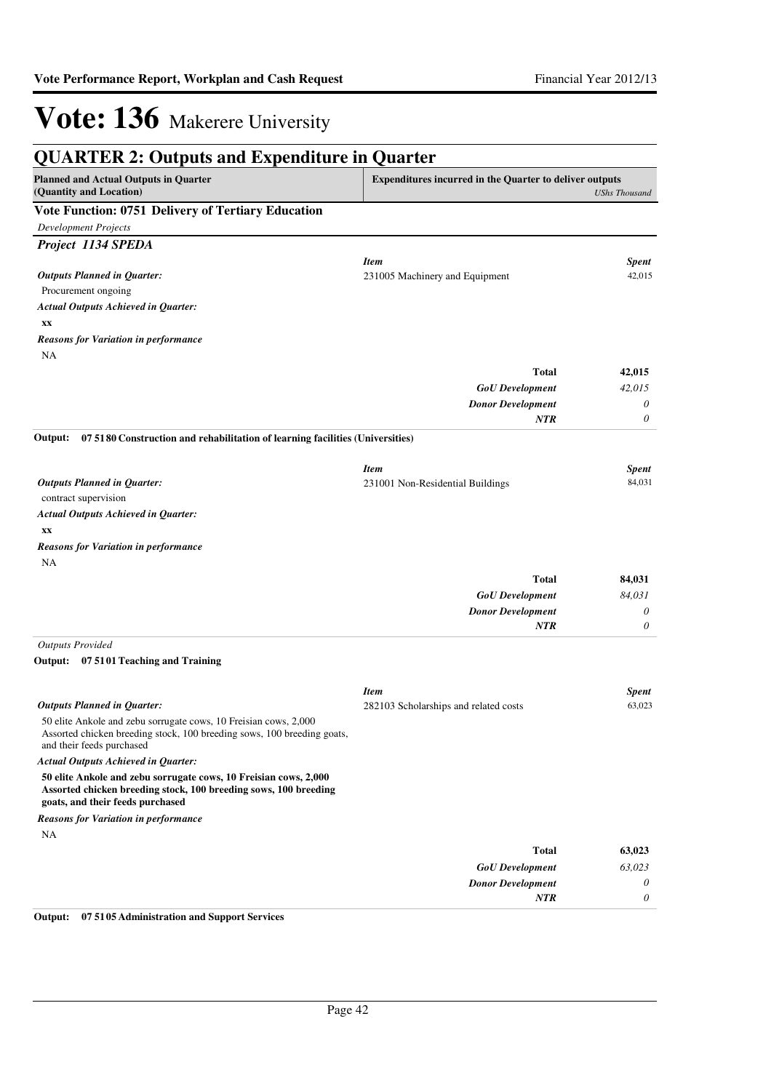| <b>QUARTER 2: Outputs and Expenditure in Quarter</b>                                                                                                                     |                                                                |                      |  |
|--------------------------------------------------------------------------------------------------------------------------------------------------------------------------|----------------------------------------------------------------|----------------------|--|
| <b>Planned and Actual Outputs in Quarter</b><br>(Quantity and Location)                                                                                                  | <b>Expenditures incurred in the Quarter to deliver outputs</b> | <b>UShs Thousand</b> |  |
| Vote Function: 0751 Delivery of Tertiary Education                                                                                                                       |                                                                |                      |  |
| <b>Development Projects</b>                                                                                                                                              |                                                                |                      |  |
| Project 1134 SPEDA                                                                                                                                                       |                                                                |                      |  |
|                                                                                                                                                                          | <b>Item</b>                                                    | Spent                |  |
| <b>Outputs Planned in Quarter:</b>                                                                                                                                       | 231005 Machinery and Equipment                                 | 42,015               |  |
| Procurement ongoing                                                                                                                                                      |                                                                |                      |  |
| <b>Actual Outputs Achieved in Quarter:</b>                                                                                                                               |                                                                |                      |  |
| XX                                                                                                                                                                       |                                                                |                      |  |
| <b>Reasons for Variation in performance</b>                                                                                                                              |                                                                |                      |  |
| <b>NA</b>                                                                                                                                                                |                                                                |                      |  |
|                                                                                                                                                                          | <b>Total</b>                                                   | 42,015               |  |
|                                                                                                                                                                          | <b>GoU</b> Development<br><b>Donor Development</b>             | 42,015<br>0          |  |
|                                                                                                                                                                          | NTR                                                            | 0                    |  |
| 07 5180 Construction and rehabilitation of learning facilities (Universities)<br>Output:                                                                                 |                                                                |                      |  |
|                                                                                                                                                                          |                                                                |                      |  |
|                                                                                                                                                                          | <b>Item</b>                                                    | <b>Spent</b>         |  |
| <b>Outputs Planned in Quarter:</b><br>contract supervision                                                                                                               | 231001 Non-Residential Buildings                               | 84,031               |  |
| <b>Actual Outputs Achieved in Quarter:</b>                                                                                                                               |                                                                |                      |  |
| XX                                                                                                                                                                       |                                                                |                      |  |
| <b>Reasons for Variation in performance</b>                                                                                                                              |                                                                |                      |  |
| NA                                                                                                                                                                       |                                                                |                      |  |
|                                                                                                                                                                          | <b>Total</b>                                                   | 84,031               |  |
|                                                                                                                                                                          | <b>GoU</b> Development                                         | 84,031               |  |
|                                                                                                                                                                          | <b>Donor Development</b>                                       | 0                    |  |
|                                                                                                                                                                          | <b>NTR</b>                                                     | $\theta$             |  |
| <b>Outputs Provided</b>                                                                                                                                                  |                                                                |                      |  |
| Output: 07 5101 Teaching and Training                                                                                                                                    |                                                                |                      |  |
|                                                                                                                                                                          | <b>Item</b>                                                    | Spent                |  |
| <b>Outputs Planned in Quarter:</b>                                                                                                                                       | 282103 Scholarships and related costs                          | 63,023               |  |
| 50 elite Ankole and zebu sorrugate cows, 10 Freisian cows, 2,000<br>Assorted chicken breeding stock, 100 breeding sows, 100 breeding goats,<br>and their feeds purchased |                                                                |                      |  |
| <b>Actual Outputs Achieved in Quarter:</b>                                                                                                                               |                                                                |                      |  |
| 50 elite Ankole and zebu sorrugate cows, 10 Freisian cows, 2,000<br>Assorted chicken breeding stock, 100 breeding sows, 100 breeding<br>goats, and their feeds purchased |                                                                |                      |  |
| <b>Reasons for Variation in performance</b>                                                                                                                              |                                                                |                      |  |
| NA                                                                                                                                                                       |                                                                |                      |  |
|                                                                                                                                                                          | <b>Total</b>                                                   | 63,023               |  |
|                                                                                                                                                                          | <b>GoU</b> Development                                         | 63,023               |  |
|                                                                                                                                                                          | <b>Donor Development</b>                                       | 0                    |  |
|                                                                                                                                                                          | <b>NTR</b>                                                     | $\theta$             |  |

**Output: 07 5105 Administration and Support Services**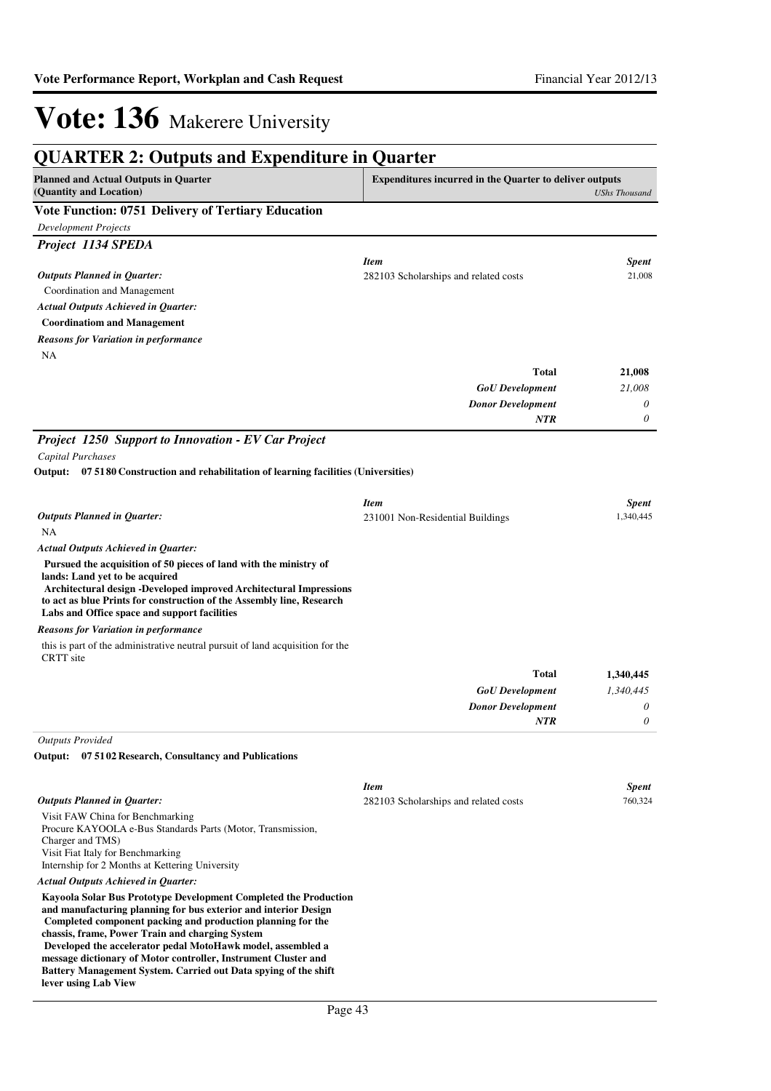| <b>QUARTER 2: Outputs and Expenditure in Quarter</b>                                                                                                                                                                                                                                                                                                                                                                                                                              |                                                                |                      |
|-----------------------------------------------------------------------------------------------------------------------------------------------------------------------------------------------------------------------------------------------------------------------------------------------------------------------------------------------------------------------------------------------------------------------------------------------------------------------------------|----------------------------------------------------------------|----------------------|
| <b>Planned and Actual Outputs in Quarter</b><br>(Quantity and Location)                                                                                                                                                                                                                                                                                                                                                                                                           | <b>Expenditures incurred in the Quarter to deliver outputs</b> | <b>UShs Thousand</b> |
| Vote Function: 0751 Delivery of Tertiary Education                                                                                                                                                                                                                                                                                                                                                                                                                                |                                                                |                      |
| <b>Development Projects</b>                                                                                                                                                                                                                                                                                                                                                                                                                                                       |                                                                |                      |
| Project 1134 SPEDA                                                                                                                                                                                                                                                                                                                                                                                                                                                                |                                                                |                      |
|                                                                                                                                                                                                                                                                                                                                                                                                                                                                                   | <b>Item</b>                                                    | <b>Spent</b>         |
| <b>Outputs Planned in Quarter:</b>                                                                                                                                                                                                                                                                                                                                                                                                                                                | 282103 Scholarships and related costs                          | 21,008               |
| Coordination and Management                                                                                                                                                                                                                                                                                                                                                                                                                                                       |                                                                |                      |
| <b>Actual Outputs Achieved in Quarter:</b>                                                                                                                                                                                                                                                                                                                                                                                                                                        |                                                                |                      |
| <b>Coordinatiom and Management</b>                                                                                                                                                                                                                                                                                                                                                                                                                                                |                                                                |                      |
| <b>Reasons for Variation in performance</b>                                                                                                                                                                                                                                                                                                                                                                                                                                       |                                                                |                      |
| NA                                                                                                                                                                                                                                                                                                                                                                                                                                                                                |                                                                |                      |
|                                                                                                                                                                                                                                                                                                                                                                                                                                                                                   | Total                                                          | 21,008               |
|                                                                                                                                                                                                                                                                                                                                                                                                                                                                                   | <b>GoU</b> Development                                         | 21,008               |
|                                                                                                                                                                                                                                                                                                                                                                                                                                                                                   | <b>Donor Development</b>                                       | 0                    |
|                                                                                                                                                                                                                                                                                                                                                                                                                                                                                   | NTR                                                            | 0                    |
| Project 1250 Support to Innovation - EV Car Project                                                                                                                                                                                                                                                                                                                                                                                                                               |                                                                |                      |
| Capital Purchases                                                                                                                                                                                                                                                                                                                                                                                                                                                                 |                                                                |                      |
| 07 5180 Construction and rehabilitation of learning facilities (Universities)<br>Output:                                                                                                                                                                                                                                                                                                                                                                                          |                                                                |                      |
|                                                                                                                                                                                                                                                                                                                                                                                                                                                                                   | <b>Item</b>                                                    | <b>Spent</b>         |
| <b>Outputs Planned in Quarter:</b>                                                                                                                                                                                                                                                                                                                                                                                                                                                | 231001 Non-Residential Buildings                               | 1,340,445            |
| NA                                                                                                                                                                                                                                                                                                                                                                                                                                                                                |                                                                |                      |
| <b>Actual Outputs Achieved in Quarter:</b>                                                                                                                                                                                                                                                                                                                                                                                                                                        |                                                                |                      |
| Pursued the acquisition of 50 pieces of land with the ministry of<br>lands: Land yet to be acquired<br>Architectural design -Developed improved Architectural Impressions<br>to act as blue Prints for construction of the Assembly line, Research<br>Labs and Office space and support facilities                                                                                                                                                                                |                                                                |                      |
| <b>Reasons for Variation in performance</b>                                                                                                                                                                                                                                                                                                                                                                                                                                       |                                                                |                      |
| this is part of the administrative neutral pursuit of land acquisition for the<br><b>CRTT</b> site                                                                                                                                                                                                                                                                                                                                                                                |                                                                |                      |
|                                                                                                                                                                                                                                                                                                                                                                                                                                                                                   | <b>Total</b>                                                   | 1,340,445            |
|                                                                                                                                                                                                                                                                                                                                                                                                                                                                                   | <b>GoU</b> Development                                         | 1,340,445            |
|                                                                                                                                                                                                                                                                                                                                                                                                                                                                                   | <b>Donor Development</b>                                       | 0                    |
|                                                                                                                                                                                                                                                                                                                                                                                                                                                                                   | <b>NTR</b>                                                     | 0                    |
| <b>Outputs Provided</b>                                                                                                                                                                                                                                                                                                                                                                                                                                                           |                                                                |                      |
| Output: 07 5102 Research, Consultancy and Publications                                                                                                                                                                                                                                                                                                                                                                                                                            |                                                                |                      |
|                                                                                                                                                                                                                                                                                                                                                                                                                                                                                   | <b>Item</b>                                                    | <b>Spent</b>         |
| <b>Outputs Planned in Quarter:</b>                                                                                                                                                                                                                                                                                                                                                                                                                                                | 282103 Scholarships and related costs                          | 760,324              |
| Visit FAW China for Benchmarking<br>Procure KAYOOLA e-Bus Standards Parts (Motor, Transmission,<br>Charger and TMS)<br>Visit Fiat Italy for Benchmarking<br>Internship for 2 Months at Kettering University                                                                                                                                                                                                                                                                       |                                                                |                      |
| <b>Actual Outputs Achieved in Ouarter:</b>                                                                                                                                                                                                                                                                                                                                                                                                                                        |                                                                |                      |
| Kayoola Solar Bus Prototype Development Completed the Production<br>and manufacturing planning for bus exterior and interior Design<br>Completed component packing and production planning for the<br>chassis, frame, Power Train and charging System<br>Developed the accelerator pedal MotoHawk model, assembled a<br>message dictionary of Motor controller, Instrument Cluster and<br>Battery Management System. Carried out Data spying of the shift<br>lever using Lab View |                                                                |                      |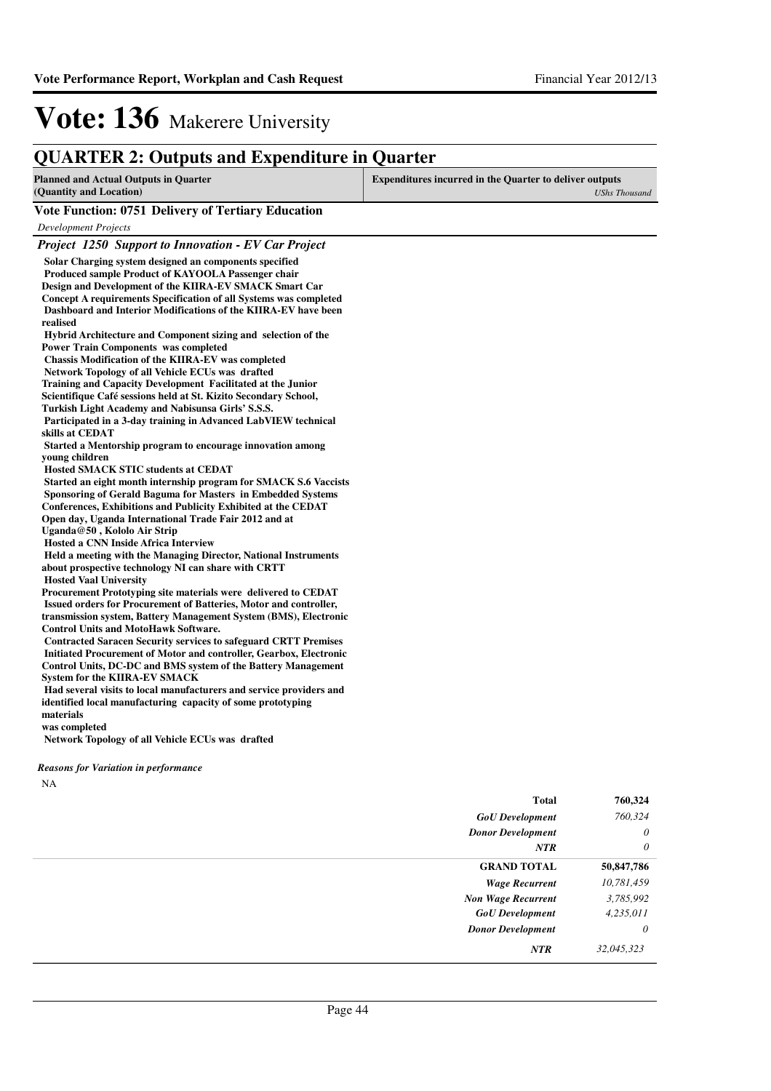*Project 1250 Support to Innovation - EV Car Project*

### **QUARTER 2: Outputs and Expenditure in Quarter**

| <b>Planned and Actual Outputs in Quarter</b>       | <b>Expenditures incurred in the Quarter to deliver outputs</b> |  |  |
|----------------------------------------------------|----------------------------------------------------------------|--|--|
| (Quantity and Location)                            | UShs Thousand                                                  |  |  |
| Vote Function: 0751 Delivery of Tertiary Education |                                                                |  |  |
| Development Projects                               |                                                                |  |  |

#### **Solar Charging system designed an components specified Produced sample Product of KAYOOLA Passenger chair Design and Development of the KIIRA-EV SMACK Smart Car Concept A requirements Specification of all Systems was completed Dashboard and Interior Modifications of the KIIRA-EV have been realised Hybrid Architecture and Component sizing and selection of the Power Train Components was completed Chassis Modification of the KIIRA-EV was completed Network Topology of all Vehicle ECUs was drafted Training and Capacity Development Facilitated at the Junior Scientifique Café sessions held at St. Kizito Secondary School, Turkish Light Academy and Nabisunsa Girls' S.S.S.** Participated in a 3-day training in Advanced LabVIEW technical **skills at CEDAT Started a Mentorship program to encourage innovation among young children Hosted SMACK STIC students at CEDAT Started an eight month internship program for SMACK S.6 Vaccists Sponsoring of Gerald Baguma for Masters in Embedded Systems Conferences, Exhibitions and Publicity Exhibited at the CEDAT Open day, Uganda International Trade Fair 2012 and at Uganda@50 , Kololo Air Strip Hosted a CNN Inside Africa Interview Held a meeting with the Managing Director, Nationa l Instruments about prospective technology NI can share with CRTT Hosted Vaal University** Procurement Prototyping site materials were delivered to CEDAT  **Issued orders for Procurement of Batteries, Motor and controller, transmission system, Battery Management System (BMS), Electronic Control Units and MotoHawk Software. Contracted Saracen Security services to safeguard CRTT Premises Initiated Procurement of Motor and controller, Gearbox, Electronic Control Units, DC-DC and BMS system of the Battery Management System for the KIIRA-EV SMACK**

**Had several visits to local manufacturers and service providers and identified local manufacturing capacity of some prototyping materials**

**was completed**

 **Network Topology of all Vehicle ECUs was drafted**

#### *Reasons for Variation in performance*

NA

| <b>Total</b>              | 760,324    |
|---------------------------|------------|
| <b>GoU</b> Development    | 760,324    |
| <b>Donor Development</b>  | $\theta$   |
| NTR                       | $\theta$   |
| <b>GRAND TOTAL</b>        | 50,847,786 |
| <b>Wage Recurrent</b>     | 10,781,459 |
| <b>Non Wage Recurrent</b> | 3,785,992  |
| <b>GoU</b> Development    | 4,235,011  |
| <b>Donor Development</b>  | $\theta$   |
| NTR                       | 32,045,323 |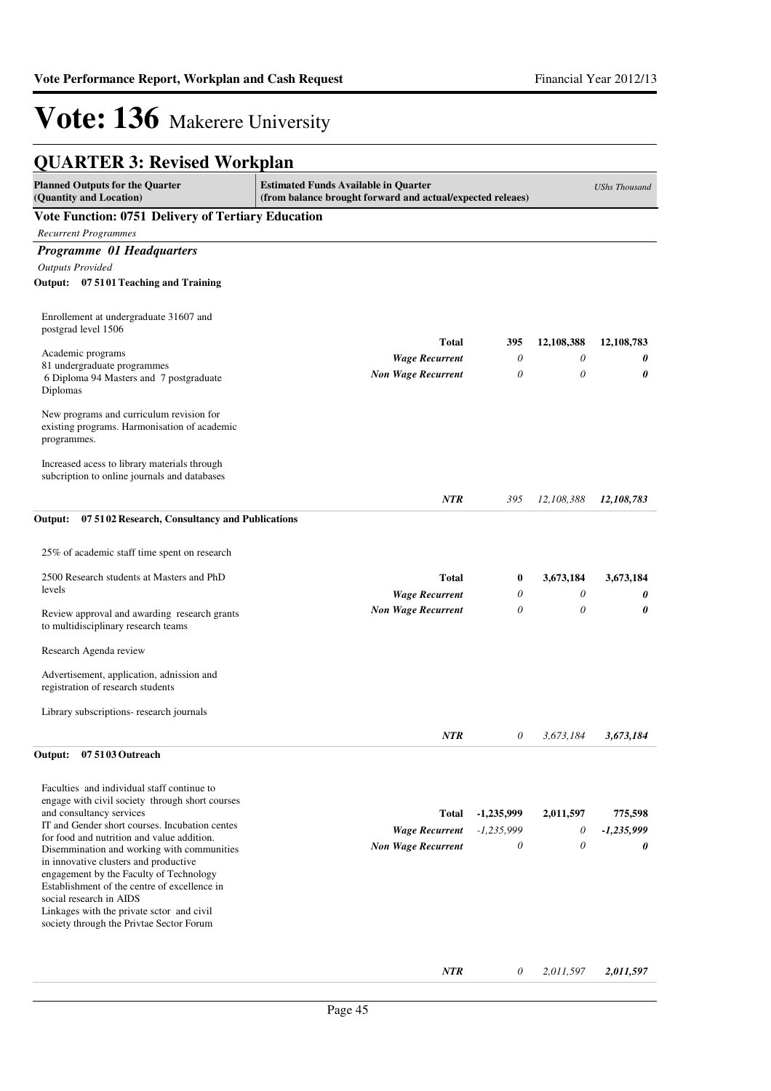#### **QUARTER 3: Revised Workplan Planned Outputs for the Quarter (Quantity and Location) Estimated Funds Available in Quarter (from balance brought forward and actual/expected releaes)** *UShs Thousand* **Vote Function: 0751 Delivery of Tertiary Education** *Recurrent Programmes Programme 01 Headquarters Outputs Provided* **Output: 07 5101 Teaching and Training** Enrollement at undergraduate 31607 and postgrad level 1506 Academic programs 81 undergraduate programmes 6 Diploma 94 Masters and 7 postgraduate Diplomas New programs and curriculum revision for existing programs. Harmonisation of academic programmes. Increased acess to library materials through subcription to online journals and databases *Wage Recurrent Non Wage Recurrent* **Total** *0 0 12,108,783* **12,108,783** *NTR 0 0 12,108,388* **12,108,388** *0 0 395* **395 Output: 07 5102 Research, Consultancy and Publications** 25% of academic staff time spent on research 2500 Research students at Masters and PhD levels Review approval and awarding research grants to multidisciplinary research teams Research Agenda review Advertisement, application, adnission and registration of research students Library subscriptions- research journals *Wage Recurrent Non Wage Recurrent* **Total** *0 0 3,673,184* **3,673,184** *NTR 0 0 3,673,184* **3,673,184** *0 0 0* **0 Output: 07 5103 Outreach** Faculties and individual staff continue to engage with civil society through short courses and consultancy services IT and Gender short courses. Incubation centes for food and nutrition and value addition. Disemmination and working with communities in innovative clusters and productive engagement by the Faculty of Technology Establishment of the centre of excellence in social research in AIDS Linkages with the private sctor and civil society through the Privtae Sector Forum *Wage Recurrent Non Wage Recurrent* **Total** *-1,235,999 0* **775,598** *0 0* **2,011,597** *-1,235,999 0* **-1,235,999**

#### *2,011,597 NTR 2,011,597 0*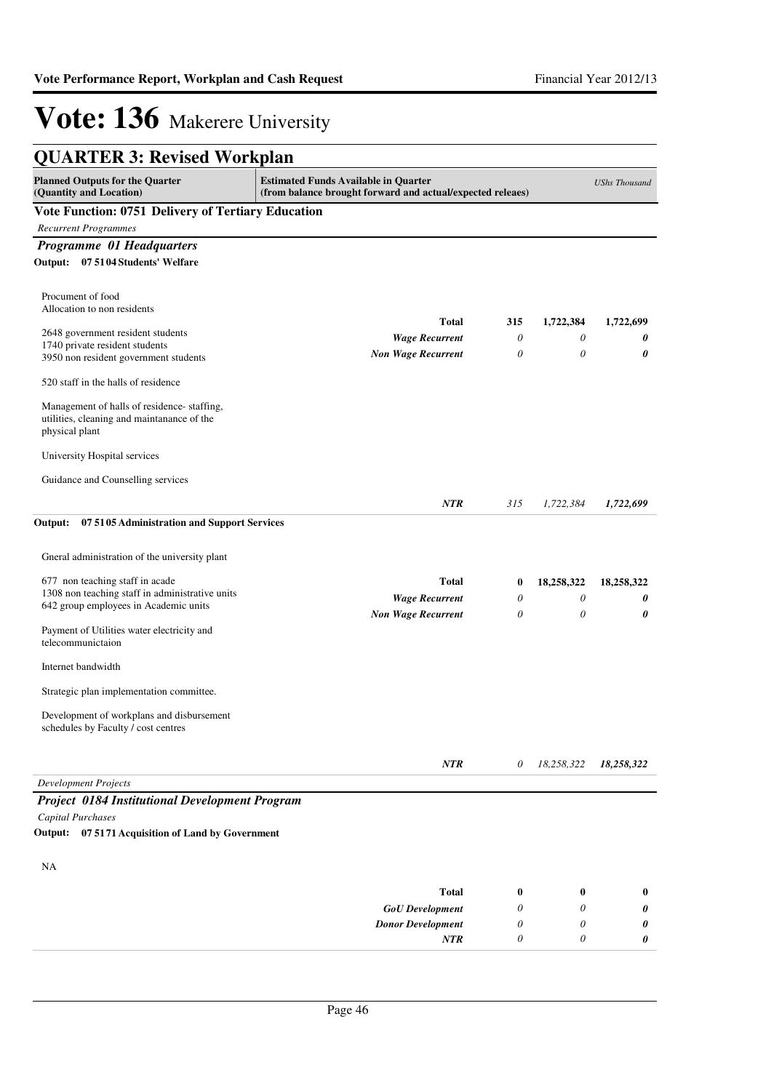| <b>Planned Outputs for the Quarter</b>                                             | <b>Estimated Funds Available in Quarter</b>                |          |            | <b>UShs Thousand</b> |
|------------------------------------------------------------------------------------|------------------------------------------------------------|----------|------------|----------------------|
| (Quantity and Location)                                                            | (from balance brought forward and actual/expected releaes) |          |            |                      |
| <b>Vote Function: 0751 Delivery of Tertiary Education</b>                          |                                                            |          |            |                      |
| <b>Recurrent Programmes</b>                                                        |                                                            |          |            |                      |
| <b>Programme 01 Headquarters</b>                                                   |                                                            |          |            |                      |
| Output: 07 5104 Students' Welfare                                                  |                                                            |          |            |                      |
| Procument of food                                                                  |                                                            |          |            |                      |
| Allocation to non residents                                                        |                                                            |          |            |                      |
| 2648 government resident students                                                  | <b>Total</b>                                               | 315      | 1,722,384  | 1,722,699            |
| 1740 private resident students                                                     | <b>Wage Recurrent</b>                                      | 0        | 0          | 0                    |
| 3950 non resident government students                                              | <b>Non Wage Recurrent</b>                                  | 0        | $\theta$   | 0                    |
| 520 staff in the halls of residence                                                |                                                            |          |            |                      |
| Management of halls of residence-staffing,                                         |                                                            |          |            |                      |
| utilities, cleaning and maintanance of the                                         |                                                            |          |            |                      |
| physical plant                                                                     |                                                            |          |            |                      |
| University Hospital services                                                       |                                                            |          |            |                      |
| Guidance and Counselling services                                                  |                                                            |          |            |                      |
|                                                                                    | <b>NTR</b>                                                 | 315      | 1,722,384  | 1,722,699            |
| Gneral administration of the university plant                                      |                                                            |          |            |                      |
| 677 non teaching staff in acade<br>1308 non teaching staff in administrative units | Total                                                      | $\bf{0}$ | 18,258,322 | 18,258,322           |
| 642 group employees in Academic units                                              | <b>Wage Recurrent</b>                                      | 0        | 0          | 0                    |
|                                                                                    | <b>Non Wage Recurrent</b>                                  | 0        | 0          | 0                    |
| Payment of Utilities water electricity and<br>telecommunictaion                    |                                                            |          |            |                      |
| Internet bandwidth                                                                 |                                                            |          |            |                      |
| Strategic plan implementation committee.                                           |                                                            |          |            |                      |
| Development of workplans and disbursement                                          |                                                            |          |            |                      |
| schedules by Faculty / cost centres                                                |                                                            |          |            |                      |
|                                                                                    | NTR                                                        | 0        | 18,258,322 | 18,258,322           |
| <b>Development Projects</b>                                                        |                                                            |          |            |                      |
| <b>Project 0184 Institutional Development Program</b>                              |                                                            |          |            |                      |
| Capital Purchases                                                                  |                                                            |          |            |                      |
| 07 51 71 Acquisition of Land by Government<br>Output:                              |                                                            |          |            |                      |
| NA                                                                                 |                                                            |          |            |                      |
|                                                                                    | <b>Total</b>                                               | $\bf{0}$ | $\bf{0}$   | $\bf{0}$             |
|                                                                                    |                                                            | 0        | 0          |                      |
|                                                                                    | <b>GoU</b> Development<br><b>Donor Development</b>         | 0        | 0          | 0<br>0               |
|                                                                                    | NTR                                                        | 0        | 0          | 0                    |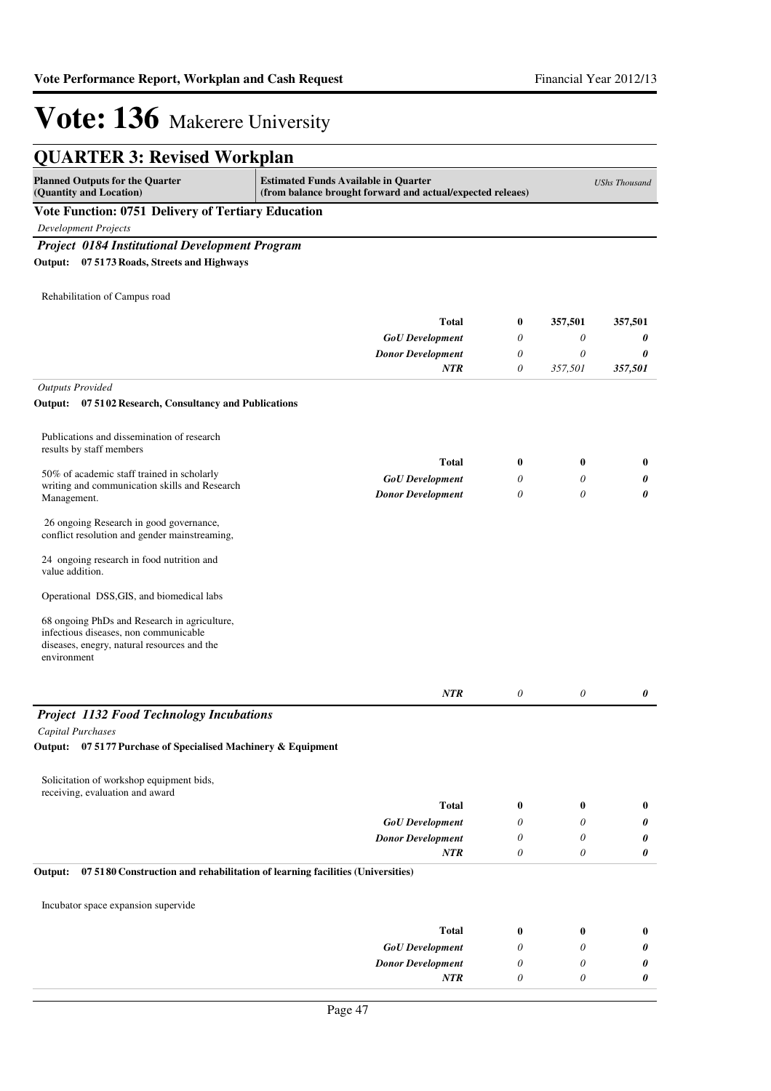| <b>QUARTER 3: Revised Workplan</b>                                                                                                                  |                                                                                                           |                       |          |                      |
|-----------------------------------------------------------------------------------------------------------------------------------------------------|-----------------------------------------------------------------------------------------------------------|-----------------------|----------|----------------------|
| <b>Planned Outputs for the Quarter</b><br>(Quantity and Location)                                                                                   | <b>Estimated Funds Available in Quarter</b><br>(from balance brought forward and actual/expected releaes) |                       |          | <b>UShs Thousand</b> |
| <b>Vote Function: 0751 Delivery of Tertiary Education</b>                                                                                           |                                                                                                           |                       |          |                      |
| <b>Development Projects</b>                                                                                                                         |                                                                                                           |                       |          |                      |
| <b>Project 0184 Institutional Development Program</b>                                                                                               |                                                                                                           |                       |          |                      |
| Output: 07 5173 Roads, Streets and Highways                                                                                                         |                                                                                                           |                       |          |                      |
| Rehabilitation of Campus road                                                                                                                       |                                                                                                           |                       |          |                      |
|                                                                                                                                                     | <b>Total</b>                                                                                              | $\boldsymbol{0}$      | 357,501  | 357,501              |
|                                                                                                                                                     | <b>GoU</b> Development                                                                                    | 0                     | 0        | 0                    |
|                                                                                                                                                     | <b>Donor Development</b>                                                                                  | 0                     | 0        | 0                    |
|                                                                                                                                                     | <b>NTR</b>                                                                                                | $\boldsymbol{\theta}$ | 357,501  | 357,501              |
| <b>Outputs Provided</b>                                                                                                                             |                                                                                                           |                       |          |                      |
| Output: 07 5102 Research, Consultancy and Publications                                                                                              |                                                                                                           |                       |          |                      |
| Publications and dissemination of research<br>results by staff members                                                                              |                                                                                                           |                       |          |                      |
| 50% of academic staff trained in scholarly                                                                                                          | <b>Total</b>                                                                                              | $\bf{0}$              | $\bf{0}$ | $\bf{0}$             |
| writing and communication skills and Research                                                                                                       | <b>GoU</b> Development                                                                                    | 0                     | 0        | 0                    |
| Management.                                                                                                                                         | <b>Donor Development</b>                                                                                  | 0                     | 0        | 0                    |
| 26 ongoing Research in good governance,<br>conflict resolution and gender mainstreaming,                                                            |                                                                                                           |                       |          |                      |
| 24 ongoing research in food nutrition and<br>value addition.                                                                                        |                                                                                                           |                       |          |                      |
| Operational DSS, GIS, and biomedical labs                                                                                                           |                                                                                                           |                       |          |                      |
| 68 ongoing PhDs and Research in agriculture,<br>infectious diseases, non communicable<br>diseases, enegry, natural resources and the<br>environment |                                                                                                           |                       |          |                      |
|                                                                                                                                                     | <b>NTR</b>                                                                                                | 0                     | 0        | 0                    |
| <b>Project 1132 Food Technology Incubations</b>                                                                                                     |                                                                                                           |                       |          |                      |
| <b>Capital Purchases</b>                                                                                                                            |                                                                                                           |                       |          |                      |
| Output: 07 5177 Purchase of Specialised Machinery & Equipment                                                                                       |                                                                                                           |                       |          |                      |
| Solicitation of workshop equipment bids,<br>receiving, evaluation and award                                                                         |                                                                                                           |                       |          |                      |
|                                                                                                                                                     | <b>Total</b>                                                                                              | $\bf{0}$              | $\bf{0}$ | $\boldsymbol{0}$     |
|                                                                                                                                                     | <b>GoU</b> Development                                                                                    | 0                     | 0        | 0                    |
|                                                                                                                                                     | <b>Donor Development</b>                                                                                  | 0                     | 0        | 0                    |
|                                                                                                                                                     | <b>NTR</b>                                                                                                | $\boldsymbol{\theta}$ | 0        | 0                    |
| 07 5180 Construction and rehabilitation of learning facilities (Universities)<br>Output:                                                            |                                                                                                           |                       |          |                      |
| Incubator space expansion supervide                                                                                                                 |                                                                                                           |                       |          |                      |
|                                                                                                                                                     | <b>Total</b>                                                                                              | $\bf{0}$              | $\bf{0}$ | $\bf{0}$             |
|                                                                                                                                                     | <b>GoU</b> Development                                                                                    | 0                     | 0        | 0                    |
|                                                                                                                                                     | <b>Donor Development</b>                                                                                  | 0                     | 0        | 0                    |
|                                                                                                                                                     | <b>NTR</b>                                                                                                | 0                     | 0        | 0                    |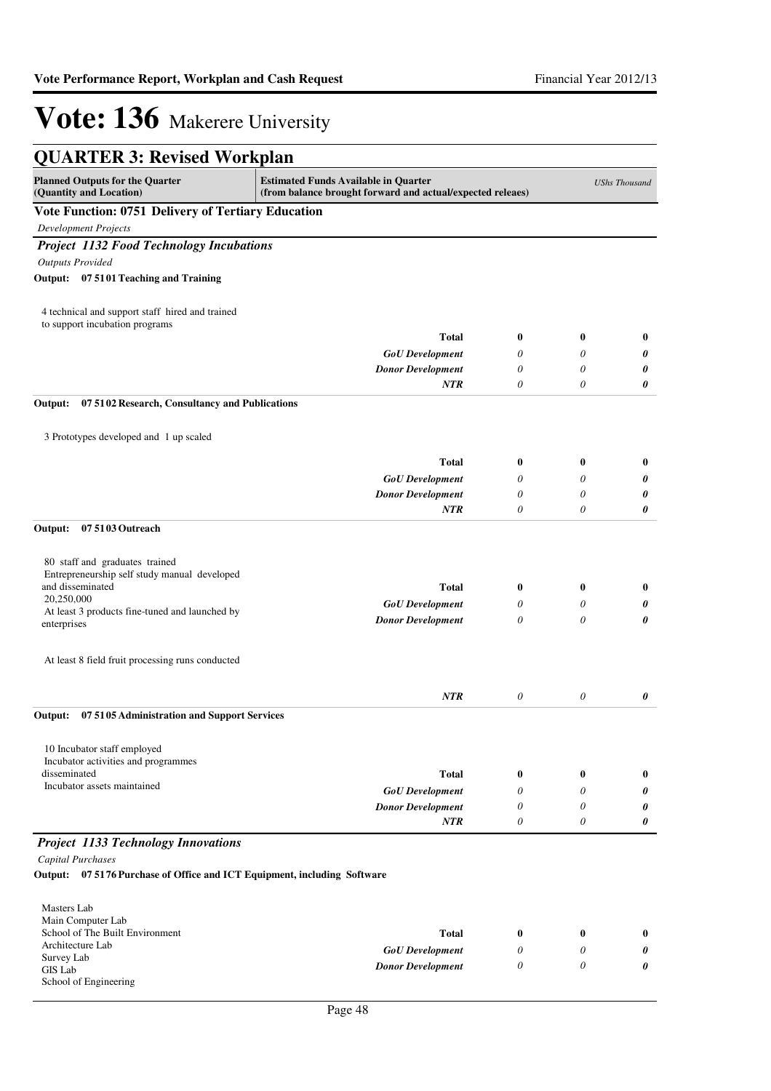| <b>QUARTER 3: Revised Workplan</b>                                       |                                                                                                           |                  |          |                      |
|--------------------------------------------------------------------------|-----------------------------------------------------------------------------------------------------------|------------------|----------|----------------------|
| <b>Planned Outputs for the Quarter</b><br>(Quantity and Location)        | <b>Estimated Funds Available in Quarter</b><br>(from balance brought forward and actual/expected releaes) |                  |          | <b>UShs Thousand</b> |
| Vote Function: 0751 Delivery of Tertiary Education                       |                                                                                                           |                  |          |                      |
| <b>Development Projects</b>                                              |                                                                                                           |                  |          |                      |
| <b>Project 1132 Food Technology Incubations</b>                          |                                                                                                           |                  |          |                      |
| <b>Outputs Provided</b>                                                  |                                                                                                           |                  |          |                      |
| Output: 07 5101 Teaching and Training                                    |                                                                                                           |                  |          |                      |
| 4 technical and support staff hired and trained                          |                                                                                                           |                  |          |                      |
| to support incubation programs                                           | <b>Total</b>                                                                                              | $\bf{0}$         | $\bf{0}$ | $\bf{0}$             |
|                                                                          |                                                                                                           | 0                | 0        |                      |
|                                                                          | <b>GoU</b> Development                                                                                    | 0                | 0        | 0                    |
|                                                                          | <b>Donor Development</b><br><b>NTR</b>                                                                    | 0                | 0        | 0<br>0               |
| 07 5102 Research, Consultancy and Publications<br>Output:                |                                                                                                           |                  |          |                      |
|                                                                          |                                                                                                           |                  |          |                      |
| 3 Prototypes developed and 1 up scaled                                   |                                                                                                           |                  |          |                      |
|                                                                          | <b>Total</b>                                                                                              | $\bf{0}$         | 0        | $\bf{0}$             |
|                                                                          | <b>GoU</b> Development                                                                                    | 0                | 0        | 0                    |
|                                                                          | <b>Donor Development</b>                                                                                  | 0                | 0        | 0                    |
|                                                                          | <b>NTR</b>                                                                                                | $\theta$         | 0        | 0                    |
| Output:<br>07 5103 Outreach                                              |                                                                                                           |                  |          |                      |
| 80 staff and graduates trained                                           |                                                                                                           |                  |          |                      |
| Entrepreneurship self study manual developed                             |                                                                                                           |                  |          |                      |
| and disseminated<br>20,250,000                                           | <b>Total</b>                                                                                              | $\boldsymbol{0}$ | $\bf{0}$ | $\bf{0}$             |
| At least 3 products fine-tuned and launched by                           | <b>GoU</b> Development                                                                                    | 0                | 0        | 0                    |
| enterprises                                                              | <b>Donor Development</b>                                                                                  | 0                | 0        | 0                    |
| At least 8 field fruit processing runs conducted                         |                                                                                                           |                  |          |                      |
|                                                                          | <b>NTR</b>                                                                                                | $\theta$         | $\theta$ | 0                    |
| 07 5105 Administration and Support Services<br>Output:                   |                                                                                                           |                  |          |                      |
| 10 Incubator staff employed                                              |                                                                                                           |                  |          |                      |
| Incubator activities and programmes                                      |                                                                                                           |                  |          |                      |
| disseminated                                                             | <b>Total</b>                                                                                              | $\bf{0}$         | $\bf{0}$ | $\bf{0}$             |
| Incubator assets maintained                                              | <b>GoU</b> Development                                                                                    | 0                | 0        | 0                    |
|                                                                          | <b>Donor Development</b>                                                                                  | 0                | 0        | 0                    |
|                                                                          | NTR                                                                                                       | 0                | 0        | 0                    |
| <b>Project 1133 Technology Innovations</b>                               |                                                                                                           |                  |          |                      |
| Capital Purchases                                                        |                                                                                                           |                  |          |                      |
| Output: 07 5176 Purchase of Office and ICT Equipment, including Software |                                                                                                           |                  |          |                      |
| Masters Lab                                                              |                                                                                                           |                  |          |                      |
| Main Computer Lab<br>School of The Built Environment                     |                                                                                                           |                  |          |                      |
| Architecture Lab                                                         | <b>Total</b>                                                                                              | $\bf{0}$         | $\bf{0}$ | $\bf{0}$             |
| Survey Lab                                                               | <b>GoU</b> Development                                                                                    | 0                | 0        | 0                    |
| <b>GIS Lab</b>                                                           | <b>Donor Development</b>                                                                                  | 0                | 0        | 0                    |
| School of Engineering                                                    |                                                                                                           |                  |          |                      |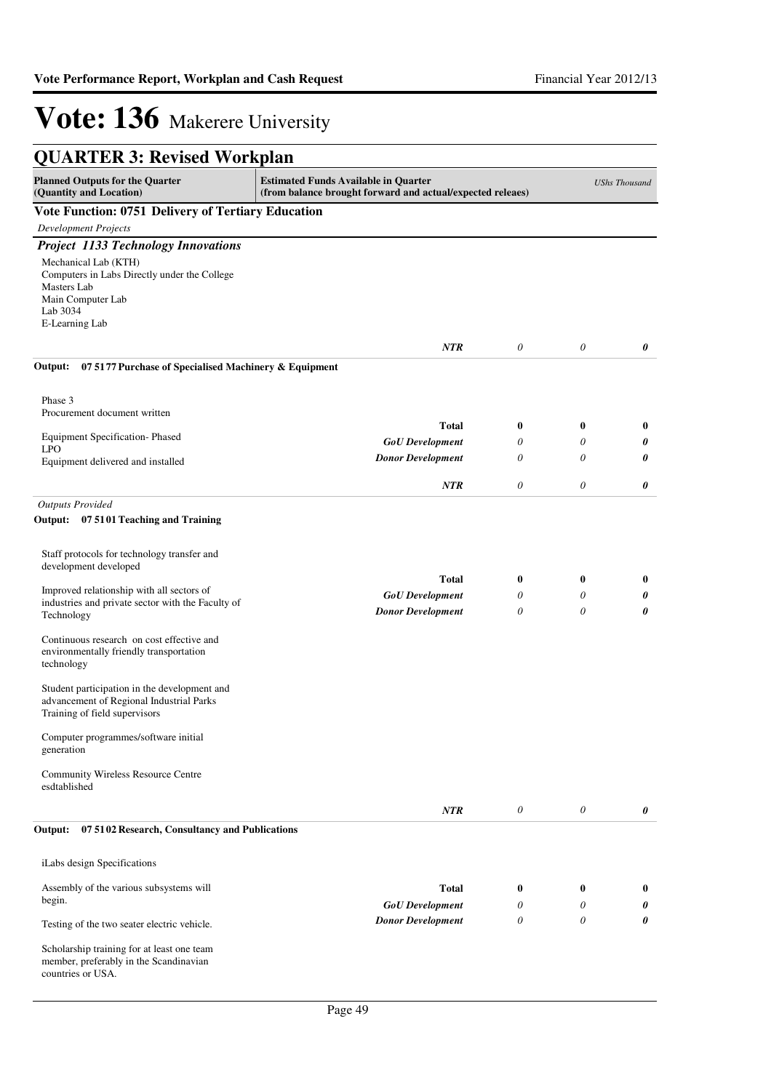| <b>QUARTER 3: Revised Workplan</b>                                                                                                                                                                                                                                                                                                                                                                                                                                                                                                         |                                                                                                           |                                          |                    |                      |
|--------------------------------------------------------------------------------------------------------------------------------------------------------------------------------------------------------------------------------------------------------------------------------------------------------------------------------------------------------------------------------------------------------------------------------------------------------------------------------------------------------------------------------------------|-----------------------------------------------------------------------------------------------------------|------------------------------------------|--------------------|----------------------|
| <b>Planned Outputs for the Quarter</b><br>(Quantity and Location)                                                                                                                                                                                                                                                                                                                                                                                                                                                                          | <b>Estimated Funds Available in Quarter</b><br>(from balance brought forward and actual/expected releaes) |                                          |                    | <b>UShs Thousand</b> |
| Vote Function: 0751 Delivery of Tertiary Education                                                                                                                                                                                                                                                                                                                                                                                                                                                                                         |                                                                                                           |                                          |                    |                      |
| <b>Development Projects</b>                                                                                                                                                                                                                                                                                                                                                                                                                                                                                                                |                                                                                                           |                                          |                    |                      |
| <b>Project 1133 Technology Innovations</b>                                                                                                                                                                                                                                                                                                                                                                                                                                                                                                 |                                                                                                           |                                          |                    |                      |
| Mechanical Lab (KTH)<br>Computers in Labs Directly under the College<br>Masters Lab<br>Main Computer Lab<br>Lab 3034<br>E-Learning Lab                                                                                                                                                                                                                                                                                                                                                                                                     |                                                                                                           |                                          |                    |                      |
|                                                                                                                                                                                                                                                                                                                                                                                                                                                                                                                                            | <b>NTR</b>                                                                                                | $\boldsymbol{\theta}$                    | $\theta$           | 0                    |
| 07 5177 Purchase of Specialised Machinery & Equipment<br>Output:                                                                                                                                                                                                                                                                                                                                                                                                                                                                           |                                                                                                           |                                          |                    |                      |
| Phase 3                                                                                                                                                                                                                                                                                                                                                                                                                                                                                                                                    |                                                                                                           |                                          |                    |                      |
| Procurement document written                                                                                                                                                                                                                                                                                                                                                                                                                                                                                                               | Total                                                                                                     | $\boldsymbol{0}$                         | $\bf{0}$           | $\bf{0}$             |
| Equipment Specification-Phased                                                                                                                                                                                                                                                                                                                                                                                                                                                                                                             | <b>GoU</b> Development                                                                                    | $\theta$                                 | 0                  | 0                    |
| <b>LPO</b><br>Equipment delivered and installed                                                                                                                                                                                                                                                                                                                                                                                                                                                                                            | <b>Donor Development</b>                                                                                  | $\theta$                                 | 0                  | 0                    |
|                                                                                                                                                                                                                                                                                                                                                                                                                                                                                                                                            |                                                                                                           |                                          |                    |                      |
|                                                                                                                                                                                                                                                                                                                                                                                                                                                                                                                                            | <b>NTR</b>                                                                                                | $\theta$                                 | 0                  | 0                    |
| Staff protocols for technology transfer and<br>development developed<br>Improved relationship with all sectors of<br>industries and private sector with the Faculty of<br>Technology<br>Continuous research on cost effective and<br>environmentally friendly transportation<br>technology<br>Student participation in the development and<br>advancement of Regional Industrial Parks<br>Training of field supervisors<br>Computer programmes/software initial<br>generation<br><b>Community Wireless Resource Centre</b><br>esdtablished | <b>Total</b><br><b>GoU</b> Development<br><b>Donor Development</b>                                        | $\boldsymbol{0}$<br>$\theta$<br>$\theta$ | $\bf{0}$<br>0<br>0 | $\bf{0}$<br>0<br>0   |
|                                                                                                                                                                                                                                                                                                                                                                                                                                                                                                                                            | <b>NTR</b>                                                                                                | $\theta$                                 | 0                  | 0                    |
| 07 5102 Research, Consultancy and Publications<br>Output:<br>iLabs design Specifications                                                                                                                                                                                                                                                                                                                                                                                                                                                   |                                                                                                           |                                          |                    |                      |
| Assembly of the various subsystems will                                                                                                                                                                                                                                                                                                                                                                                                                                                                                                    | <b>Total</b>                                                                                              | $\bf{0}$                                 | $\bf{0}$           | $\bf{0}$             |
| begin.                                                                                                                                                                                                                                                                                                                                                                                                                                                                                                                                     | <b>GoU</b> Development                                                                                    | 0                                        | 0                  | 0                    |
| Testing of the two seater electric vehicle.                                                                                                                                                                                                                                                                                                                                                                                                                                                                                                | <b>Donor Development</b>                                                                                  | 0                                        | 0                  | 0                    |
| Scholarship training for at least one team<br>member, preferably in the Scandinavian<br>countries or USA.                                                                                                                                                                                                                                                                                                                                                                                                                                  |                                                                                                           |                                          |                    |                      |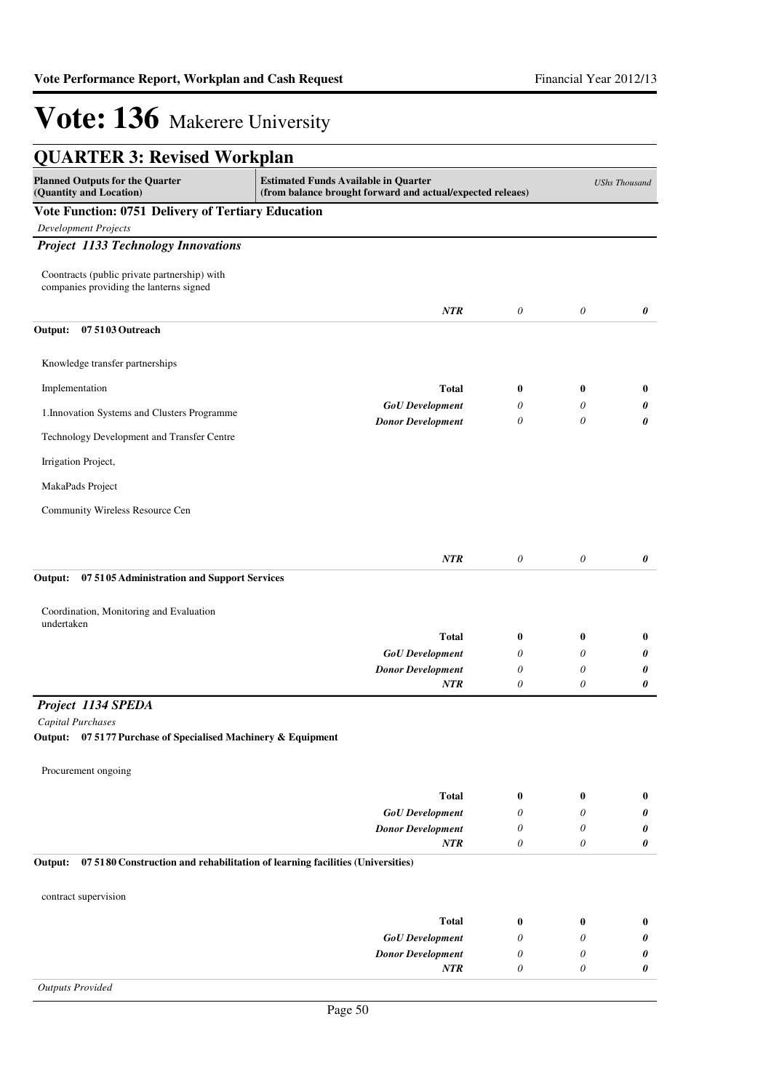| <b>QUARTER 3: Revised Workplan</b>                                                      |                                                                                                           |                           |               |                       |
|-----------------------------------------------------------------------------------------|-----------------------------------------------------------------------------------------------------------|---------------------------|---------------|-----------------------|
| <b>Planned Outputs for the Quarter</b><br>(Quantity and Location)                       | <b>Estimated Funds Available in Quarter</b><br>(from balance brought forward and actual/expected releaes) |                           |               | <b>UShs Thousand</b>  |
| Vote Function: 0751 Delivery of Tertiary Education                                      |                                                                                                           |                           |               |                       |
| <b>Development Projects</b>                                                             |                                                                                                           |                           |               |                       |
| <b>Project 1133 Technology Innovations</b>                                              |                                                                                                           |                           |               |                       |
| Coontracts (public private partnership) with<br>companies providing the lanterns signed |                                                                                                           |                           |               |                       |
|                                                                                         | NTR                                                                                                       | 0                         | $\theta$      | 0                     |
| Output:<br>07 5103 Outreach                                                             |                                                                                                           |                           |               |                       |
| Knowledge transfer partnerships                                                         |                                                                                                           |                           |               |                       |
| Implementation                                                                          | <b>Total</b>                                                                                              | $\bf{0}$                  | $\bf{0}$      | $\bf{0}$              |
|                                                                                         | <b>GoU</b> Development                                                                                    | 0                         | 0             | 0                     |
| 1. Innovation Systems and Clusters Programme                                            | <b>Donor Development</b>                                                                                  | $\theta$                  | 0             | 0                     |
| Technology Development and Transfer Centre                                              |                                                                                                           |                           |               |                       |
| Irrigation Project,                                                                     |                                                                                                           |                           |               |                       |
| MakaPads Project                                                                        |                                                                                                           |                           |               |                       |
| Community Wireless Resource Cen                                                         |                                                                                                           |                           |               |                       |
|                                                                                         |                                                                                                           |                           |               |                       |
|                                                                                         | NTR                                                                                                       | $\theta$                  | $\theta$      | 0                     |
| Output:<br>07 5105 Administration and Support Services                                  |                                                                                                           |                           |               |                       |
|                                                                                         |                                                                                                           |                           |               |                       |
| Coordination, Monitoring and Evaluation<br>undertaken                                   |                                                                                                           |                           |               |                       |
|                                                                                         | <b>Total</b>                                                                                              | $\bf{0}$                  | $\bf{0}$      | $\bf{0}$              |
|                                                                                         | <b>GoU</b> Development                                                                                    | 0                         | 0             | 0                     |
|                                                                                         | <b>Donor Development</b><br><b>NTR</b>                                                                    | $\theta$<br>0             | 0<br>0        | 0<br>0                |
| Project 1134 SPEDA                                                                      |                                                                                                           |                           |               |                       |
| Capital Purchases                                                                       |                                                                                                           |                           |               |                       |
| 07 5177 Purchase of Specialised Machinery & Equipment<br>Output:                        |                                                                                                           |                           |               |                       |
| Procurement ongoing                                                                     |                                                                                                           |                           |               |                       |
|                                                                                         | <b>Total</b>                                                                                              | $\bf{0}$                  | $\bf{0}$      | $\bf{0}$              |
|                                                                                         | <b>GoU</b> Development                                                                                    | 0                         | 0             | 0                     |
|                                                                                         | <b>Donor Development</b>                                                                                  | 0                         | 0             | 0                     |
|                                                                                         | NTR                                                                                                       | $\theta$                  | 0             | $\boldsymbol{\theta}$ |
| Output:                                                                                 | 07 5180 Construction and rehabilitation of learning facilities (Universities)                             |                           |               |                       |
| contract supervision                                                                    |                                                                                                           |                           |               |                       |
|                                                                                         |                                                                                                           |                           |               |                       |
|                                                                                         | <b>Total</b><br><b>GoU</b> Development                                                                    | $\bf{0}$<br>0             | $\bf{0}$<br>0 | $\bf{0}$<br>0         |
|                                                                                         | <b>Donor Development</b>                                                                                  | $\theta$                  | 0             | 0                     |
|                                                                                         | NTR                                                                                                       | $\boldsymbol{\mathit{0}}$ | 0             | 0                     |
| <b>Outputs Provided</b>                                                                 |                                                                                                           |                           |               |                       |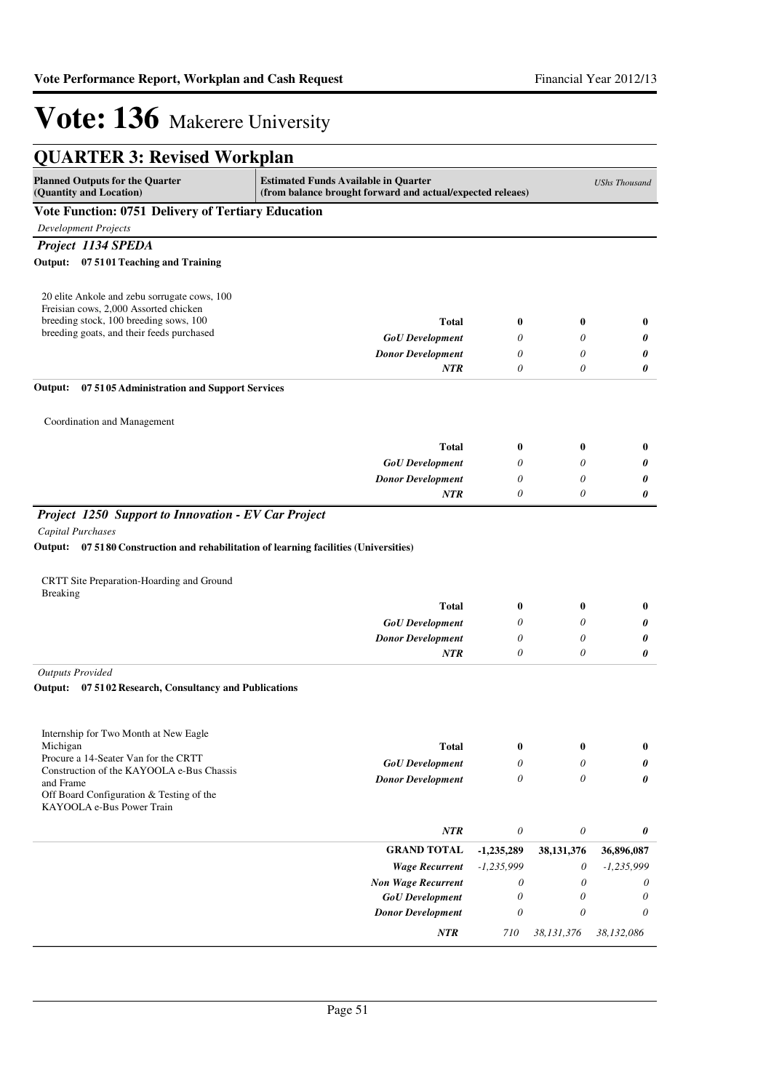| <b>QUARTER 3: Revised Workplan</b>                                                                                                                      |                                                                                                           |                       |              |                       |
|---------------------------------------------------------------------------------------------------------------------------------------------------------|-----------------------------------------------------------------------------------------------------------|-----------------------|--------------|-----------------------|
| <b>Planned Outputs for the Quarter</b><br>(Quantity and Location)                                                                                       | <b>Estimated Funds Available in Quarter</b><br>(from balance brought forward and actual/expected releaes) |                       |              | <b>UShs Thousand</b>  |
| Vote Function: 0751 Delivery of Tertiary Education                                                                                                      |                                                                                                           |                       |              |                       |
| Development Projects                                                                                                                                    |                                                                                                           |                       |              |                       |
| Project 1134 SPEDA                                                                                                                                      |                                                                                                           |                       |              |                       |
| Output: 07 5101 Teaching and Training                                                                                                                   |                                                                                                           |                       |              |                       |
| 20 elite Ankole and zebu sorrugate cows, 100<br>Freisian cows, 2,000 Assorted chicken                                                                   |                                                                                                           |                       |              |                       |
| breeding stock, 100 breeding sows, 100                                                                                                                  | Total                                                                                                     | $\boldsymbol{0}$      | $\bf{0}$     | $\bf{0}$              |
| breeding goats, and their feeds purchased                                                                                                               | <b>GoU</b> Development                                                                                    | 0                     | 0            | 0                     |
|                                                                                                                                                         | <b>Donor Development</b>                                                                                  | 0                     | 0            | 0                     |
|                                                                                                                                                         | NTR                                                                                                       | $\theta$              | 0            | 0                     |
| Output:<br>07 5105 Administration and Support Services                                                                                                  |                                                                                                           |                       |              |                       |
| Coordination and Management                                                                                                                             |                                                                                                           |                       |              |                       |
|                                                                                                                                                         |                                                                                                           |                       |              |                       |
|                                                                                                                                                         | <b>Total</b>                                                                                              | $\boldsymbol{0}$      | 0            | $\bf{0}$              |
|                                                                                                                                                         | <b>GoU</b> Development                                                                                    | 0                     | 0            | 0                     |
|                                                                                                                                                         | <b>Donor Development</b>                                                                                  | 0                     | 0            | 0                     |
| Project 1250 Support to Innovation - EV Car Project                                                                                                     | NTR                                                                                                       | 0                     | 0            | 0                     |
| Capital Purchases<br>Output: 07 5180 Construction and rehabilitation of learning facilities (Universities)<br>CRTT Site Preparation-Hoarding and Ground |                                                                                                           |                       |              |                       |
| <b>Breaking</b>                                                                                                                                         | <b>Total</b>                                                                                              | $\bf{0}$              | 0            | $\bf{0}$              |
|                                                                                                                                                         | <b>GoU</b> Development                                                                                    | 0                     | 0            | 0                     |
|                                                                                                                                                         | <b>Donor Development</b>                                                                                  | $\theta$              | 0            | 0                     |
|                                                                                                                                                         | NTR                                                                                                       | 0                     | 0            | 0                     |
| <b>Outputs Provided</b>                                                                                                                                 |                                                                                                           |                       |              |                       |
| Output: 07 5102 Research, Consultancy and Publications                                                                                                  |                                                                                                           |                       |              |                       |
| Internship for Two Month at New Eagle<br>Michigan                                                                                                       | Total                                                                                                     | 0                     | 0            | 0                     |
| Procure a 14-Seater Van for the CRTT                                                                                                                    | <b>GoU</b> Development                                                                                    | 0                     | 0            | 0                     |
| Construction of the KAYOOLA e-Bus Chassis<br>and Frame                                                                                                  | <b>Donor Development</b>                                                                                  | 0                     | 0            | 0                     |
| Off Board Configuration & Testing of the<br>KAYOOLA e-Bus Power Train                                                                                   |                                                                                                           |                       |              |                       |
|                                                                                                                                                         | NTR                                                                                                       | $\boldsymbol{\theta}$ | $\theta$     | 0                     |
|                                                                                                                                                         | <b>GRAND TOTAL</b>                                                                                        | $-1,235,289$          | 38, 131, 376 | 36,896,087            |
|                                                                                                                                                         | <b>Wage Recurrent</b>                                                                                     | $-1,235,999$          | 0            | $-1,235,999$          |
|                                                                                                                                                         | <b>Non Wage Recurrent</b>                                                                                 | 0                     | $\theta$     | 0                     |
|                                                                                                                                                         | <b>GoU</b> Development                                                                                    | $\boldsymbol{\theta}$ | 0            | $\boldsymbol{\theta}$ |
|                                                                                                                                                         | <b>Donor Development</b>                                                                                  | $\boldsymbol{\theta}$ | 0            | $\theta$              |
|                                                                                                                                                         | NTR                                                                                                       | 710                   | 38,131,376   | 38,132,086            |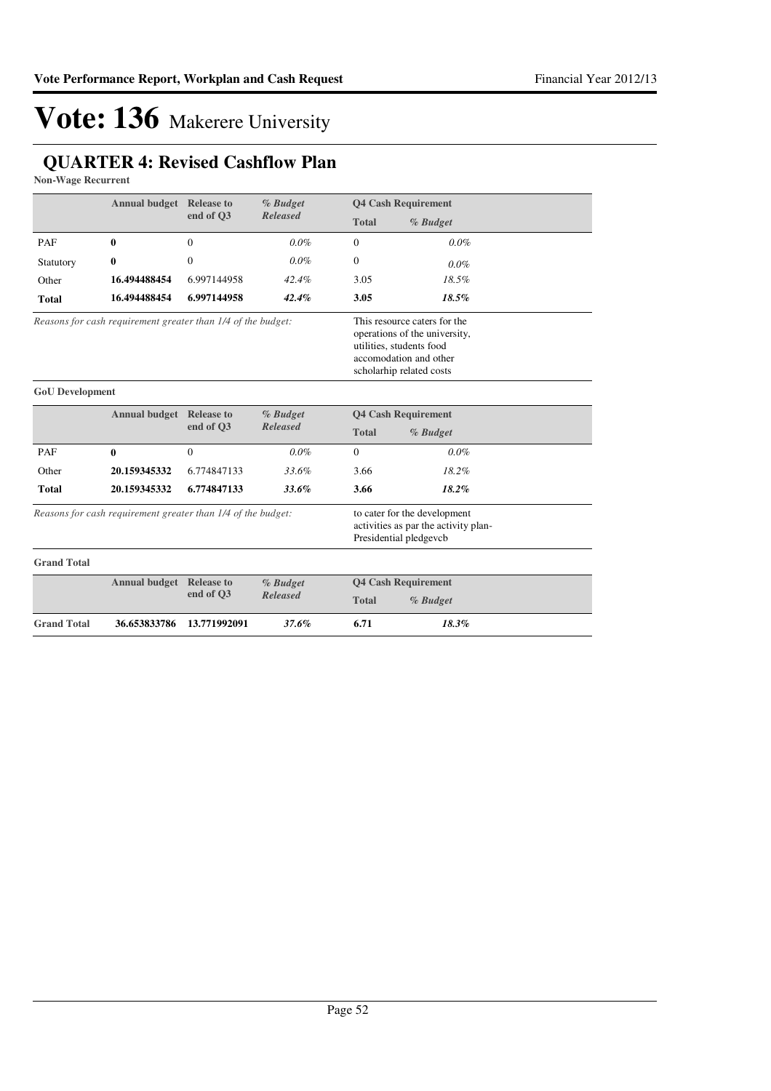### **QUARTER 4: Revised Cashflow Plan**

**Non-Wage Recurrent**

|                                                              |                                                              | <b>Annual budget</b> Release to<br>end of O3 | % Budget<br><b>Released</b> | <b>Q4 Cash Requirement</b>                                                                     |                                                                                                                                                 |  |
|--------------------------------------------------------------|--------------------------------------------------------------|----------------------------------------------|-----------------------------|------------------------------------------------------------------------------------------------|-------------------------------------------------------------------------------------------------------------------------------------------------|--|
|                                                              |                                                              |                                              |                             | <b>Total</b>                                                                                   | % Budget                                                                                                                                        |  |
| PAF                                                          | $\bf{0}$                                                     | $\overline{0}$                               | $0.0\%$                     | $\mathbf{0}$                                                                                   | 0.0%                                                                                                                                            |  |
| Statutory                                                    | $\bf{0}$                                                     | $\boldsymbol{0}$                             | $0.0\%$                     | $\mathbf{0}$                                                                                   | 0.0%                                                                                                                                            |  |
| Other                                                        | 16.494488454                                                 | 6.997144958                                  | 42.4%                       | 3.05                                                                                           | 18.5%                                                                                                                                           |  |
| <b>Total</b>                                                 | 16.494488454                                                 | 6.997144958                                  | 42.4%                       | 3.05                                                                                           | 18.5%                                                                                                                                           |  |
|                                                              | Reasons for cash requirement greater than 1/4 of the budget: |                                              |                             |                                                                                                | This resource caters for the<br>operations of the university,<br>utilities, students food<br>accomodation and other<br>scholarhip related costs |  |
| <b>GoU</b> Development                                       |                                                              |                                              |                             |                                                                                                |                                                                                                                                                 |  |
|                                                              | <b>Annual budget</b> Release to                              |                                              | % Budget                    |                                                                                                | <b>Q4 Cash Requirement</b>                                                                                                                      |  |
|                                                              |                                                              | end of O3                                    | <b>Released</b>             | <b>Total</b>                                                                                   | % Budget                                                                                                                                        |  |
| PAF                                                          | $\bf{0}$                                                     | $\Omega$                                     | 0.0%                        | $\Omega$                                                                                       | 0.0%                                                                                                                                            |  |
| Other                                                        | 20.159345332                                                 | 6.774847133                                  | 33.6%                       | 3.66                                                                                           | 18.2%                                                                                                                                           |  |
| <b>Total</b>                                                 | 20.159345332                                                 | 6.774847133                                  | 33.6%                       | 3.66                                                                                           | 18.2%                                                                                                                                           |  |
| Reasons for cash requirement greater than 1/4 of the budget: |                                                              |                                              |                             | to cater for the development<br>activities as par the activity plan-<br>Presidential pledgevcb |                                                                                                                                                 |  |
| <b>Grand Total</b>                                           |                                                              |                                              |                             |                                                                                                |                                                                                                                                                 |  |
|                                                              | <b>Annual budget</b> Release to                              |                                              | % Budget                    | <b>Q4 Cash Requirement</b>                                                                     |                                                                                                                                                 |  |
|                                                              |                                                              | end of Q3                                    | <b>Released</b>             | <b>Total</b>                                                                                   | % Budget                                                                                                                                        |  |
| <b>Grand Total</b>                                           | 36.653833786                                                 | 13.771992091                                 | 37.6%                       | 6.71                                                                                           | 18.3%                                                                                                                                           |  |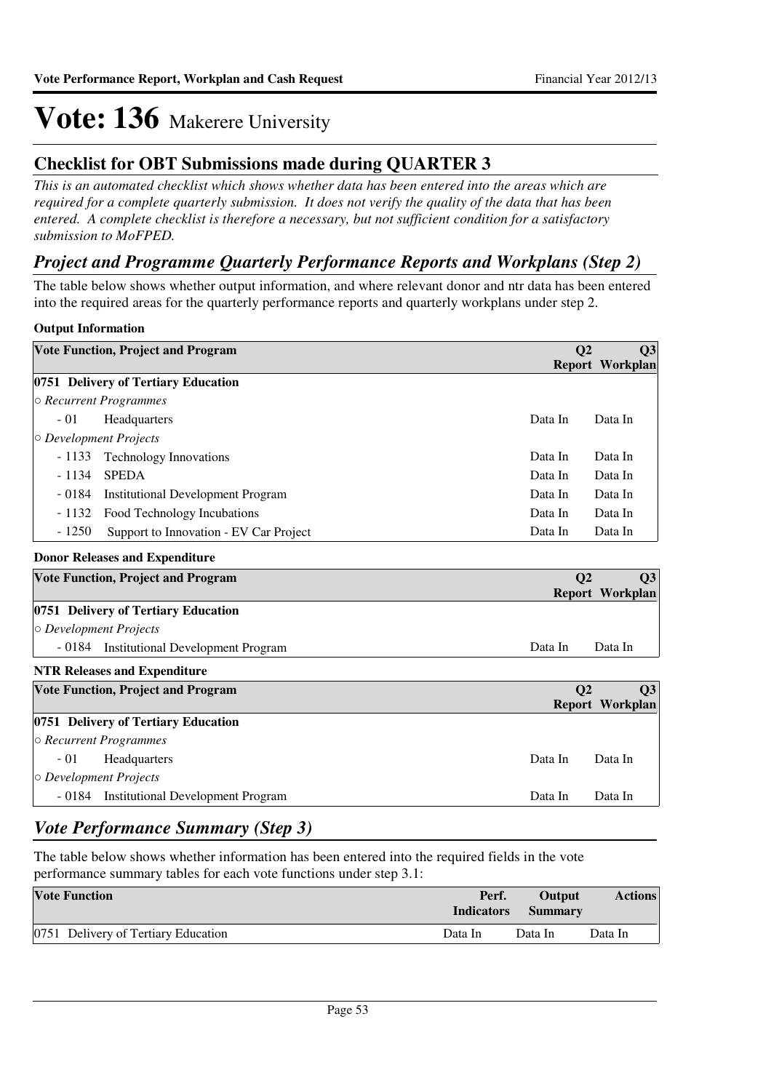### **Checklist for OBT Submissions made during QUARTER 3**

*This is an automated checklist which shows whether data has been entered into the areas which are required for a complete quarterly submission. It does not verify the quality of the data that has been entered. A complete checklist is therefore a necessary, but not sufficient condition for a satisfactory submission to MoFPED.*

### *Project and Programme Quarterly Performance Reports and Workplans (Step 2)*

The table below shows whether output information, and where relevant donor and ntr data has been entered into the required areas for the quarterly performance reports and quarterly workplans under step 2.

#### **Output Information**

| <b>Vote Function, Project and Program</b>           | Q <sub>2</sub> | Q3                     |
|-----------------------------------------------------|----------------|------------------------|
|                                                     |                | <b>Report Workplan</b> |
| 0751 Delivery of Tertiary Education                 |                |                        |
| ○ Recurrent Programmes                              |                |                        |
| $-01$<br>Headquarters                               | Data In        | Data In                |
| $\circ$ Development Projects                        |                |                        |
| $-1133$<br><b>Technology Innovations</b>            | Data In        | Data In                |
| $-1134$<br><b>SPEDA</b>                             | Data In        | Data In                |
| $-0184$<br><b>Institutional Development Program</b> | Data In        | Data In                |
| $-1132$<br>Food Technology Incubations              | Data In        | Data In                |
| $-1250$<br>Support to Innovation - EV Car Project   | Data In        | Data In                |
| <b>Donor Releases and Expenditure</b>               |                |                        |
| <b>Vote Function, Project and Program</b>           | Q <sub>2</sub> | Q3                     |
|                                                     |                | <b>Report Workplan</b> |
| 0751 Delivery of Tertiary Education                 |                |                        |
| O Development Projects                              |                |                        |
| - 0184 Institutional Development Program            | Data In        | Data In                |
| <b>NTR Releases and Expenditure</b>                 |                |                        |
| <b>Vote Function, Project and Program</b>           | Q <sub>2</sub> | Q3                     |
|                                                     |                | <b>Report Workplan</b> |
| 0751 Delivery of Tertiary Education                 |                |                        |
| ○ Recurrent Programmes                              |                |                        |
| $-01$<br>Headquarters                               | Data In        | Data In                |
| $\circ$ Development Projects                        |                |                        |
| - 0184 Institutional Development Program            | Data In        | Data In                |

### *Vote Performance Summary (Step 3)*

The table below shows whether information has been entered into the required fields in the vote performance summary tables for each vote functions under step 3.1:

| <b>Vote Function</b>                | Perf.<br><b>Indicators</b> | Output<br><b>Summary</b> | <b>Actions</b> |
|-------------------------------------|----------------------------|--------------------------|----------------|
| 0751 Delivery of Tertiary Education | Data In                    | Data In                  | Data In        |